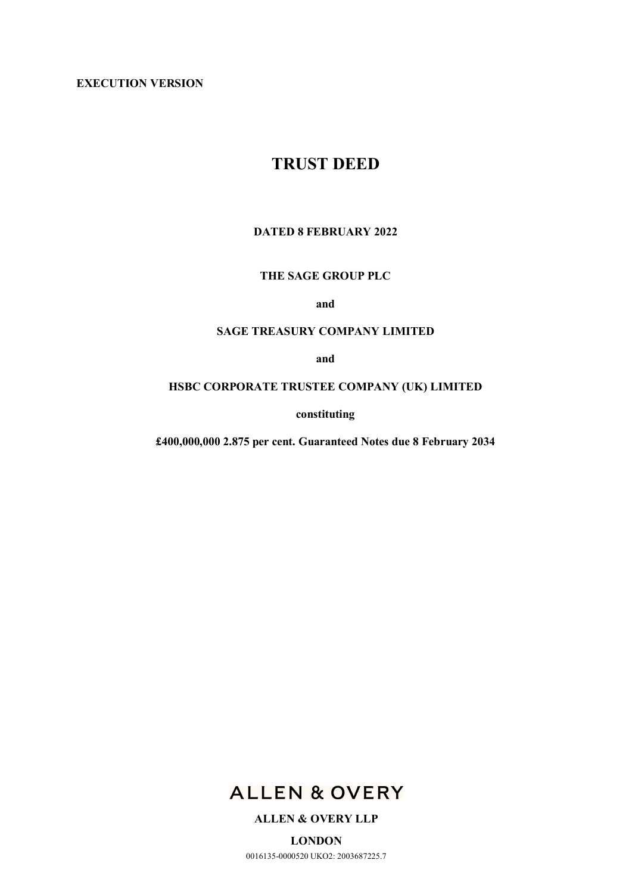**EXECUTION VERSION**

# **TRUST DEED**

# **DATED 8 FEBRUARY 2022**

# **THE SAGE GROUP PLC**

**and** 

#### **SAGE TREASURY COMPANY LIMITED**

**and** 

# **HSBC CORPORATE TRUSTEE COMPANY (UK) LIMITED**

**constituting** 

**£400,000,000 2.875 per cent. Guaranteed Notes due 8 February 2034** 



## **ALLEN & OVERY LLP**

**LONDON**  0016135-0000520 UKO2: 2003687225.7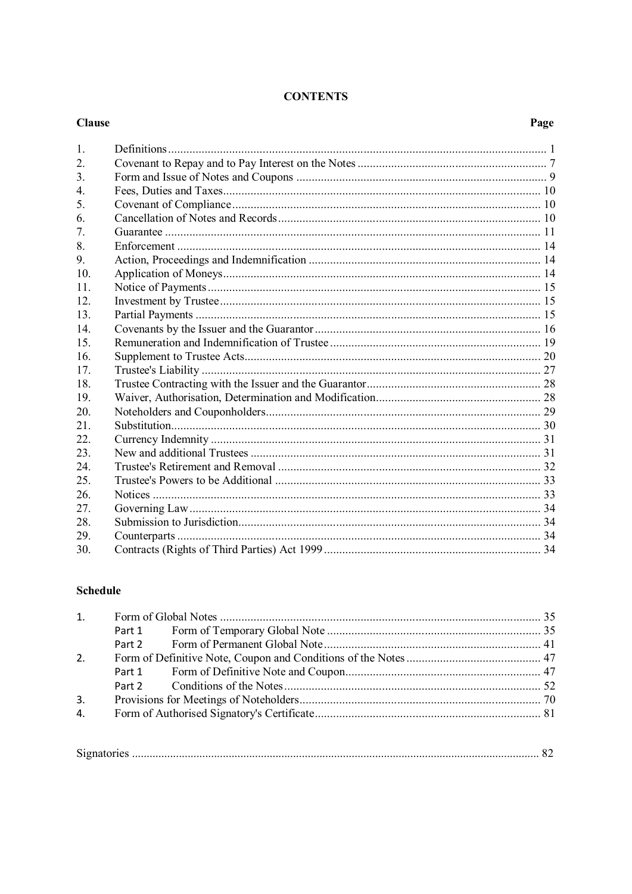# **CONTENTS**

#### **Clause**

# Page

| $\mathbf{1}$ .   |  |
|------------------|--|
| 2.               |  |
| 3.               |  |
| $\overline{4}$ . |  |
| 5.               |  |
| 6.               |  |
| 7.               |  |
| 8.               |  |
| 9.               |  |
| 10.              |  |
| 11               |  |
| 12.              |  |
| 13.              |  |
| 14.              |  |
| 15               |  |
| 16.              |  |
| 17.              |  |
| 18.              |  |
| 19               |  |
| 20.              |  |
| 21.              |  |
| 22.              |  |
| 23.              |  |
| 24               |  |
| 25.              |  |
| 26.              |  |
| 27.              |  |
| 28.              |  |
| 29.              |  |
| 30.              |  |

# **Schedule**

| 2. |  |  |  |
|----|--|--|--|
|    |  |  |  |
|    |  |  |  |
| 3. |  |  |  |
| 4. |  |  |  |
|    |  |  |  |

| $\sim$ |
|--------|
|--------|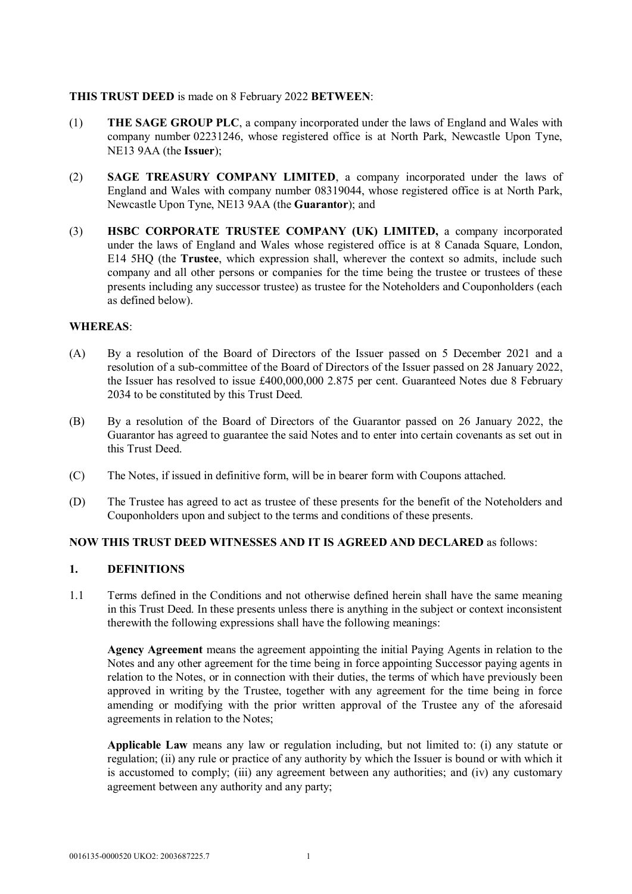## **THIS TRUST DEED** is made on 8 February 2022 **BETWEEN**:

- (1) **THE SAGE GROUP PLC**, a company incorporated under the laws of England and Wales with company number 02231246, whose registered office is at North Park, Newcastle Upon Tyne, NE13 9AA (the **Issuer**);
- (2) **SAGE TREASURY COMPANY LIMITED**, a company incorporated under the laws of England and Wales with company number 08319044, whose registered office is at North Park, Newcastle Upon Tyne, NE13 9AA (the **Guarantor**); and
- (3) **HSBC CORPORATE TRUSTEE COMPANY (UK) LIMITED,** a company incorporated under the laws of England and Wales whose registered office is at 8 Canada Square, London, E14 5HQ (the **Trustee**, which expression shall, wherever the context so admits, include such company and all other persons or companies for the time being the trustee or trustees of these presents including any successor trustee) as trustee for the Noteholders and Couponholders (each as defined below).

# **WHEREAS**:

- (A) By a resolution of the Board of Directors of the Issuer passed on 5 December 2021 and a resolution of a sub-committee of the Board of Directors of the Issuer passed on 28 January 2022, the Issuer has resolved to issue £400,000,000 2.875 per cent. Guaranteed Notes due 8 February 2034 to be constituted by this Trust Deed.
- (B) By a resolution of the Board of Directors of the Guarantor passed on 26 January 2022, the Guarantor has agreed to guarantee the said Notes and to enter into certain covenants as set out in this Trust Deed.
- (C) The Notes, if issued in definitive form, will be in bearer form with Coupons attached.
- (D) The Trustee has agreed to act as trustee of these presents for the benefit of the Noteholders and Couponholders upon and subject to the terms and conditions of these presents.

#### **NOW THIS TRUST DEED WITNESSES AND IT IS AGREED AND DECLARED** as follows:

#### **1. DEFINITIONS**

1.1 Terms defined in the Conditions and not otherwise defined herein shall have the same meaning in this Trust Deed. In these presents unless there is anything in the subject or context inconsistent therewith the following expressions shall have the following meanings:

**Agency Agreement** means the agreement appointing the initial Paying Agents in relation to the Notes and any other agreement for the time being in force appointing Successor paying agents in relation to the Notes, or in connection with their duties, the terms of which have previously been approved in writing by the Trustee, together with any agreement for the time being in force amending or modifying with the prior written approval of the Trustee any of the aforesaid agreements in relation to the Notes;

**Applicable Law** means any law or regulation including, but not limited to: (i) any statute or regulation; (ii) any rule or practice of any authority by which the Issuer is bound or with which it is accustomed to comply; (iii) any agreement between any authorities; and (iv) any customary agreement between any authority and any party;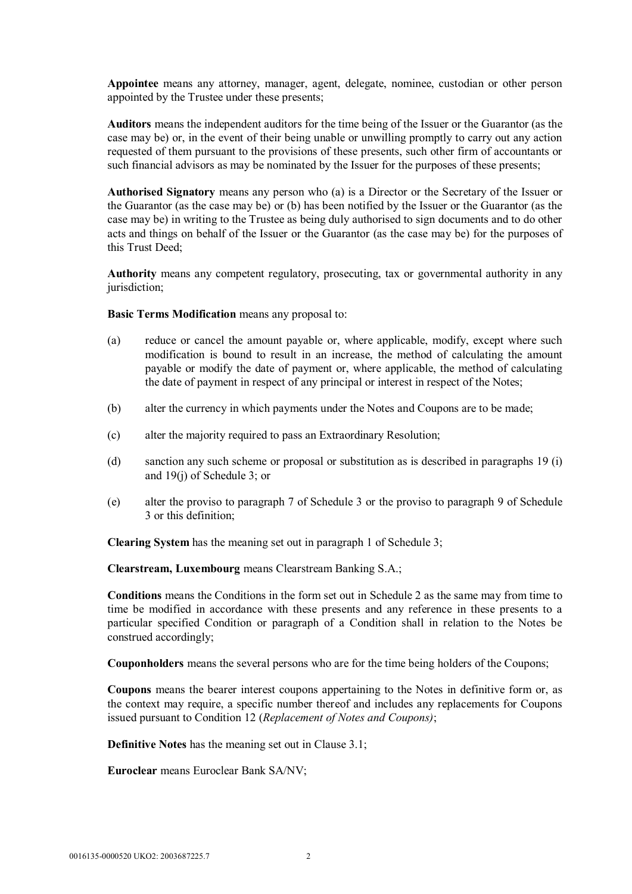**Appointee** means any attorney, manager, agent, delegate, nominee, custodian or other person appointed by the Trustee under these presents;

**Auditors** means the independent auditors for the time being of the Issuer or the Guarantor (as the case may be) or, in the event of their being unable or unwilling promptly to carry out any action requested of them pursuant to the provisions of these presents, such other firm of accountants or such financial advisors as may be nominated by the Issuer for the purposes of these presents;

**Authorised Signatory** means any person who (a) is a Director or the Secretary of the Issuer or the Guarantor (as the case may be) or (b) has been notified by the Issuer or the Guarantor (as the case may be) in writing to the Trustee as being duly authorised to sign documents and to do other acts and things on behalf of the Issuer or the Guarantor (as the case may be) for the purposes of this Trust Deed;

**Authority** means any competent regulatory, prosecuting, tax or governmental authority in any jurisdiction;

**Basic Terms Modification** means any proposal to:

- (a) reduce or cancel the amount payable or, where applicable, modify, except where such modification is bound to result in an increase, the method of calculating the amount payable or modify the date of payment or, where applicable, the method of calculating the date of payment in respect of any principal or interest in respect of the Notes;
- (b) alter the currency in which payments under the Notes and Coupons are to be made;
- (c) alter the majority required to pass an Extraordinary Resolution;
- (d) sanction any such scheme or proposal or substitution as is described in paragraphs 19 (i) and 19(j) of Schedule 3; or
- (e) alter the proviso to paragraph 7 of Schedule 3 or the proviso to paragraph 9 of Schedule 3 or this definition;

**Clearing System** has the meaning set out in paragraph 1 of Schedule 3;

**Clearstream, Luxembourg** means Clearstream Banking S.A.;

**Conditions** means the Conditions in the form set out in Schedule 2 as the same may from time to time be modified in accordance with these presents and any reference in these presents to a particular specified Condition or paragraph of a Condition shall in relation to the Notes be construed accordingly;

**Couponholders** means the several persons who are for the time being holders of the Coupons;

**Coupons** means the bearer interest coupons appertaining to the Notes in definitive form or, as the context may require, a specific number thereof and includes any replacements for Coupons issued pursuant to Condition 12 (*Replacement of Notes and Coupons)*;

**Definitive Notes** has the meaning set out in Clause 3.1;

**Euroclear** means Euroclear Bank SA/NV;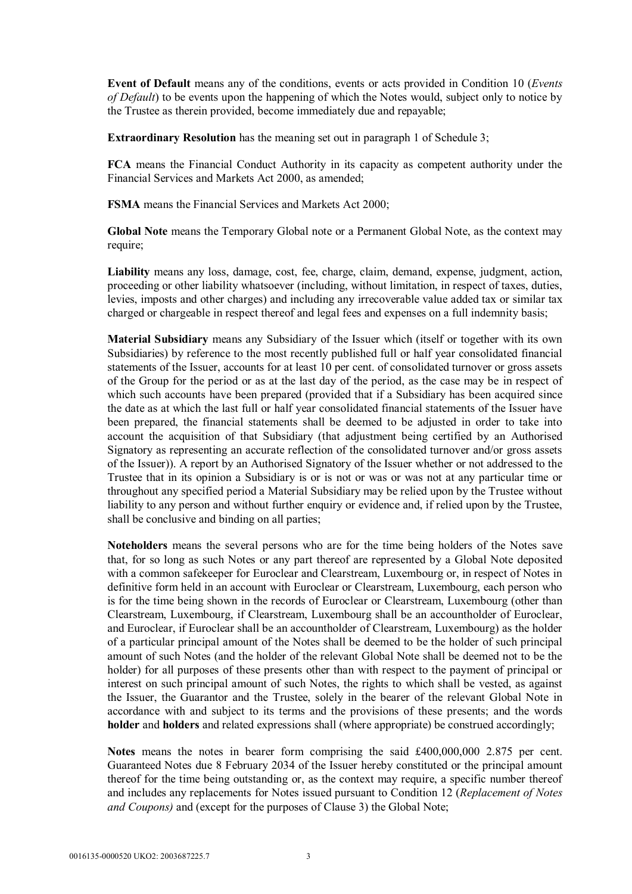**Event of Default** means any of the conditions, events or acts provided in Condition 10 (*Events of Default*) to be events upon the happening of which the Notes would, subject only to notice by the Trustee as therein provided, become immediately due and repayable;

**Extraordinary Resolution** has the meaning set out in paragraph 1 of Schedule 3;

**FCA** means the Financial Conduct Authority in its capacity as competent authority under the Financial Services and Markets Act 2000, as amended;

**FSMA** means the Financial Services and Markets Act 2000;

**Global Note** means the Temporary Global note or a Permanent Global Note, as the context may require;

**Liability** means any loss, damage, cost, fee, charge, claim, demand, expense, judgment, action, proceeding or other liability whatsoever (including, without limitation, in respect of taxes, duties, levies, imposts and other charges) and including any irrecoverable value added tax or similar tax charged or chargeable in respect thereof and legal fees and expenses on a full indemnity basis;

**Material Subsidiary** means any Subsidiary of the Issuer which (itself or together with its own Subsidiaries) by reference to the most recently published full or half year consolidated financial statements of the Issuer, accounts for at least 10 per cent. of consolidated turnover or gross assets of the Group for the period or as at the last day of the period, as the case may be in respect of which such accounts have been prepared (provided that if a Subsidiary has been acquired since the date as at which the last full or half year consolidated financial statements of the Issuer have been prepared, the financial statements shall be deemed to be adjusted in order to take into account the acquisition of that Subsidiary (that adjustment being certified by an Authorised Signatory as representing an accurate reflection of the consolidated turnover and/or gross assets of the Issuer)). A report by an Authorised Signatory of the Issuer whether or not addressed to the Trustee that in its opinion a Subsidiary is or is not or was or was not at any particular time or throughout any specified period a Material Subsidiary may be relied upon by the Trustee without liability to any person and without further enquiry or evidence and, if relied upon by the Trustee, shall be conclusive and binding on all parties;

**Noteholders** means the several persons who are for the time being holders of the Notes save that, for so long as such Notes or any part thereof are represented by a Global Note deposited with a common safekeeper for Euroclear and Clearstream, Luxembourg or, in respect of Notes in definitive form held in an account with Euroclear or Clearstream, Luxembourg, each person who is for the time being shown in the records of Euroclear or Clearstream, Luxembourg (other than Clearstream, Luxembourg, if Clearstream, Luxembourg shall be an accountholder of Euroclear, and Euroclear, if Euroclear shall be an accountholder of Clearstream, Luxembourg) as the holder of a particular principal amount of the Notes shall be deemed to be the holder of such principal amount of such Notes (and the holder of the relevant Global Note shall be deemed not to be the holder) for all purposes of these presents other than with respect to the payment of principal or interest on such principal amount of such Notes, the rights to which shall be vested, as against the Issuer, the Guarantor and the Trustee, solely in the bearer of the relevant Global Note in accordance with and subject to its terms and the provisions of these presents; and the words **holder** and **holders** and related expressions shall (where appropriate) be construed accordingly;

**Notes** means the notes in bearer form comprising the said £400,000,000 2.875 per cent. Guaranteed Notes due 8 February 2034 of the Issuer hereby constituted or the principal amount thereof for the time being outstanding or, as the context may require, a specific number thereof and includes any replacements for Notes issued pursuant to Condition 12 (*Replacement of Notes and Coupons)* and (except for the purposes of Clause 3) the Global Note;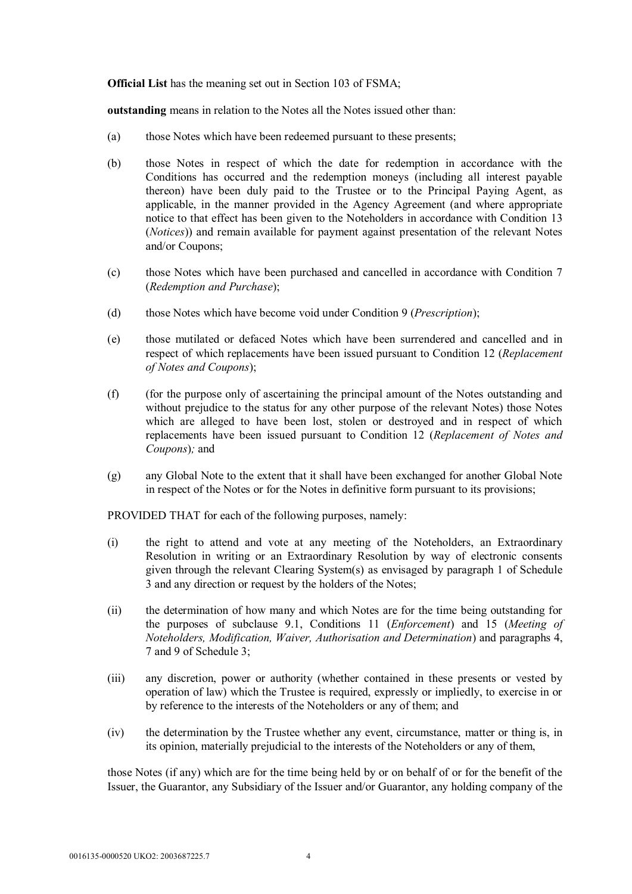**Official List** has the meaning set out in Section 103 of FSMA;

**outstanding** means in relation to the Notes all the Notes issued other than:

- (a) those Notes which have been redeemed pursuant to these presents;
- (b) those Notes in respect of which the date for redemption in accordance with the Conditions has occurred and the redemption moneys (including all interest payable thereon) have been duly paid to the Trustee or to the Principal Paying Agent, as applicable, in the manner provided in the Agency Agreement (and where appropriate notice to that effect has been given to the Noteholders in accordance with Condition 13 (*Notices*)) and remain available for payment against presentation of the relevant Notes and/or Coupons;
- (c) those Notes which have been purchased and cancelled in accordance with Condition 7 (*Redemption and Purchase*);
- (d) those Notes which have become void under Condition 9 (*Prescription*);
- (e) those mutilated or defaced Notes which have been surrendered and cancelled and in respect of which replacements have been issued pursuant to Condition 12 (*Replacement of Notes and Coupons*);
- (f) (for the purpose only of ascertaining the principal amount of the Notes outstanding and without prejudice to the status for any other purpose of the relevant Notes) those Notes which are alleged to have been lost, stolen or destroyed and in respect of which replacements have been issued pursuant to Condition 12 (*Replacement of Notes and Coupons*)*;* and
- (g) any Global Note to the extent that it shall have been exchanged for another Global Note in respect of the Notes or for the Notes in definitive form pursuant to its provisions;

PROVIDED THAT for each of the following purposes, namely:

- (i) the right to attend and vote at any meeting of the Noteholders, an Extraordinary Resolution in writing or an Extraordinary Resolution by way of electronic consents given through the relevant Clearing System(s) as envisaged by paragraph 1 of Schedule 3 and any direction or request by the holders of the Notes;
- (ii) the determination of how many and which Notes are for the time being outstanding for the purposes of subclause 9.1, Conditions 11 (*Enforcement*) and 15 (*Meeting of Noteholders, Modification, Waiver, Authorisation and Determination*) and paragraphs 4, 7 and 9 of Schedule 3;
- (iii) any discretion, power or authority (whether contained in these presents or vested by operation of law) which the Trustee is required, expressly or impliedly, to exercise in or by reference to the interests of the Noteholders or any of them; and
- (iv) the determination by the Trustee whether any event, circumstance, matter or thing is, in its opinion, materially prejudicial to the interests of the Noteholders or any of them,

those Notes (if any) which are for the time being held by or on behalf of or for the benefit of the Issuer, the Guarantor, any Subsidiary of the Issuer and/or Guarantor, any holding company of the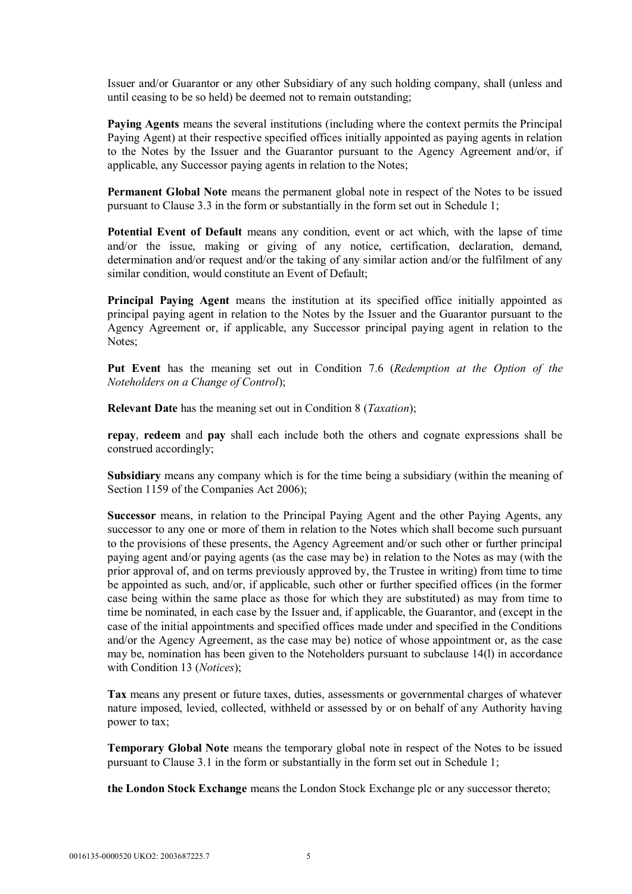Issuer and/or Guarantor or any other Subsidiary of any such holding company, shall (unless and until ceasing to be so held) be deemed not to remain outstanding;

**Paying Agents** means the several institutions (including where the context permits the Principal Paying Agent) at their respective specified offices initially appointed as paying agents in relation to the Notes by the Issuer and the Guarantor pursuant to the Agency Agreement and/or, if applicable, any Successor paying agents in relation to the Notes;

**Permanent Global Note** means the permanent global note in respect of the Notes to be issued pursuant to Clause 3.3 in the form or substantially in the form set out in Schedule 1;

**Potential Event of Default** means any condition, event or act which, with the lapse of time and/or the issue, making or giving of any notice, certification, declaration, demand, determination and/or request and/or the taking of any similar action and/or the fulfilment of any similar condition, would constitute an Event of Default;

**Principal Paying Agent** means the institution at its specified office initially appointed as principal paying agent in relation to the Notes by the Issuer and the Guarantor pursuant to the Agency Agreement or, if applicable, any Successor principal paying agent in relation to the Notes;

**Put Event** has the meaning set out in Condition 7.6 (*Redemption at the Option of the Noteholders on a Change of Control*);

**Relevant Date** has the meaning set out in Condition 8 (*Taxation*);

**repay**, **redeem** and **pay** shall each include both the others and cognate expressions shall be construed accordingly;

**Subsidiary** means any company which is for the time being a subsidiary (within the meaning of Section 1159 of the Companies Act 2006);

**Successor** means, in relation to the Principal Paying Agent and the other Paying Agents, any successor to any one or more of them in relation to the Notes which shall become such pursuant to the provisions of these presents, the Agency Agreement and/or such other or further principal paying agent and/or paying agents (as the case may be) in relation to the Notes as may (with the prior approval of, and on terms previously approved by, the Trustee in writing) from time to time be appointed as such, and/or, if applicable, such other or further specified offices (in the former case being within the same place as those for which they are substituted) as may from time to time be nominated, in each case by the Issuer and, if applicable, the Guarantor, and (except in the case of the initial appointments and specified offices made under and specified in the Conditions and/or the Agency Agreement, as the case may be) notice of whose appointment or, as the case may be, nomination has been given to the Noteholders pursuant to subclause 14(l) in accordance with Condition 13 (*Notices*);

**Tax** means any present or future taxes, duties, assessments or governmental charges of whatever nature imposed, levied, collected, withheld or assessed by or on behalf of any Authority having power to tax;

**Temporary Global Note** means the temporary global note in respect of the Notes to be issued pursuant to Clause 3.1 in the form or substantially in the form set out in Schedule 1;

**the London Stock Exchange** means the London Stock Exchange plc or any successor thereto;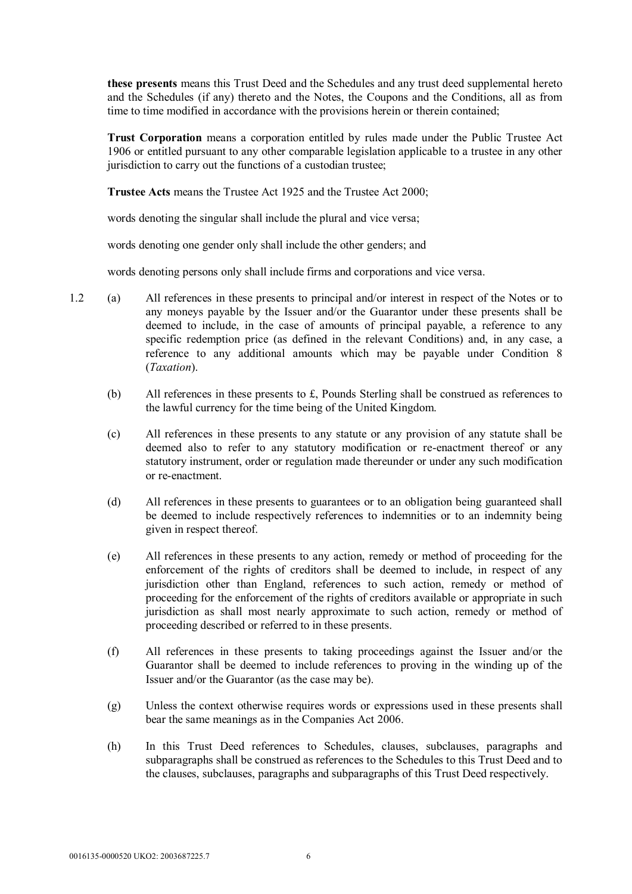**these presents** means this Trust Deed and the Schedules and any trust deed supplemental hereto and the Schedules (if any) thereto and the Notes, the Coupons and the Conditions, all as from time to time modified in accordance with the provisions herein or therein contained;

**Trust Corporation** means a corporation entitled by rules made under the Public Trustee Act 1906 or entitled pursuant to any other comparable legislation applicable to a trustee in any other jurisdiction to carry out the functions of a custodian trustee;

**Trustee Acts** means the Trustee Act 1925 and the Trustee Act 2000;

words denoting the singular shall include the plural and vice versa;

words denoting one gender only shall include the other genders; and

words denoting persons only shall include firms and corporations and vice versa.

- 1.2 (a) All references in these presents to principal and/or interest in respect of the Notes or to any moneys payable by the Issuer and/or the Guarantor under these presents shall be deemed to include, in the case of amounts of principal payable, a reference to any specific redemption price (as defined in the relevant Conditions) and, in any case, a reference to any additional amounts which may be payable under Condition 8 (*Taxation*).
	- (b) All references in these presents to £, Pounds Sterling shall be construed as references to the lawful currency for the time being of the United Kingdom.
	- (c) All references in these presents to any statute or any provision of any statute shall be deemed also to refer to any statutory modification or re-enactment thereof or any statutory instrument, order or regulation made thereunder or under any such modification or re-enactment.
	- (d) All references in these presents to guarantees or to an obligation being guaranteed shall be deemed to include respectively references to indemnities or to an indemnity being given in respect thereof.
	- (e) All references in these presents to any action, remedy or method of proceeding for the enforcement of the rights of creditors shall be deemed to include, in respect of any jurisdiction other than England, references to such action, remedy or method of proceeding for the enforcement of the rights of creditors available or appropriate in such jurisdiction as shall most nearly approximate to such action, remedy or method of proceeding described or referred to in these presents.
	- (f) All references in these presents to taking proceedings against the Issuer and/or the Guarantor shall be deemed to include references to proving in the winding up of the Issuer and/or the Guarantor (as the case may be).
	- (g) Unless the context otherwise requires words or expressions used in these presents shall bear the same meanings as in the Companies Act 2006.
	- (h) In this Trust Deed references to Schedules, clauses, subclauses, paragraphs and subparagraphs shall be construed as references to the Schedules to this Trust Deed and to the clauses, subclauses, paragraphs and subparagraphs of this Trust Deed respectively.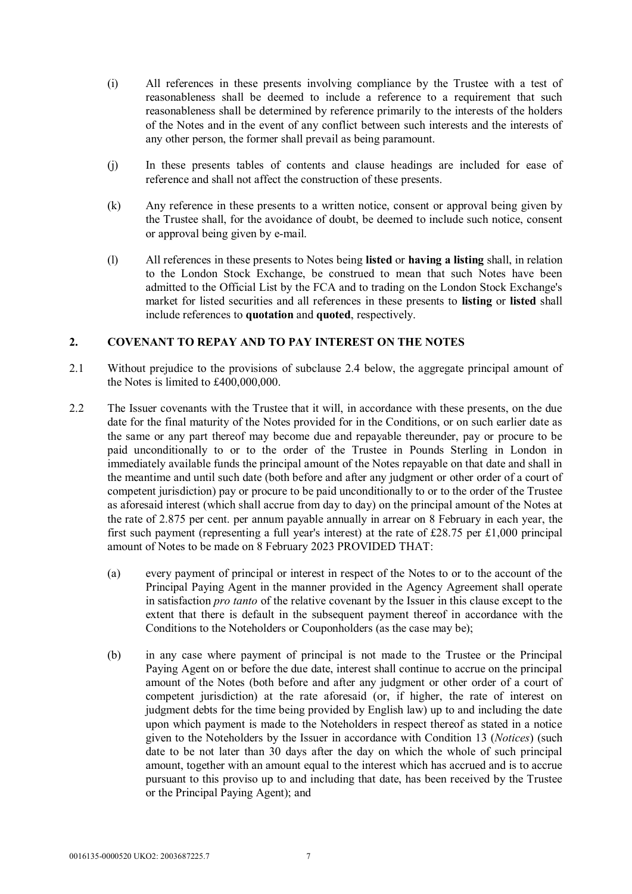- (i) All references in these presents involving compliance by the Trustee with a test of reasonableness shall be deemed to include a reference to a requirement that such reasonableness shall be determined by reference primarily to the interests of the holders of the Notes and in the event of any conflict between such interests and the interests of any other person, the former shall prevail as being paramount.
- (j) In these presents tables of contents and clause headings are included for ease of reference and shall not affect the construction of these presents.
- (k) Any reference in these presents to a written notice, consent or approval being given by the Trustee shall, for the avoidance of doubt, be deemed to include such notice, consent or approval being given by e-mail.
- (l) All references in these presents to Notes being **listed** or **having a listing** shall, in relation to the London Stock Exchange, be construed to mean that such Notes have been admitted to the Official List by the FCA and to trading on the London Stock Exchange's market for listed securities and all references in these presents to **listing** or **listed** shall include references to **quotation** and **quoted**, respectively.

# **2. COVENANT TO REPAY AND TO PAY INTEREST ON THE NOTES**

- 2.1 Without prejudice to the provisions of subclause 2.4 below, the aggregate principal amount of the Notes is limited to £400,000,000.
- 2.2 The Issuer covenants with the Trustee that it will, in accordance with these presents, on the due date for the final maturity of the Notes provided for in the Conditions, or on such earlier date as the same or any part thereof may become due and repayable thereunder, pay or procure to be paid unconditionally to or to the order of the Trustee in Pounds Sterling in London in immediately available funds the principal amount of the Notes repayable on that date and shall in the meantime and until such date (both before and after any judgment or other order of a court of competent jurisdiction) pay or procure to be paid unconditionally to or to the order of the Trustee as aforesaid interest (which shall accrue from day to day) on the principal amount of the Notes at the rate of 2.875 per cent. per annum payable annually in arrear on 8 February in each year, the first such payment (representing a full year's interest) at the rate of £28.75 per £1,000 principal amount of Notes to be made on 8 February 2023 PROVIDED THAT:
	- (a) every payment of principal or interest in respect of the Notes to or to the account of the Principal Paying Agent in the manner provided in the Agency Agreement shall operate in satisfaction *pro tanto* of the relative covenant by the Issuer in this clause except to the extent that there is default in the subsequent payment thereof in accordance with the Conditions to the Noteholders or Couponholders (as the case may be);
	- (b) in any case where payment of principal is not made to the Trustee or the Principal Paying Agent on or before the due date, interest shall continue to accrue on the principal amount of the Notes (both before and after any judgment or other order of a court of competent jurisdiction) at the rate aforesaid (or, if higher, the rate of interest on judgment debts for the time being provided by English law) up to and including the date upon which payment is made to the Noteholders in respect thereof as stated in a notice given to the Noteholders by the Issuer in accordance with Condition 13 (*Notices*) (such date to be not later than 30 days after the day on which the whole of such principal amount, together with an amount equal to the interest which has accrued and is to accrue pursuant to this proviso up to and including that date, has been received by the Trustee or the Principal Paying Agent); and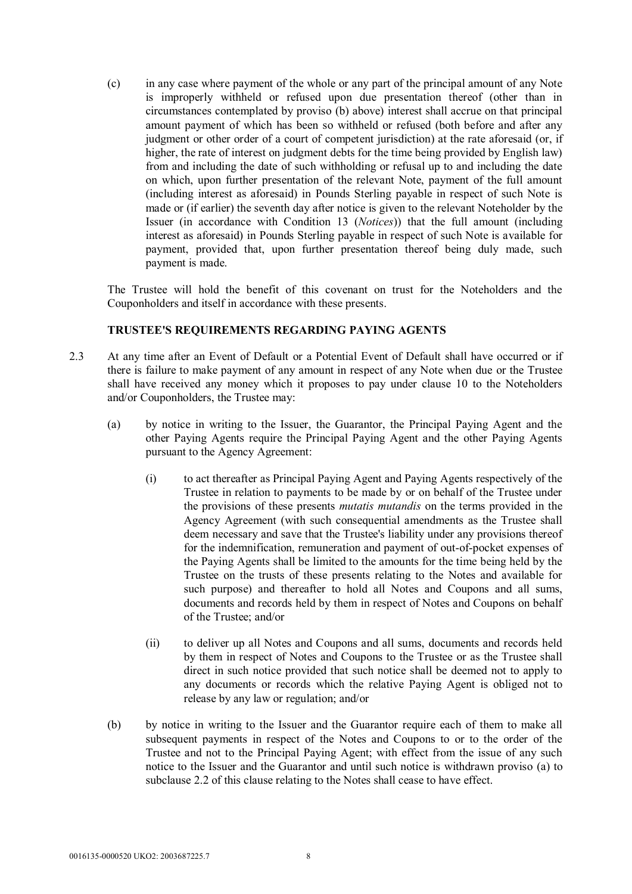(c) in any case where payment of the whole or any part of the principal amount of any Note is improperly withheld or refused upon due presentation thereof (other than in circumstances contemplated by proviso (b) above) interest shall accrue on that principal amount payment of which has been so withheld or refused (both before and after any judgment or other order of a court of competent jurisdiction) at the rate aforesaid (or, if higher, the rate of interest on judgment debts for the time being provided by English law) from and including the date of such withholding or refusal up to and including the date on which, upon further presentation of the relevant Note, payment of the full amount (including interest as aforesaid) in Pounds Sterling payable in respect of such Note is made or (if earlier) the seventh day after notice is given to the relevant Noteholder by the Issuer (in accordance with Condition 13 (*Notices*)) that the full amount (including interest as aforesaid) in Pounds Sterling payable in respect of such Note is available for payment, provided that, upon further presentation thereof being duly made, such payment is made.

The Trustee will hold the benefit of this covenant on trust for the Noteholders and the Couponholders and itself in accordance with these presents.

# **TRUSTEE'S REQUIREMENTS REGARDING PAYING AGENTS**

- 2.3 At any time after an Event of Default or a Potential Event of Default shall have occurred or if there is failure to make payment of any amount in respect of any Note when due or the Trustee shall have received any money which it proposes to pay under clause 10 to the Noteholders and/or Couponholders, the Trustee may:
	- (a) by notice in writing to the Issuer, the Guarantor, the Principal Paying Agent and the other Paying Agents require the Principal Paying Agent and the other Paying Agents pursuant to the Agency Agreement:
		- (i) to act thereafter as Principal Paying Agent and Paying Agents respectively of the Trustee in relation to payments to be made by or on behalf of the Trustee under the provisions of these presents *mutatis mutandis* on the terms provided in the Agency Agreement (with such consequential amendments as the Trustee shall deem necessary and save that the Trustee's liability under any provisions thereof for the indemnification, remuneration and payment of out-of-pocket expenses of the Paying Agents shall be limited to the amounts for the time being held by the Trustee on the trusts of these presents relating to the Notes and available for such purpose) and thereafter to hold all Notes and Coupons and all sums, documents and records held by them in respect of Notes and Coupons on behalf of the Trustee; and/or
		- (ii) to deliver up all Notes and Coupons and all sums, documents and records held by them in respect of Notes and Coupons to the Trustee or as the Trustee shall direct in such notice provided that such notice shall be deemed not to apply to any documents or records which the relative Paying Agent is obliged not to release by any law or regulation; and/or
	- (b) by notice in writing to the Issuer and the Guarantor require each of them to make all subsequent payments in respect of the Notes and Coupons to or to the order of the Trustee and not to the Principal Paying Agent; with effect from the issue of any such notice to the Issuer and the Guarantor and until such notice is withdrawn proviso (a) to subclause 2.2 of this clause relating to the Notes shall cease to have effect.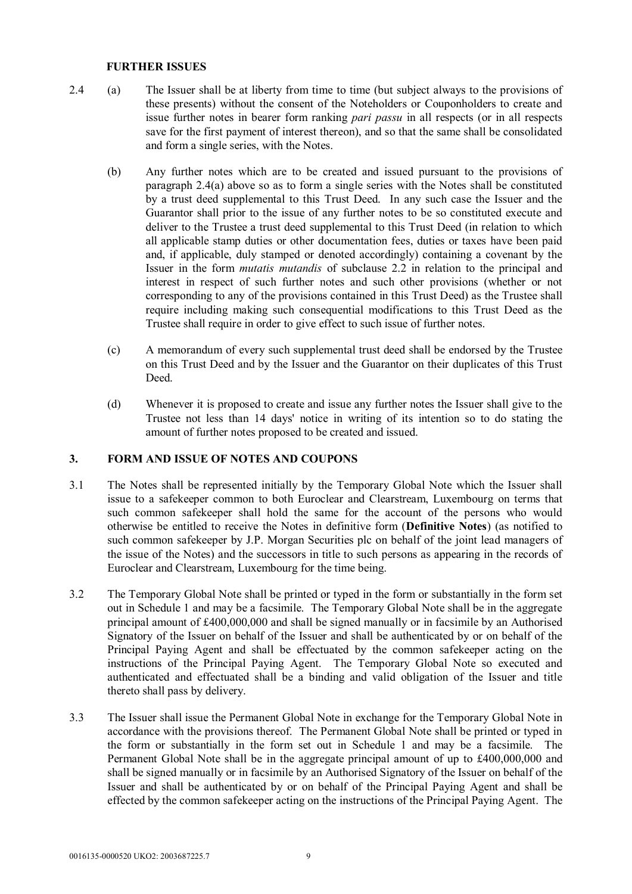#### **FURTHER ISSUES**

- 2.4 (a) The Issuer shall be at liberty from time to time (but subject always to the provisions of these presents) without the consent of the Noteholders or Couponholders to create and issue further notes in bearer form ranking *pari passu* in all respects (or in all respects save for the first payment of interest thereon), and so that the same shall be consolidated and form a single series, with the Notes.
	- (b) Any further notes which are to be created and issued pursuant to the provisions of paragraph 2.4(a) above so as to form a single series with the Notes shall be constituted by a trust deed supplemental to this Trust Deed. In any such case the Issuer and the Guarantor shall prior to the issue of any further notes to be so constituted execute and deliver to the Trustee a trust deed supplemental to this Trust Deed (in relation to which all applicable stamp duties or other documentation fees, duties or taxes have been paid and, if applicable, duly stamped or denoted accordingly) containing a covenant by the Issuer in the form *mutatis mutandis* of subclause 2.2 in relation to the principal and interest in respect of such further notes and such other provisions (whether or not corresponding to any of the provisions contained in this Trust Deed) as the Trustee shall require including making such consequential modifications to this Trust Deed as the Trustee shall require in order to give effect to such issue of further notes.
	- (c) A memorandum of every such supplemental trust deed shall be endorsed by the Trustee on this Trust Deed and by the Issuer and the Guarantor on their duplicates of this Trust Deed.
	- (d) Whenever it is proposed to create and issue any further notes the Issuer shall give to the Trustee not less than 14 days' notice in writing of its intention so to do stating the amount of further notes proposed to be created and issued.

# **3. FORM AND ISSUE OF NOTES AND COUPONS**

- 3.1 The Notes shall be represented initially by the Temporary Global Note which the Issuer shall issue to a safekeeper common to both Euroclear and Clearstream, Luxembourg on terms that such common safekeeper shall hold the same for the account of the persons who would otherwise be entitled to receive the Notes in definitive form (**Definitive Notes**) (as notified to such common safekeeper by J.P. Morgan Securities plc on behalf of the joint lead managers of the issue of the Notes) and the successors in title to such persons as appearing in the records of Euroclear and Clearstream, Luxembourg for the time being.
- 3.2 The Temporary Global Note shall be printed or typed in the form or substantially in the form set out in Schedule 1 and may be a facsimile. The Temporary Global Note shall be in the aggregate principal amount of £400,000,000 and shall be signed manually or in facsimile by an Authorised Signatory of the Issuer on behalf of the Issuer and shall be authenticated by or on behalf of the Principal Paying Agent and shall be effectuated by the common safekeeper acting on the instructions of the Principal Paying Agent. The Temporary Global Note so executed and authenticated and effectuated shall be a binding and valid obligation of the Issuer and title thereto shall pass by delivery.
- 3.3 The Issuer shall issue the Permanent Global Note in exchange for the Temporary Global Note in accordance with the provisions thereof. The Permanent Global Note shall be printed or typed in the form or substantially in the form set out in Schedule 1 and may be a facsimile. The Permanent Global Note shall be in the aggregate principal amount of up to £400,000,000 and shall be signed manually or in facsimile by an Authorised Signatory of the Issuer on behalf of the Issuer and shall be authenticated by or on behalf of the Principal Paying Agent and shall be effected by the common safekeeper acting on the instructions of the Principal Paying Agent. The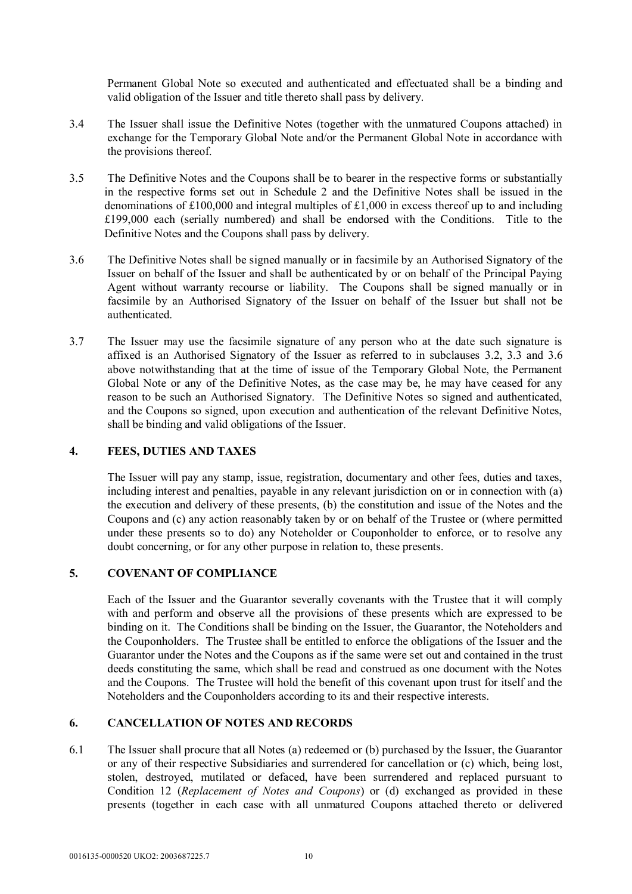Permanent Global Note so executed and authenticated and effectuated shall be a binding and valid obligation of the Issuer and title thereto shall pass by delivery.

- 3.4 The Issuer shall issue the Definitive Notes (together with the unmatured Coupons attached) in exchange for the Temporary Global Note and/or the Permanent Global Note in accordance with the provisions thereof.
- 3.5 The Definitive Notes and the Coupons shall be to bearer in the respective forms or substantially in the respective forms set out in Schedule 2 and the Definitive Notes shall be issued in the denominations of £100,000 and integral multiples of £1,000 in excess thereof up to and including £199,000 each (serially numbered) and shall be endorsed with the Conditions. Title to the Definitive Notes and the Coupons shall pass by delivery.
- 3.6 The Definitive Notes shall be signed manually or in facsimile by an Authorised Signatory of the Issuer on behalf of the Issuer and shall be authenticated by or on behalf of the Principal Paying Agent without warranty recourse or liability. The Coupons shall be signed manually or in facsimile by an Authorised Signatory of the Issuer on behalf of the Issuer but shall not be authenticated.
- 3.7 The Issuer may use the facsimile signature of any person who at the date such signature is affixed is an Authorised Signatory of the Issuer as referred to in subclauses 3.2, 3.3 and 3.6 above notwithstanding that at the time of issue of the Temporary Global Note, the Permanent Global Note or any of the Definitive Notes, as the case may be, he may have ceased for any reason to be such an Authorised Signatory. The Definitive Notes so signed and authenticated, and the Coupons so signed, upon execution and authentication of the relevant Definitive Notes, shall be binding and valid obligations of the Issuer.

## **4. FEES, DUTIES AND TAXES**

The Issuer will pay any stamp, issue, registration, documentary and other fees, duties and taxes, including interest and penalties, payable in any relevant jurisdiction on or in connection with (a) the execution and delivery of these presents, (b) the constitution and issue of the Notes and the Coupons and (c) any action reasonably taken by or on behalf of the Trustee or (where permitted under these presents so to do) any Noteholder or Couponholder to enforce, or to resolve any doubt concerning, or for any other purpose in relation to, these presents.

#### **5. COVENANT OF COMPLIANCE**

Each of the Issuer and the Guarantor severally covenants with the Trustee that it will comply with and perform and observe all the provisions of these presents which are expressed to be binding on it. The Conditions shall be binding on the Issuer, the Guarantor, the Noteholders and the Couponholders. The Trustee shall be entitled to enforce the obligations of the Issuer and the Guarantor under the Notes and the Coupons as if the same were set out and contained in the trust deeds constituting the same, which shall be read and construed as one document with the Notes and the Coupons. The Trustee will hold the benefit of this covenant upon trust for itself and the Noteholders and the Couponholders according to its and their respective interests.

# **6. CANCELLATION OF NOTES AND RECORDS**

6.1 The Issuer shall procure that all Notes (a) redeemed or (b) purchased by the Issuer, the Guarantor or any of their respective Subsidiaries and surrendered for cancellation or (c) which, being lost, stolen, destroyed, mutilated or defaced, have been surrendered and replaced pursuant to Condition 12 (*Replacement of Notes and Coupons*) or (d) exchanged as provided in these presents (together in each case with all unmatured Coupons attached thereto or delivered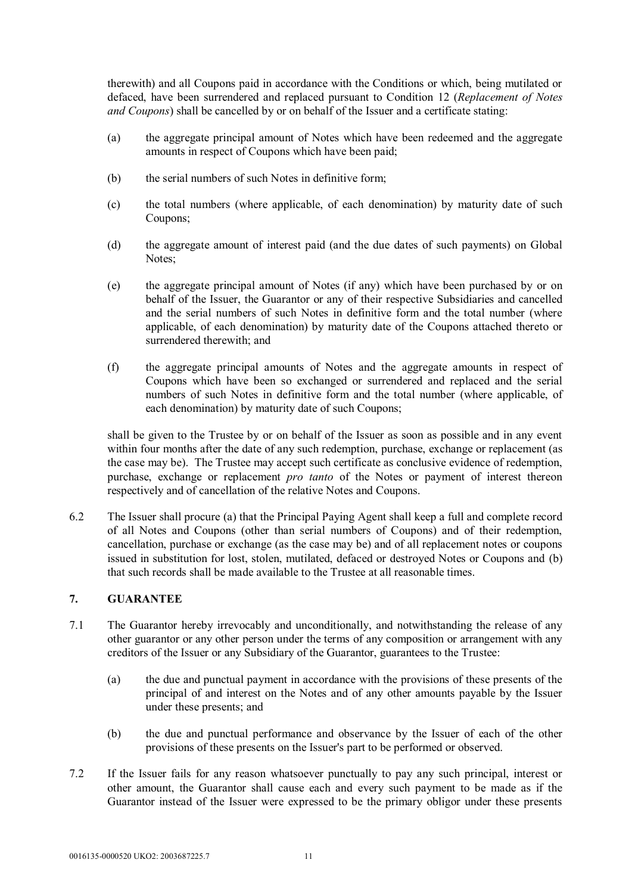therewith) and all Coupons paid in accordance with the Conditions or which, being mutilated or defaced, have been surrendered and replaced pursuant to Condition 12 (*Replacement of Notes and Coupons*) shall be cancelled by or on behalf of the Issuer and a certificate stating:

- (a) the aggregate principal amount of Notes which have been redeemed and the aggregate amounts in respect of Coupons which have been paid;
- (b) the serial numbers of such Notes in definitive form;
- (c) the total numbers (where applicable, of each denomination) by maturity date of such Coupons;
- (d) the aggregate amount of interest paid (and the due dates of such payments) on Global Notes;
- (e) the aggregate principal amount of Notes (if any) which have been purchased by or on behalf of the Issuer, the Guarantor or any of their respective Subsidiaries and cancelled and the serial numbers of such Notes in definitive form and the total number (where applicable, of each denomination) by maturity date of the Coupons attached thereto or surrendered therewith; and
- (f) the aggregate principal amounts of Notes and the aggregate amounts in respect of Coupons which have been so exchanged or surrendered and replaced and the serial numbers of such Notes in definitive form and the total number (where applicable, of each denomination) by maturity date of such Coupons;

shall be given to the Trustee by or on behalf of the Issuer as soon as possible and in any event within four months after the date of any such redemption, purchase, exchange or replacement (as the case may be). The Trustee may accept such certificate as conclusive evidence of redemption, purchase, exchange or replacement *pro tanto* of the Notes or payment of interest thereon respectively and of cancellation of the relative Notes and Coupons.

6.2 The Issuer shall procure (a) that the Principal Paying Agent shall keep a full and complete record of all Notes and Coupons (other than serial numbers of Coupons) and of their redemption, cancellation, purchase or exchange (as the case may be) and of all replacement notes or coupons issued in substitution for lost, stolen, mutilated, defaced or destroyed Notes or Coupons and (b) that such records shall be made available to the Trustee at all reasonable times.

# **7. GUARANTEE**

- 7.1 The Guarantor hereby irrevocably and unconditionally, and notwithstanding the release of any other guarantor or any other person under the terms of any composition or arrangement with any creditors of the Issuer or any Subsidiary of the Guarantor, guarantees to the Trustee:
	- (a) the due and punctual payment in accordance with the provisions of these presents of the principal of and interest on the Notes and of any other amounts payable by the Issuer under these presents; and
	- (b) the due and punctual performance and observance by the Issuer of each of the other provisions of these presents on the Issuer's part to be performed or observed.
- 7.2 If the Issuer fails for any reason whatsoever punctually to pay any such principal, interest or other amount, the Guarantor shall cause each and every such payment to be made as if the Guarantor instead of the Issuer were expressed to be the primary obligor under these presents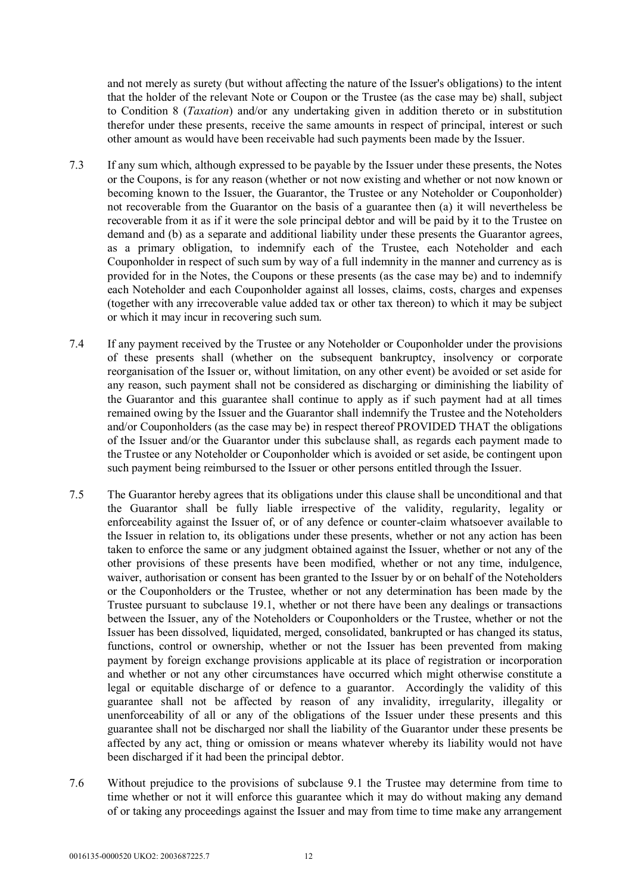and not merely as surety (but without affecting the nature of the Issuer's obligations) to the intent that the holder of the relevant Note or Coupon or the Trustee (as the case may be) shall, subject to Condition 8 (*Taxation*) and/or any undertaking given in addition thereto or in substitution therefor under these presents, receive the same amounts in respect of principal, interest or such other amount as would have been receivable had such payments been made by the Issuer.

- 7.3 If any sum which, although expressed to be payable by the Issuer under these presents, the Notes or the Coupons, is for any reason (whether or not now existing and whether or not now known or becoming known to the Issuer, the Guarantor, the Trustee or any Noteholder or Couponholder) not recoverable from the Guarantor on the basis of a guarantee then (a) it will nevertheless be recoverable from it as if it were the sole principal debtor and will be paid by it to the Trustee on demand and (b) as a separate and additional liability under these presents the Guarantor agrees, as a primary obligation, to indemnify each of the Trustee, each Noteholder and each Couponholder in respect of such sum by way of a full indemnity in the manner and currency as is provided for in the Notes, the Coupons or these presents (as the case may be) and to indemnify each Noteholder and each Couponholder against all losses, claims, costs, charges and expenses (together with any irrecoverable value added tax or other tax thereon) to which it may be subject or which it may incur in recovering such sum.
- 7.4 If any payment received by the Trustee or any Noteholder or Couponholder under the provisions of these presents shall (whether on the subsequent bankruptcy, insolvency or corporate reorganisation of the Issuer or, without limitation, on any other event) be avoided or set aside for any reason, such payment shall not be considered as discharging or diminishing the liability of the Guarantor and this guarantee shall continue to apply as if such payment had at all times remained owing by the Issuer and the Guarantor shall indemnify the Trustee and the Noteholders and/or Couponholders (as the case may be) in respect thereof PROVIDED THAT the obligations of the Issuer and/or the Guarantor under this subclause shall, as regards each payment made to the Trustee or any Noteholder or Couponholder which is avoided or set aside, be contingent upon such payment being reimbursed to the Issuer or other persons entitled through the Issuer.
- 7.5 The Guarantor hereby agrees that its obligations under this clause shall be unconditional and that the Guarantor shall be fully liable irrespective of the validity, regularity, legality or enforceability against the Issuer of, or of any defence or counter-claim whatsoever available to the Issuer in relation to, its obligations under these presents, whether or not any action has been taken to enforce the same or any judgment obtained against the Issuer, whether or not any of the other provisions of these presents have been modified, whether or not any time, indulgence, waiver, authorisation or consent has been granted to the Issuer by or on behalf of the Noteholders or the Couponholders or the Trustee, whether or not any determination has been made by the Trustee pursuant to subclause 19.1, whether or not there have been any dealings or transactions between the Issuer, any of the Noteholders or Couponholders or the Trustee, whether or not the Issuer has been dissolved, liquidated, merged, consolidated, bankrupted or has changed its status, functions, control or ownership, whether or not the Issuer has been prevented from making payment by foreign exchange provisions applicable at its place of registration or incorporation and whether or not any other circumstances have occurred which might otherwise constitute a legal or equitable discharge of or defence to a guarantor. Accordingly the validity of this guarantee shall not be affected by reason of any invalidity, irregularity, illegality or unenforceability of all or any of the obligations of the Issuer under these presents and this guarantee shall not be discharged nor shall the liability of the Guarantor under these presents be affected by any act, thing or omission or means whatever whereby its liability would not have been discharged if it had been the principal debtor.
- 7.6 Without prejudice to the provisions of subclause 9.1 the Trustee may determine from time to time whether or not it will enforce this guarantee which it may do without making any demand of or taking any proceedings against the Issuer and may from time to time make any arrangement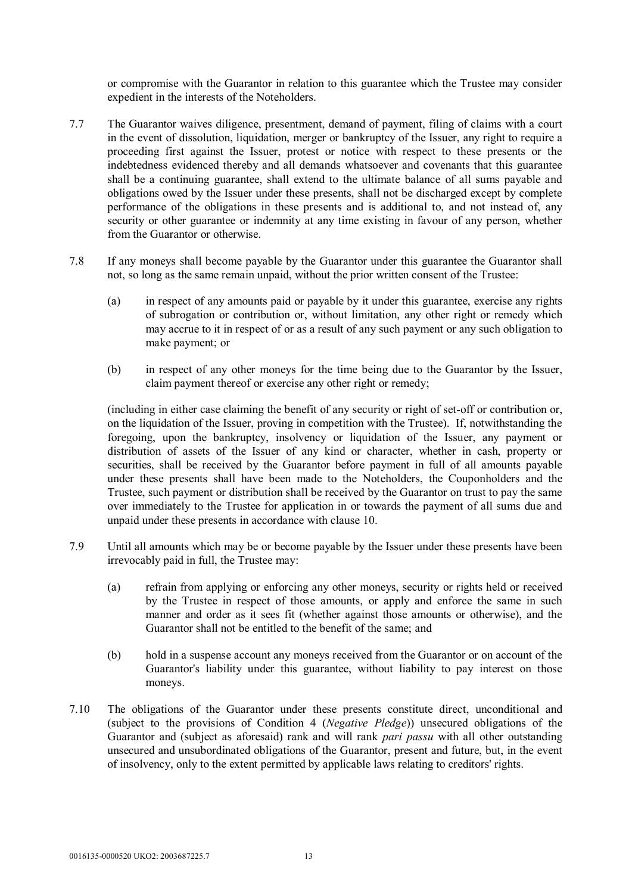or compromise with the Guarantor in relation to this guarantee which the Trustee may consider expedient in the interests of the Noteholders.

- 7.7 The Guarantor waives diligence, presentment, demand of payment, filing of claims with a court in the event of dissolution, liquidation, merger or bankruptcy of the Issuer, any right to require a proceeding first against the Issuer, protest or notice with respect to these presents or the indebtedness evidenced thereby and all demands whatsoever and covenants that this guarantee shall be a continuing guarantee, shall extend to the ultimate balance of all sums payable and obligations owed by the Issuer under these presents, shall not be discharged except by complete performance of the obligations in these presents and is additional to, and not instead of, any security or other guarantee or indemnity at any time existing in favour of any person, whether from the Guarantor or otherwise.
- 7.8 If any moneys shall become payable by the Guarantor under this guarantee the Guarantor shall not, so long as the same remain unpaid, without the prior written consent of the Trustee:
	- (a) in respect of any amounts paid or payable by it under this guarantee, exercise any rights of subrogation or contribution or, without limitation, any other right or remedy which may accrue to it in respect of or as a result of any such payment or any such obligation to make payment; or
	- (b) in respect of any other moneys for the time being due to the Guarantor by the Issuer, claim payment thereof or exercise any other right or remedy;

(including in either case claiming the benefit of any security or right of set-off or contribution or, on the liquidation of the Issuer, proving in competition with the Trustee). If, notwithstanding the foregoing, upon the bankruptcy, insolvency or liquidation of the Issuer, any payment or distribution of assets of the Issuer of any kind or character, whether in cash, property or securities, shall be received by the Guarantor before payment in full of all amounts payable under these presents shall have been made to the Noteholders, the Couponholders and the Trustee, such payment or distribution shall be received by the Guarantor on trust to pay the same over immediately to the Trustee for application in or towards the payment of all sums due and unpaid under these presents in accordance with clause 10.

- 7.9 Until all amounts which may be or become payable by the Issuer under these presents have been irrevocably paid in full, the Trustee may:
	- (a) refrain from applying or enforcing any other moneys, security or rights held or received by the Trustee in respect of those amounts, or apply and enforce the same in such manner and order as it sees fit (whether against those amounts or otherwise), and the Guarantor shall not be entitled to the benefit of the same; and
	- (b) hold in a suspense account any moneys received from the Guarantor or on account of the Guarantor's liability under this guarantee, without liability to pay interest on those moneys.
- 7.10 The obligations of the Guarantor under these presents constitute direct, unconditional and (subject to the provisions of Condition 4 (*Negative Pledge*)) unsecured obligations of the Guarantor and (subject as aforesaid) rank and will rank *pari passu* with all other outstanding unsecured and unsubordinated obligations of the Guarantor, present and future, but, in the event of insolvency, only to the extent permitted by applicable laws relating to creditors' rights.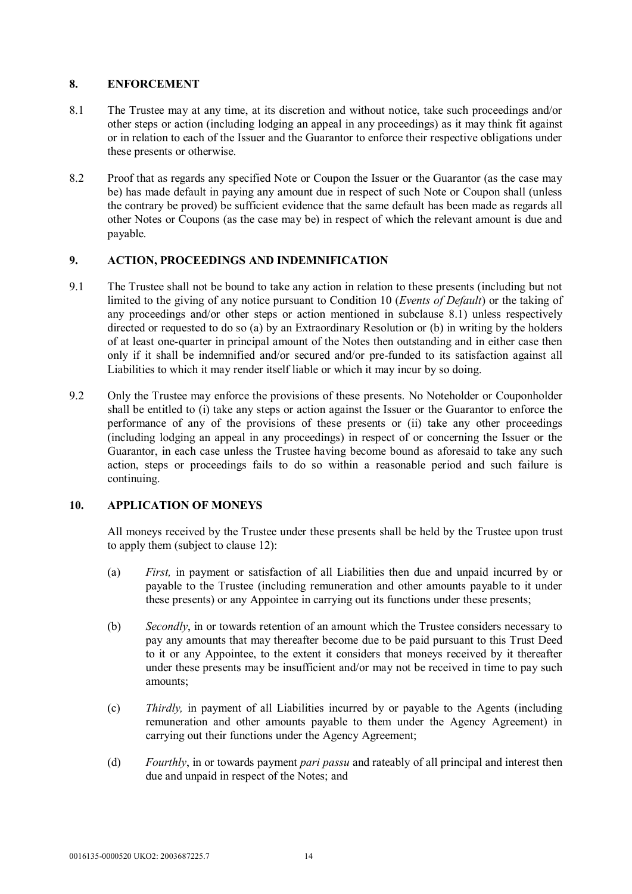# **8. ENFORCEMENT**

- 8.1 The Trustee may at any time, at its discretion and without notice, take such proceedings and/or other steps or action (including lodging an appeal in any proceedings) as it may think fit against or in relation to each of the Issuer and the Guarantor to enforce their respective obligations under these presents or otherwise.
- 8.2 Proof that as regards any specified Note or Coupon the Issuer or the Guarantor (as the case may be) has made default in paying any amount due in respect of such Note or Coupon shall (unless the contrary be proved) be sufficient evidence that the same default has been made as regards all other Notes or Coupons (as the case may be) in respect of which the relevant amount is due and payable.

# **9. ACTION, PROCEEDINGS AND INDEMNIFICATION**

- 9.1 The Trustee shall not be bound to take any action in relation to these presents (including but not limited to the giving of any notice pursuant to Condition 10 (*Events of Default*) or the taking of any proceedings and/or other steps or action mentioned in subclause 8.1) unless respectively directed or requested to do so (a) by an Extraordinary Resolution or (b) in writing by the holders of at least one-quarter in principal amount of the Notes then outstanding and in either case then only if it shall be indemnified and/or secured and/or pre-funded to its satisfaction against all Liabilities to which it may render itself liable or which it may incur by so doing.
- 9.2 Only the Trustee may enforce the provisions of these presents. No Noteholder or Couponholder shall be entitled to (i) take any steps or action against the Issuer or the Guarantor to enforce the performance of any of the provisions of these presents or (ii) take any other proceedings (including lodging an appeal in any proceedings) in respect of or concerning the Issuer or the Guarantor, in each case unless the Trustee having become bound as aforesaid to take any such action, steps or proceedings fails to do so within a reasonable period and such failure is continuing.

# **10. APPLICATION OF MONEYS**

All moneys received by the Trustee under these presents shall be held by the Trustee upon trust to apply them (subject to clause 12):

- (a) *First,* in payment or satisfaction of all Liabilities then due and unpaid incurred by or payable to the Trustee (including remuneration and other amounts payable to it under these presents) or any Appointee in carrying out its functions under these presents;
- (b) *Secondly*, in or towards retention of an amount which the Trustee considers necessary to pay any amounts that may thereafter become due to be paid pursuant to this Trust Deed to it or any Appointee, to the extent it considers that moneys received by it thereafter under these presents may be insufficient and/or may not be received in time to pay such amounts;
- (c) *Thirdly,* in payment of all Liabilities incurred by or payable to the Agents (including remuneration and other amounts payable to them under the Agency Agreement) in carrying out their functions under the Agency Agreement;
- (d) *Fourthly*, in or towards payment *pari passu* and rateably of all principal and interest then due and unpaid in respect of the Notes; and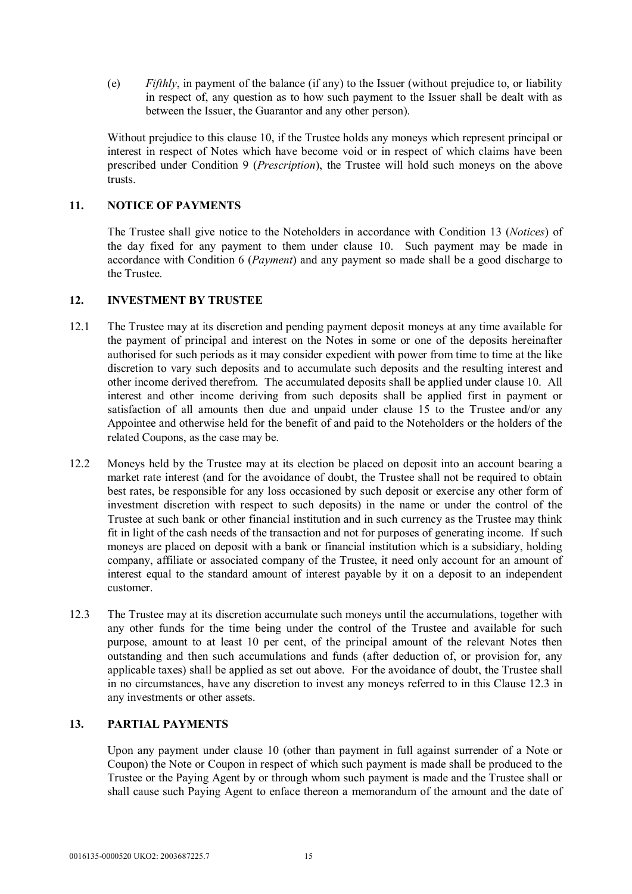(e) *Fifthly*, in payment of the balance (if any) to the Issuer (without prejudice to, or liability in respect of, any question as to how such payment to the Issuer shall be dealt with as between the Issuer, the Guarantor and any other person).

Without prejudice to this clause 10, if the Trustee holds any moneys which represent principal or interest in respect of Notes which have become void or in respect of which claims have been prescribed under Condition 9 (*Prescription*), the Trustee will hold such moneys on the above trusts.

# **11. NOTICE OF PAYMENTS**

The Trustee shall give notice to the Noteholders in accordance with Condition 13 (*Notices*) of the day fixed for any payment to them under clause 10. Such payment may be made in accordance with Condition 6 (*Payment*) and any payment so made shall be a good discharge to the Trustee.

#### **12. INVESTMENT BY TRUSTEE**

- 12.1 The Trustee may at its discretion and pending payment deposit moneys at any time available for the payment of principal and interest on the Notes in some or one of the deposits hereinafter authorised for such periods as it may consider expedient with power from time to time at the like discretion to vary such deposits and to accumulate such deposits and the resulting interest and other income derived therefrom. The accumulated deposits shall be applied under clause 10. All interest and other income deriving from such deposits shall be applied first in payment or satisfaction of all amounts then due and unpaid under clause 15 to the Trustee and/or any Appointee and otherwise held for the benefit of and paid to the Noteholders or the holders of the related Coupons, as the case may be.
- 12.2 Moneys held by the Trustee may at its election be placed on deposit into an account bearing a market rate interest (and for the avoidance of doubt, the Trustee shall not be required to obtain best rates, be responsible for any loss occasioned by such deposit or exercise any other form of investment discretion with respect to such deposits) in the name or under the control of the Trustee at such bank or other financial institution and in such currency as the Trustee may think fit in light of the cash needs of the transaction and not for purposes of generating income. If such moneys are placed on deposit with a bank or financial institution which is a subsidiary, holding company, affiliate or associated company of the Trustee, it need only account for an amount of interest equal to the standard amount of interest payable by it on a deposit to an independent customer.
- 12.3 The Trustee may at its discretion accumulate such moneys until the accumulations, together with any other funds for the time being under the control of the Trustee and available for such purpose, amount to at least 10 per cent, of the principal amount of the relevant Notes then outstanding and then such accumulations and funds (after deduction of, or provision for, any applicable taxes) shall be applied as set out above. For the avoidance of doubt, the Trustee shall in no circumstances, have any discretion to invest any moneys referred to in this Clause 12.3 in any investments or other assets.

# **13. PARTIAL PAYMENTS**

Upon any payment under clause 10 (other than payment in full against surrender of a Note or Coupon) the Note or Coupon in respect of which such payment is made shall be produced to the Trustee or the Paying Agent by or through whom such payment is made and the Trustee shall or shall cause such Paying Agent to enface thereon a memorandum of the amount and the date of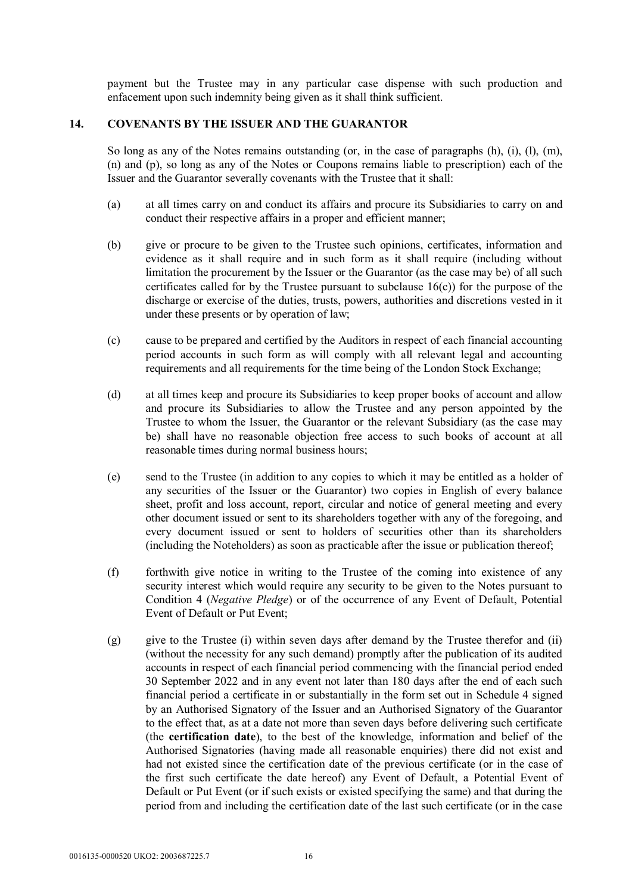payment but the Trustee may in any particular case dispense with such production and enfacement upon such indemnity being given as it shall think sufficient.

## **14. COVENANTS BY THE ISSUER AND THE GUARANTOR**

So long as any of the Notes remains outstanding (or, in the case of paragraphs (h), (i), (l), (m), (n) and (p), so long as any of the Notes or Coupons remains liable to prescription) each of the Issuer and the Guarantor severally covenants with the Trustee that it shall:

- (a) at all times carry on and conduct its affairs and procure its Subsidiaries to carry on and conduct their respective affairs in a proper and efficient manner;
- (b) give or procure to be given to the Trustee such opinions, certificates, information and evidence as it shall require and in such form as it shall require (including without limitation the procurement by the Issuer or the Guarantor (as the case may be) of all such certificates called for by the Trustee pursuant to subclause 16(c)) for the purpose of the discharge or exercise of the duties, trusts, powers, authorities and discretions vested in it under these presents or by operation of law;
- (c) cause to be prepared and certified by the Auditors in respect of each financial accounting period accounts in such form as will comply with all relevant legal and accounting requirements and all requirements for the time being of the London Stock Exchange;
- (d) at all times keep and procure its Subsidiaries to keep proper books of account and allow and procure its Subsidiaries to allow the Trustee and any person appointed by the Trustee to whom the Issuer, the Guarantor or the relevant Subsidiary (as the case may be) shall have no reasonable objection free access to such books of account at all reasonable times during normal business hours;
- (e) send to the Trustee (in addition to any copies to which it may be entitled as a holder of any securities of the Issuer or the Guarantor) two copies in English of every balance sheet, profit and loss account, report, circular and notice of general meeting and every other document issued or sent to its shareholders together with any of the foregoing, and every document issued or sent to holders of securities other than its shareholders (including the Noteholders) as soon as practicable after the issue or publication thereof;
- (f) forthwith give notice in writing to the Trustee of the coming into existence of any security interest which would require any security to be given to the Notes pursuant to Condition 4 (*Negative Pledge*) or of the occurrence of any Event of Default, Potential Event of Default or Put Event;
- (g) give to the Trustee (i) within seven days after demand by the Trustee therefor and (ii) (without the necessity for any such demand) promptly after the publication of its audited accounts in respect of each financial period commencing with the financial period ended 30 September 2022 and in any event not later than 180 days after the end of each such financial period a certificate in or substantially in the form set out in Schedule 4 signed by an Authorised Signatory of the Issuer and an Authorised Signatory of the Guarantor to the effect that, as at a date not more than seven days before delivering such certificate (the **certification date**), to the best of the knowledge, information and belief of the Authorised Signatories (having made all reasonable enquiries) there did not exist and had not existed since the certification date of the previous certificate (or in the case of the first such certificate the date hereof) any Event of Default, a Potential Event of Default or Put Event (or if such exists or existed specifying the same) and that during the period from and including the certification date of the last such certificate (or in the case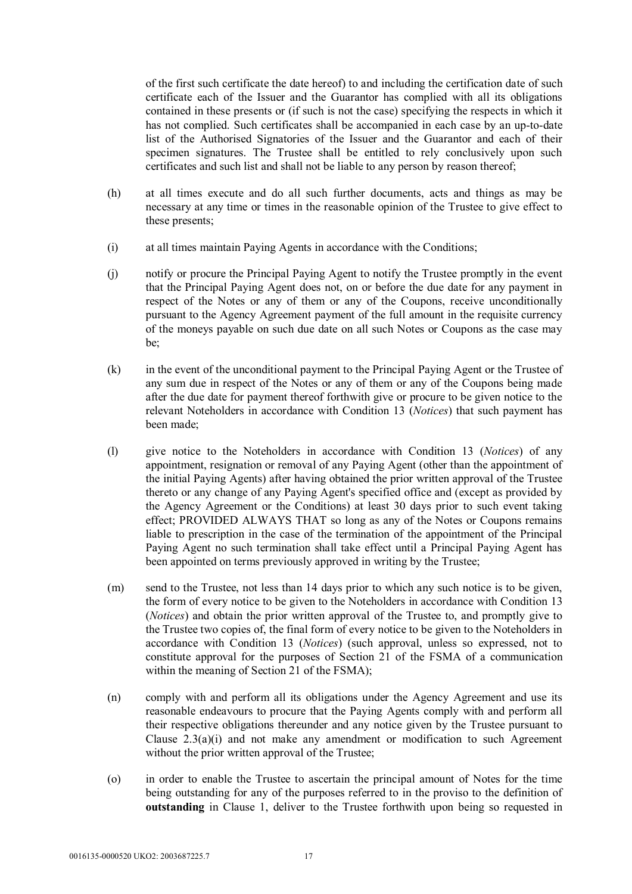of the first such certificate the date hereof) to and including the certification date of such certificate each of the Issuer and the Guarantor has complied with all its obligations contained in these presents or (if such is not the case) specifying the respects in which it has not complied. Such certificates shall be accompanied in each case by an up-to-date list of the Authorised Signatories of the Issuer and the Guarantor and each of their specimen signatures. The Trustee shall be entitled to rely conclusively upon such certificates and such list and shall not be liable to any person by reason thereof;

- (h) at all times execute and do all such further documents, acts and things as may be necessary at any time or times in the reasonable opinion of the Trustee to give effect to these presents;
- (i) at all times maintain Paying Agents in accordance with the Conditions;
- (j) notify or procure the Principal Paying Agent to notify the Trustee promptly in the event that the Principal Paying Agent does not, on or before the due date for any payment in respect of the Notes or any of them or any of the Coupons, receive unconditionally pursuant to the Agency Agreement payment of the full amount in the requisite currency of the moneys payable on such due date on all such Notes or Coupons as the case may be;
- (k) in the event of the unconditional payment to the Principal Paying Agent or the Trustee of any sum due in respect of the Notes or any of them or any of the Coupons being made after the due date for payment thereof forthwith give or procure to be given notice to the relevant Noteholders in accordance with Condition 13 (*Notices*) that such payment has been made;
- (l) give notice to the Noteholders in accordance with Condition 13 (*Notices*) of any appointment, resignation or removal of any Paying Agent (other than the appointment of the initial Paying Agents) after having obtained the prior written approval of the Trustee thereto or any change of any Paying Agent's specified office and (except as provided by the Agency Agreement or the Conditions) at least 30 days prior to such event taking effect; PROVIDED ALWAYS THAT so long as any of the Notes or Coupons remains liable to prescription in the case of the termination of the appointment of the Principal Paying Agent no such termination shall take effect until a Principal Paying Agent has been appointed on terms previously approved in writing by the Trustee;
- (m) send to the Trustee, not less than 14 days prior to which any such notice is to be given, the form of every notice to be given to the Noteholders in accordance with Condition 13 (*Notices*) and obtain the prior written approval of the Trustee to, and promptly give to the Trustee two copies of, the final form of every notice to be given to the Noteholders in accordance with Condition 13 (*Notices*) (such approval, unless so expressed, not to constitute approval for the purposes of Section 21 of the FSMA of a communication within the meaning of Section 21 of the FSMA);
- (n) comply with and perform all its obligations under the Agency Agreement and use its reasonable endeavours to procure that the Paying Agents comply with and perform all their respective obligations thereunder and any notice given by the Trustee pursuant to Clause 2.3(a)(i) and not make any amendment or modification to such Agreement without the prior written approval of the Trustee;
- (o) in order to enable the Trustee to ascertain the principal amount of Notes for the time being outstanding for any of the purposes referred to in the proviso to the definition of **outstanding** in Clause 1, deliver to the Trustee forthwith upon being so requested in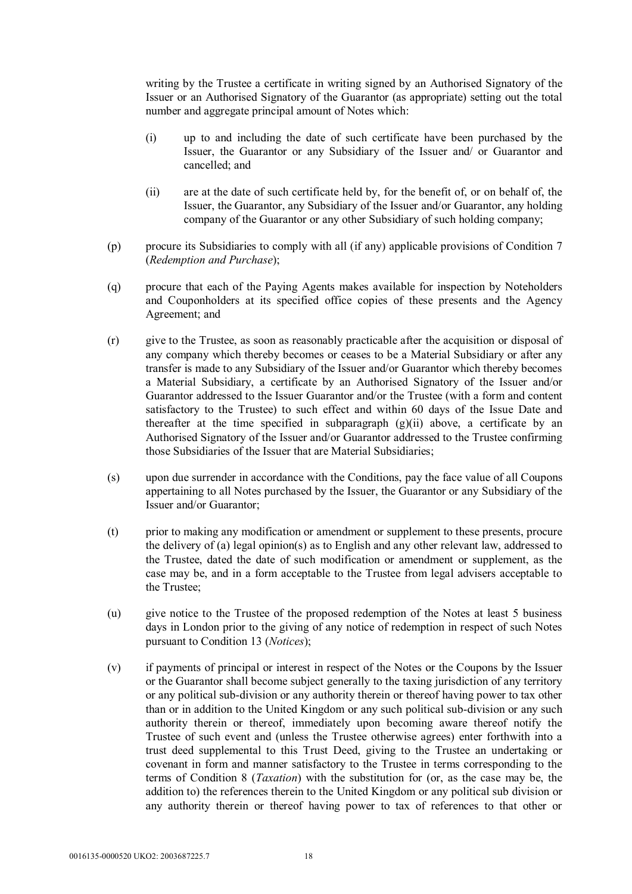writing by the Trustee a certificate in writing signed by an Authorised Signatory of the Issuer or an Authorised Signatory of the Guarantor (as appropriate) setting out the total number and aggregate principal amount of Notes which:

- (i) up to and including the date of such certificate have been purchased by the Issuer, the Guarantor or any Subsidiary of the Issuer and/ or Guarantor and cancelled; and
- (ii) are at the date of such certificate held by, for the benefit of, or on behalf of, the Issuer, the Guarantor, any Subsidiary of the Issuer and/or Guarantor, any holding company of the Guarantor or any other Subsidiary of such holding company;
- (p) procure its Subsidiaries to comply with all (if any) applicable provisions of Condition 7 (*Redemption and Purchase*);
- (q) procure that each of the Paying Agents makes available for inspection by Noteholders and Couponholders at its specified office copies of these presents and the Agency Agreement; and
- (r) give to the Trustee, as soon as reasonably practicable after the acquisition or disposal of any company which thereby becomes or ceases to be a Material Subsidiary or after any transfer is made to any Subsidiary of the Issuer and/or Guarantor which thereby becomes a Material Subsidiary, a certificate by an Authorised Signatory of the Issuer and/or Guarantor addressed to the Issuer Guarantor and/or the Trustee (with a form and content satisfactory to the Trustee) to such effect and within 60 days of the Issue Date and thereafter at the time specified in subparagraph  $(g)(ii)$  above, a certificate by an Authorised Signatory of the Issuer and/or Guarantor addressed to the Trustee confirming those Subsidiaries of the Issuer that are Material Subsidiaries;
- (s) upon due surrender in accordance with the Conditions, pay the face value of all Coupons appertaining to all Notes purchased by the Issuer, the Guarantor or any Subsidiary of the Issuer and/or Guarantor;
- (t) prior to making any modification or amendment or supplement to these presents, procure the delivery of (a) legal opinion(s) as to English and any other relevant law, addressed to the Trustee, dated the date of such modification or amendment or supplement, as the case may be, and in a form acceptable to the Trustee from legal advisers acceptable to the Trustee;
- (u) give notice to the Trustee of the proposed redemption of the Notes at least 5 business days in London prior to the giving of any notice of redemption in respect of such Notes pursuant to Condition 13 (*Notices*);
- (v) if payments of principal or interest in respect of the Notes or the Coupons by the Issuer or the Guarantor shall become subject generally to the taxing jurisdiction of any territory or any political sub-division or any authority therein or thereof having power to tax other than or in addition to the United Kingdom or any such political sub-division or any such authority therein or thereof, immediately upon becoming aware thereof notify the Trustee of such event and (unless the Trustee otherwise agrees) enter forthwith into a trust deed supplemental to this Trust Deed, giving to the Trustee an undertaking or covenant in form and manner satisfactory to the Trustee in terms corresponding to the terms of Condition 8 (*Taxation*) with the substitution for (or, as the case may be, the addition to) the references therein to the United Kingdom or any political sub division or any authority therein or thereof having power to tax of references to that other or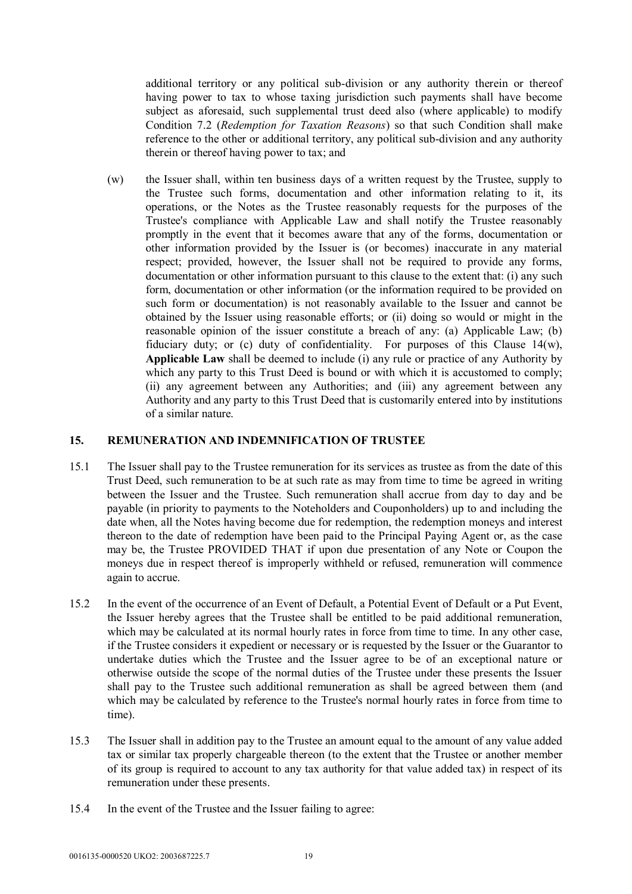additional territory or any political sub-division or any authority therein or thereof having power to tax to whose taxing jurisdiction such payments shall have become subject as aforesaid, such supplemental trust deed also (where applicable) to modify Condition 7.2 (*Redemption for Taxation Reasons*) so that such Condition shall make reference to the other or additional territory, any political sub-division and any authority therein or thereof having power to tax; and

(w) the Issuer shall, within ten business days of a written request by the Trustee, supply to the Trustee such forms, documentation and other information relating to it, its operations, or the Notes as the Trustee reasonably requests for the purposes of the Trustee's compliance with Applicable Law and shall notify the Trustee reasonably promptly in the event that it becomes aware that any of the forms, documentation or other information provided by the Issuer is (or becomes) inaccurate in any material respect; provided, however, the Issuer shall not be required to provide any forms, documentation or other information pursuant to this clause to the extent that: (i) any such form, documentation or other information (or the information required to be provided on such form or documentation) is not reasonably available to the Issuer and cannot be obtained by the Issuer using reasonable efforts; or (ii) doing so would or might in the reasonable opinion of the issuer constitute a breach of any: (a) Applicable Law; (b) fiduciary duty; or (c) duty of confidentiality. For purposes of this Clause 14(w), **Applicable Law** shall be deemed to include (i) any rule or practice of any Authority by which any party to this Trust Deed is bound or with which it is accustomed to comply; (ii) any agreement between any Authorities; and (iii) any agreement between any Authority and any party to this Trust Deed that is customarily entered into by institutions of a similar nature.

#### **15. REMUNERATION AND INDEMNIFICATION OF TRUSTEE**

- 15.1 The Issuer shall pay to the Trustee remuneration for its services as trustee as from the date of this Trust Deed, such remuneration to be at such rate as may from time to time be agreed in writing between the Issuer and the Trustee. Such remuneration shall accrue from day to day and be payable (in priority to payments to the Noteholders and Couponholders) up to and including the date when, all the Notes having become due for redemption, the redemption moneys and interest thereon to the date of redemption have been paid to the Principal Paying Agent or, as the case may be, the Trustee PROVIDED THAT if upon due presentation of any Note or Coupon the moneys due in respect thereof is improperly withheld or refused, remuneration will commence again to accrue.
- 15.2 In the event of the occurrence of an Event of Default, a Potential Event of Default or a Put Event, the Issuer hereby agrees that the Trustee shall be entitled to be paid additional remuneration, which may be calculated at its normal hourly rates in force from time to time. In any other case, if the Trustee considers it expedient or necessary or is requested by the Issuer or the Guarantor to undertake duties which the Trustee and the Issuer agree to be of an exceptional nature or otherwise outside the scope of the normal duties of the Trustee under these presents the Issuer shall pay to the Trustee such additional remuneration as shall be agreed between them (and which may be calculated by reference to the Trustee's normal hourly rates in force from time to time).
- 15.3 The Issuer shall in addition pay to the Trustee an amount equal to the amount of any value added tax or similar tax properly chargeable thereon (to the extent that the Trustee or another member of its group is required to account to any tax authority for that value added tax) in respect of its remuneration under these presents.
- 15.4 In the event of the Trustee and the Issuer failing to agree: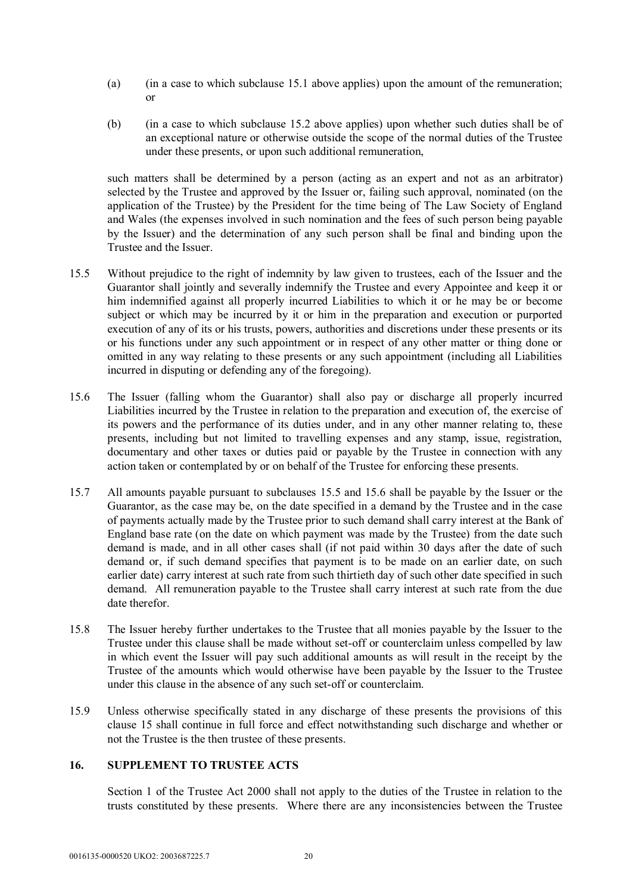- (a) (in a case to which subclause 15.1 above applies) upon the amount of the remuneration; or
- (b) (in a case to which subclause 15.2 above applies) upon whether such duties shall be of an exceptional nature or otherwise outside the scope of the normal duties of the Trustee under these presents, or upon such additional remuneration,

such matters shall be determined by a person (acting as an expert and not as an arbitrator) selected by the Trustee and approved by the Issuer or, failing such approval, nominated (on the application of the Trustee) by the President for the time being of The Law Society of England and Wales (the expenses involved in such nomination and the fees of such person being payable by the Issuer) and the determination of any such person shall be final and binding upon the Trustee and the Issuer.

- 15.5 Without prejudice to the right of indemnity by law given to trustees, each of the Issuer and the Guarantor shall jointly and severally indemnify the Trustee and every Appointee and keep it or him indemnified against all properly incurred Liabilities to which it or he may be or become subject or which may be incurred by it or him in the preparation and execution or purported execution of any of its or his trusts, powers, authorities and discretions under these presents or its or his functions under any such appointment or in respect of any other matter or thing done or omitted in any way relating to these presents or any such appointment (including all Liabilities incurred in disputing or defending any of the foregoing).
- 15.6 The Issuer (falling whom the Guarantor) shall also pay or discharge all properly incurred Liabilities incurred by the Trustee in relation to the preparation and execution of, the exercise of its powers and the performance of its duties under, and in any other manner relating to, these presents, including but not limited to travelling expenses and any stamp, issue, registration, documentary and other taxes or duties paid or payable by the Trustee in connection with any action taken or contemplated by or on behalf of the Trustee for enforcing these presents.
- 15.7 All amounts payable pursuant to subclauses 15.5 and 15.6 shall be payable by the Issuer or the Guarantor, as the case may be, on the date specified in a demand by the Trustee and in the case of payments actually made by the Trustee prior to such demand shall carry interest at the Bank of England base rate (on the date on which payment was made by the Trustee) from the date such demand is made, and in all other cases shall (if not paid within 30 days after the date of such demand or, if such demand specifies that payment is to be made on an earlier date, on such earlier date) carry interest at such rate from such thirtieth day of such other date specified in such demand. All remuneration payable to the Trustee shall carry interest at such rate from the due date therefor.
- 15.8 The Issuer hereby further undertakes to the Trustee that all monies payable by the Issuer to the Trustee under this clause shall be made without set-off or counterclaim unless compelled by law in which event the Issuer will pay such additional amounts as will result in the receipt by the Trustee of the amounts which would otherwise have been payable by the Issuer to the Trustee under this clause in the absence of any such set-off or counterclaim.
- 15.9 Unless otherwise specifically stated in any discharge of these presents the provisions of this clause 15 shall continue in full force and effect notwithstanding such discharge and whether or not the Trustee is the then trustee of these presents.

# **16. SUPPLEMENT TO TRUSTEE ACTS**

Section 1 of the Trustee Act 2000 shall not apply to the duties of the Trustee in relation to the trusts constituted by these presents. Where there are any inconsistencies between the Trustee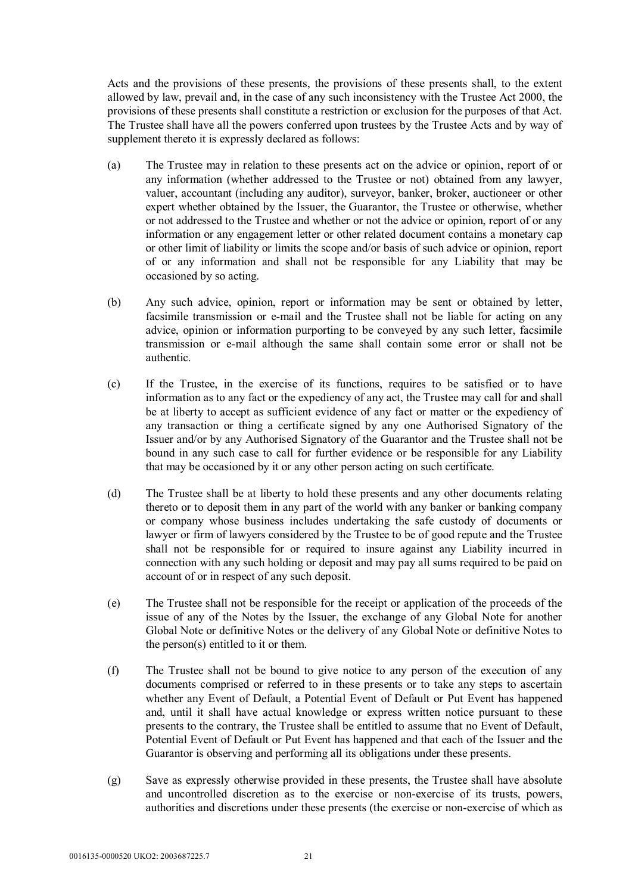Acts and the provisions of these presents, the provisions of these presents shall, to the extent allowed by law, prevail and, in the case of any such inconsistency with the Trustee Act 2000, the provisions of these presents shall constitute a restriction or exclusion for the purposes of that Act. The Trustee shall have all the powers conferred upon trustees by the Trustee Acts and by way of supplement thereto it is expressly declared as follows:

- (a) The Trustee may in relation to these presents act on the advice or opinion, report of or any information (whether addressed to the Trustee or not) obtained from any lawyer, valuer, accountant (including any auditor), surveyor, banker, broker, auctioneer or other expert whether obtained by the Issuer, the Guarantor, the Trustee or otherwise, whether or not addressed to the Trustee and whether or not the advice or opinion, report of or any information or any engagement letter or other related document contains a monetary cap or other limit of liability or limits the scope and/or basis of such advice or opinion, report of or any information and shall not be responsible for any Liability that may be occasioned by so acting.
- (b) Any such advice, opinion, report or information may be sent or obtained by letter, facsimile transmission or e-mail and the Trustee shall not be liable for acting on any advice, opinion or information purporting to be conveyed by any such letter, facsimile transmission or e-mail although the same shall contain some error or shall not be authentic.
- (c) If the Trustee, in the exercise of its functions, requires to be satisfied or to have information as to any fact or the expediency of any act, the Trustee may call for and shall be at liberty to accept as sufficient evidence of any fact or matter or the expediency of any transaction or thing a certificate signed by any one Authorised Signatory of the Issuer and/or by any Authorised Signatory of the Guarantor and the Trustee shall not be bound in any such case to call for further evidence or be responsible for any Liability that may be occasioned by it or any other person acting on such certificate.
- (d) The Trustee shall be at liberty to hold these presents and any other documents relating thereto or to deposit them in any part of the world with any banker or banking company or company whose business includes undertaking the safe custody of documents or lawyer or firm of lawyers considered by the Trustee to be of good repute and the Trustee shall not be responsible for or required to insure against any Liability incurred in connection with any such holding or deposit and may pay all sums required to be paid on account of or in respect of any such deposit.
- (e) The Trustee shall not be responsible for the receipt or application of the proceeds of the issue of any of the Notes by the Issuer, the exchange of any Global Note for another Global Note or definitive Notes or the delivery of any Global Note or definitive Notes to the person(s) entitled to it or them.
- (f) The Trustee shall not be bound to give notice to any person of the execution of any documents comprised or referred to in these presents or to take any steps to ascertain whether any Event of Default, a Potential Event of Default or Put Event has happened and, until it shall have actual knowledge or express written notice pursuant to these presents to the contrary, the Trustee shall be entitled to assume that no Event of Default, Potential Event of Default or Put Event has happened and that each of the Issuer and the Guarantor is observing and performing all its obligations under these presents.
- (g) Save as expressly otherwise provided in these presents, the Trustee shall have absolute and uncontrolled discretion as to the exercise or non-exercise of its trusts, powers, authorities and discretions under these presents (the exercise or non-exercise of which as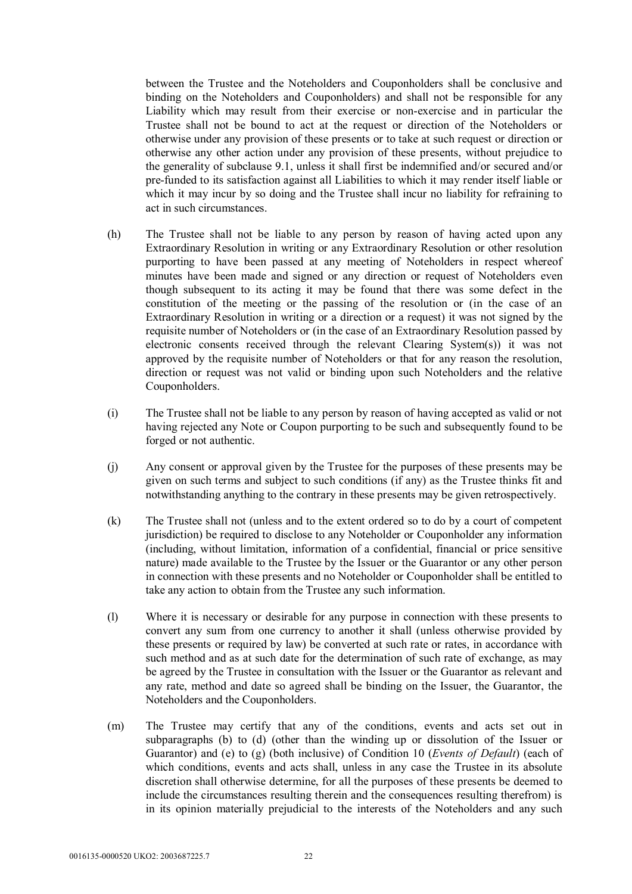between the Trustee and the Noteholders and Couponholders shall be conclusive and binding on the Noteholders and Couponholders) and shall not be responsible for any Liability which may result from their exercise or non-exercise and in particular the Trustee shall not be bound to act at the request or direction of the Noteholders or otherwise under any provision of these presents or to take at such request or direction or otherwise any other action under any provision of these presents, without prejudice to the generality of subclause 9.1, unless it shall first be indemnified and/or secured and/or pre-funded to its satisfaction against all Liabilities to which it may render itself liable or which it may incur by so doing and the Trustee shall incur no liability for refraining to act in such circumstances.

- (h) The Trustee shall not be liable to any person by reason of having acted upon any Extraordinary Resolution in writing or any Extraordinary Resolution or other resolution purporting to have been passed at any meeting of Noteholders in respect whereof minutes have been made and signed or any direction or request of Noteholders even though subsequent to its acting it may be found that there was some defect in the constitution of the meeting or the passing of the resolution or (in the case of an Extraordinary Resolution in writing or a direction or a request) it was not signed by the requisite number of Noteholders or (in the case of an Extraordinary Resolution passed by electronic consents received through the relevant Clearing System(s)) it was not approved by the requisite number of Noteholders or that for any reason the resolution, direction or request was not valid or binding upon such Noteholders and the relative Couponholders.
- (i) The Trustee shall not be liable to any person by reason of having accepted as valid or not having rejected any Note or Coupon purporting to be such and subsequently found to be forged or not authentic.
- (j) Any consent or approval given by the Trustee for the purposes of these presents may be given on such terms and subject to such conditions (if any) as the Trustee thinks fit and notwithstanding anything to the contrary in these presents may be given retrospectively.
- (k) The Trustee shall not (unless and to the extent ordered so to do by a court of competent jurisdiction) be required to disclose to any Noteholder or Couponholder any information (including, without limitation, information of a confidential, financial or price sensitive nature) made available to the Trustee by the Issuer or the Guarantor or any other person in connection with these presents and no Noteholder or Couponholder shall be entitled to take any action to obtain from the Trustee any such information.
- (l) Where it is necessary or desirable for any purpose in connection with these presents to convert any sum from one currency to another it shall (unless otherwise provided by these presents or required by law) be converted at such rate or rates, in accordance with such method and as at such date for the determination of such rate of exchange, as may be agreed by the Trustee in consultation with the Issuer or the Guarantor as relevant and any rate, method and date so agreed shall be binding on the Issuer, the Guarantor, the Noteholders and the Couponholders.
- (m) The Trustee may certify that any of the conditions, events and acts set out in subparagraphs (b) to (d) (other than the winding up or dissolution of the Issuer or Guarantor) and (e) to (g) (both inclusive) of Condition 10 (*Events of Default*) (each of which conditions, events and acts shall, unless in any case the Trustee in its absolute discretion shall otherwise determine, for all the purposes of these presents be deemed to include the circumstances resulting therein and the consequences resulting therefrom) is in its opinion materially prejudicial to the interests of the Noteholders and any such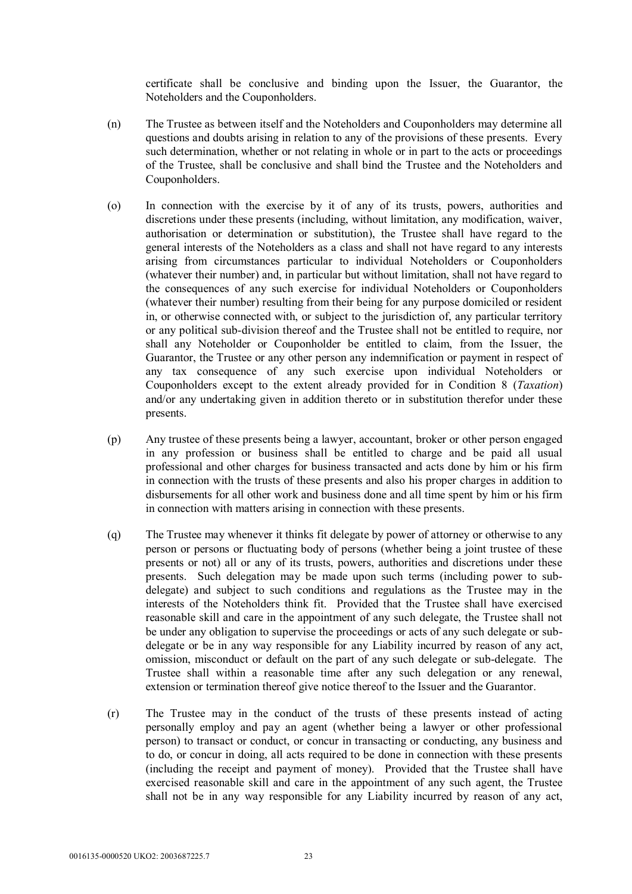certificate shall be conclusive and binding upon the Issuer, the Guarantor, the Noteholders and the Couponholders.

- (n) The Trustee as between itself and the Noteholders and Couponholders may determine all questions and doubts arising in relation to any of the provisions of these presents. Every such determination, whether or not relating in whole or in part to the acts or proceedings of the Trustee, shall be conclusive and shall bind the Trustee and the Noteholders and Couponholders.
- (o) In connection with the exercise by it of any of its trusts, powers, authorities and discretions under these presents (including, without limitation, any modification, waiver, authorisation or determination or substitution), the Trustee shall have regard to the general interests of the Noteholders as a class and shall not have regard to any interests arising from circumstances particular to individual Noteholders or Couponholders (whatever their number) and, in particular but without limitation, shall not have regard to the consequences of any such exercise for individual Noteholders or Couponholders (whatever their number) resulting from their being for any purpose domiciled or resident in, or otherwise connected with, or subject to the jurisdiction of, any particular territory or any political sub-division thereof and the Trustee shall not be entitled to require, nor shall any Noteholder or Couponholder be entitled to claim, from the Issuer, the Guarantor, the Trustee or any other person any indemnification or payment in respect of any tax consequence of any such exercise upon individual Noteholders or Couponholders except to the extent already provided for in Condition 8 (*Taxation*) and/or any undertaking given in addition thereto or in substitution therefor under these presents.
- (p) Any trustee of these presents being a lawyer, accountant, broker or other person engaged in any profession or business shall be entitled to charge and be paid all usual professional and other charges for business transacted and acts done by him or his firm in connection with the trusts of these presents and also his proper charges in addition to disbursements for all other work and business done and all time spent by him or his firm in connection with matters arising in connection with these presents.
- (q) The Trustee may whenever it thinks fit delegate by power of attorney or otherwise to any person or persons or fluctuating body of persons (whether being a joint trustee of these presents or not) all or any of its trusts, powers, authorities and discretions under these presents. Such delegation may be made upon such terms (including power to subdelegate) and subject to such conditions and regulations as the Trustee may in the interests of the Noteholders think fit. Provided that the Trustee shall have exercised reasonable skill and care in the appointment of any such delegate, the Trustee shall not be under any obligation to supervise the proceedings or acts of any such delegate or subdelegate or be in any way responsible for any Liability incurred by reason of any act, omission, misconduct or default on the part of any such delegate or sub-delegate. The Trustee shall within a reasonable time after any such delegation or any renewal, extension or termination thereof give notice thereof to the Issuer and the Guarantor.
- (r) The Trustee may in the conduct of the trusts of these presents instead of acting personally employ and pay an agent (whether being a lawyer or other professional person) to transact or conduct, or concur in transacting or conducting, any business and to do, or concur in doing, all acts required to be done in connection with these presents (including the receipt and payment of money). Provided that the Trustee shall have exercised reasonable skill and care in the appointment of any such agent, the Trustee shall not be in any way responsible for any Liability incurred by reason of any act,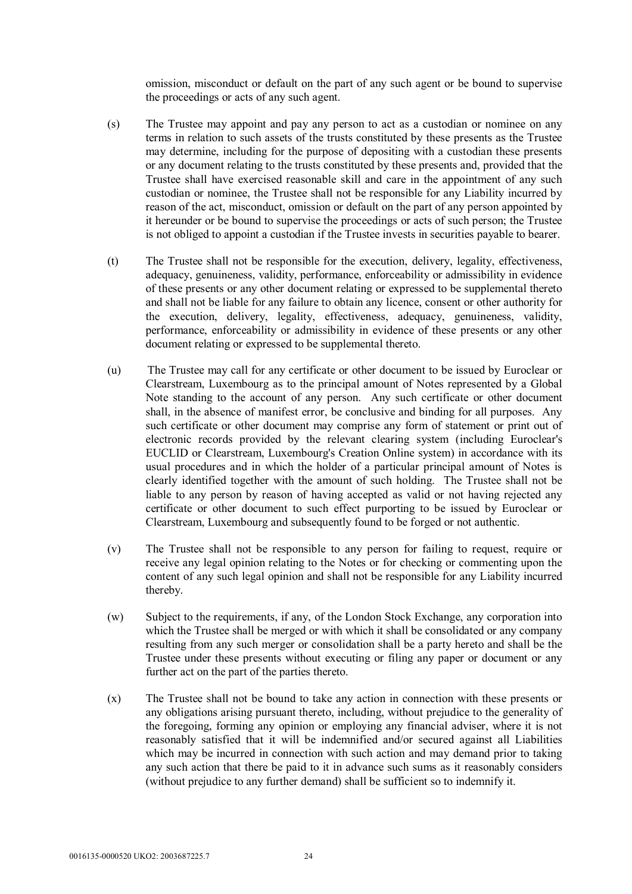omission, misconduct or default on the part of any such agent or be bound to supervise the proceedings or acts of any such agent.

- (s) The Trustee may appoint and pay any person to act as a custodian or nominee on any terms in relation to such assets of the trusts constituted by these presents as the Trustee may determine, including for the purpose of depositing with a custodian these presents or any document relating to the trusts constituted by these presents and, provided that the Trustee shall have exercised reasonable skill and care in the appointment of any such custodian or nominee, the Trustee shall not be responsible for any Liability incurred by reason of the act, misconduct, omission or default on the part of any person appointed by it hereunder or be bound to supervise the proceedings or acts of such person; the Trustee is not obliged to appoint a custodian if the Trustee invests in securities payable to bearer.
- (t) The Trustee shall not be responsible for the execution, delivery, legality, effectiveness, adequacy, genuineness, validity, performance, enforceability or admissibility in evidence of these presents or any other document relating or expressed to be supplemental thereto and shall not be liable for any failure to obtain any licence, consent or other authority for the execution, delivery, legality, effectiveness, adequacy, genuineness, validity, performance, enforceability or admissibility in evidence of these presents or any other document relating or expressed to be supplemental thereto.
- (u) The Trustee may call for any certificate or other document to be issued by Euroclear or Clearstream, Luxembourg as to the principal amount of Notes represented by a Global Note standing to the account of any person. Any such certificate or other document shall, in the absence of manifest error, be conclusive and binding for all purposes. Any such certificate or other document may comprise any form of statement or print out of electronic records provided by the relevant clearing system (including Euroclear's EUCLID or Clearstream, Luxembourg's Creation Online system) in accordance with its usual procedures and in which the holder of a particular principal amount of Notes is clearly identified together with the amount of such holding. The Trustee shall not be liable to any person by reason of having accepted as valid or not having rejected any certificate or other document to such effect purporting to be issued by Euroclear or Clearstream, Luxembourg and subsequently found to be forged or not authentic.
- (v) The Trustee shall not be responsible to any person for failing to request, require or receive any legal opinion relating to the Notes or for checking or commenting upon the content of any such legal opinion and shall not be responsible for any Liability incurred thereby.
- (w) Subject to the requirements, if any, of the London Stock Exchange, any corporation into which the Trustee shall be merged or with which it shall be consolidated or any company resulting from any such merger or consolidation shall be a party hereto and shall be the Trustee under these presents without executing or filing any paper or document or any further act on the part of the parties thereto.
- (x) The Trustee shall not be bound to take any action in connection with these presents or any obligations arising pursuant thereto, including, without prejudice to the generality of the foregoing, forming any opinion or employing any financial adviser, where it is not reasonably satisfied that it will be indemnified and/or secured against all Liabilities which may be incurred in connection with such action and may demand prior to taking any such action that there be paid to it in advance such sums as it reasonably considers (without prejudice to any further demand) shall be sufficient so to indemnify it.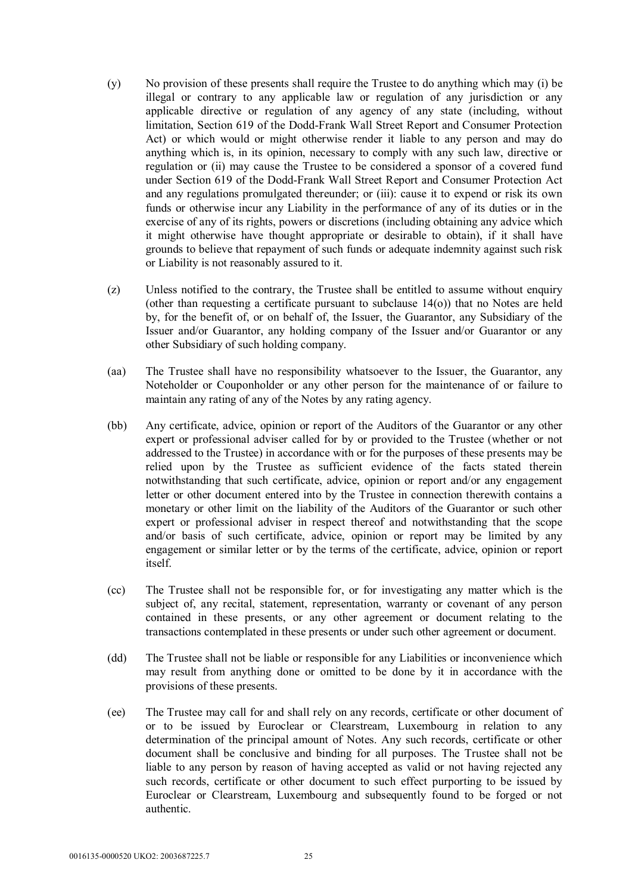- (y) No provision of these presents shall require the Trustee to do anything which may (i) be illegal or contrary to any applicable law or regulation of any jurisdiction or any applicable directive or regulation of any agency of any state (including, without limitation, Section 619 of the Dodd-Frank Wall Street Report and Consumer Protection Act) or which would or might otherwise render it liable to any person and may do anything which is, in its opinion, necessary to comply with any such law, directive or regulation or (ii) may cause the Trustee to be considered a sponsor of a covered fund under Section 619 of the Dodd-Frank Wall Street Report and Consumer Protection Act and any regulations promulgated thereunder; or (iii): cause it to expend or risk its own funds or otherwise incur any Liability in the performance of any of its duties or in the exercise of any of its rights, powers or discretions (including obtaining any advice which it might otherwise have thought appropriate or desirable to obtain), if it shall have grounds to believe that repayment of such funds or adequate indemnity against such risk or Liability is not reasonably assured to it.
- (z) Unless notified to the contrary, the Trustee shall be entitled to assume without enquiry (other than requesting a certificate pursuant to subclause  $14(0)$ ) that no Notes are held by, for the benefit of, or on behalf of, the Issuer, the Guarantor, any Subsidiary of the Issuer and/or Guarantor, any holding company of the Issuer and/or Guarantor or any other Subsidiary of such holding company.
- (aa) The Trustee shall have no responsibility whatsoever to the Issuer, the Guarantor, any Noteholder or Couponholder or any other person for the maintenance of or failure to maintain any rating of any of the Notes by any rating agency.
- (bb) Any certificate, advice, opinion or report of the Auditors of the Guarantor or any other expert or professional adviser called for by or provided to the Trustee (whether or not addressed to the Trustee) in accordance with or for the purposes of these presents may be relied upon by the Trustee as sufficient evidence of the facts stated therein notwithstanding that such certificate, advice, opinion or report and/or any engagement letter or other document entered into by the Trustee in connection therewith contains a monetary or other limit on the liability of the Auditors of the Guarantor or such other expert or professional adviser in respect thereof and notwithstanding that the scope and/or basis of such certificate, advice, opinion or report may be limited by any engagement or similar letter or by the terms of the certificate, advice, opinion or report itself.
- (cc) The Trustee shall not be responsible for, or for investigating any matter which is the subject of, any recital, statement, representation, warranty or covenant of any person contained in these presents, or any other agreement or document relating to the transactions contemplated in these presents or under such other agreement or document.
- (dd) The Trustee shall not be liable or responsible for any Liabilities or inconvenience which may result from anything done or omitted to be done by it in accordance with the provisions of these presents.
- (ee) The Trustee may call for and shall rely on any records, certificate or other document of or to be issued by Euroclear or Clearstream, Luxembourg in relation to any determination of the principal amount of Notes. Any such records, certificate or other document shall be conclusive and binding for all purposes. The Trustee shall not be liable to any person by reason of having accepted as valid or not having rejected any such records, certificate or other document to such effect purporting to be issued by Euroclear or Clearstream, Luxembourg and subsequently found to be forged or not authentic.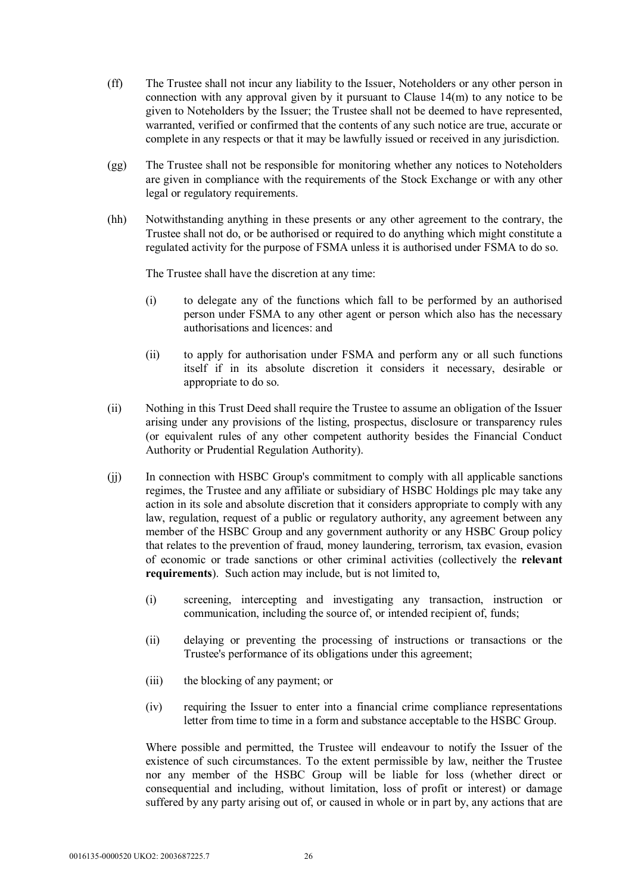- (ff) The Trustee shall not incur any liability to the Issuer, Noteholders or any other person in connection with any approval given by it pursuant to Clause 14(m) to any notice to be given to Noteholders by the Issuer; the Trustee shall not be deemed to have represented, warranted, verified or confirmed that the contents of any such notice are true, accurate or complete in any respects or that it may be lawfully issued or received in any jurisdiction.
- (gg) The Trustee shall not be responsible for monitoring whether any notices to Noteholders are given in compliance with the requirements of the Stock Exchange or with any other legal or regulatory requirements.
- (hh) Notwithstanding anything in these presents or any other agreement to the contrary, the Trustee shall not do, or be authorised or required to do anything which might constitute a regulated activity for the purpose of FSMA unless it is authorised under FSMA to do so.

The Trustee shall have the discretion at any time:

- (i) to delegate any of the functions which fall to be performed by an authorised person under FSMA to any other agent or person which also has the necessary authorisations and licences: and
- (ii) to apply for authorisation under FSMA and perform any or all such functions itself if in its absolute discretion it considers it necessary, desirable or appropriate to do so.
- (ii) Nothing in this Trust Deed shall require the Trustee to assume an obligation of the Issuer arising under any provisions of the listing, prospectus, disclosure or transparency rules (or equivalent rules of any other competent authority besides the Financial Conduct Authority or Prudential Regulation Authority).
- (jj) In connection with HSBC Group's commitment to comply with all applicable sanctions regimes, the Trustee and any affiliate or subsidiary of HSBC Holdings plc may take any action in its sole and absolute discretion that it considers appropriate to comply with any law, regulation, request of a public or regulatory authority, any agreement between any member of the HSBC Group and any government authority or any HSBC Group policy that relates to the prevention of fraud, money laundering, terrorism, tax evasion, evasion of economic or trade sanctions or other criminal activities (collectively the **relevant requirements**). Such action may include, but is not limited to,
	- (i) screening, intercepting and investigating any transaction, instruction or communication, including the source of, or intended recipient of, funds;
	- (ii) delaying or preventing the processing of instructions or transactions or the Trustee's performance of its obligations under this agreement;
	- (iii) the blocking of any payment; or
	- (iv) requiring the Issuer to enter into a financial crime compliance representations letter from time to time in a form and substance acceptable to the HSBC Group.

Where possible and permitted, the Trustee will endeavour to notify the Issuer of the existence of such circumstances. To the extent permissible by law, neither the Trustee nor any member of the HSBC Group will be liable for loss (whether direct or consequential and including, without limitation, loss of profit or interest) or damage suffered by any party arising out of, or caused in whole or in part by, any actions that are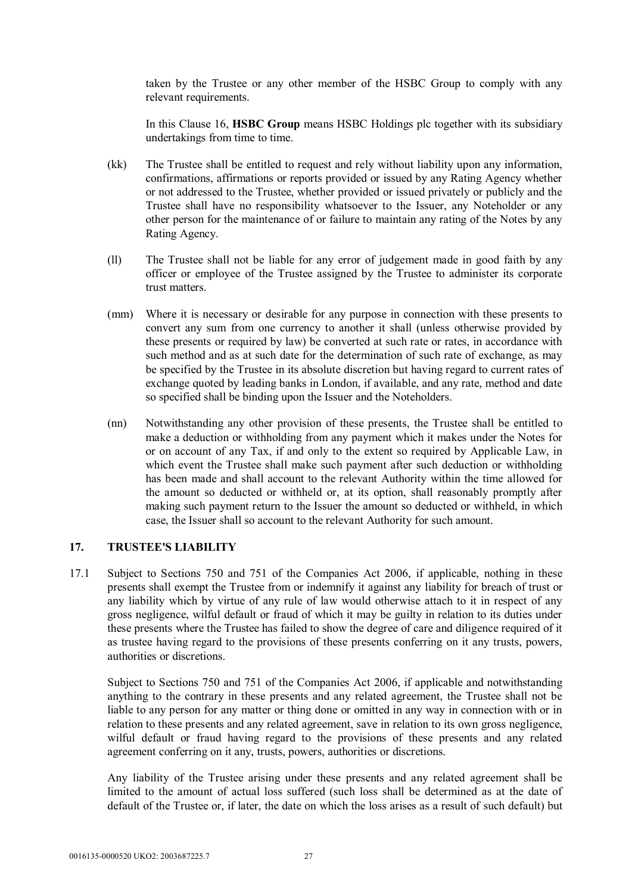taken by the Trustee or any other member of the HSBC Group to comply with any relevant requirements.

In this Clause 16, **HSBC Group** means HSBC Holdings plc together with its subsidiary undertakings from time to time.

- (kk) The Trustee shall be entitled to request and rely without liability upon any information, confirmations, affirmations or reports provided or issued by any Rating Agency whether or not addressed to the Trustee, whether provided or issued privately or publicly and the Trustee shall have no responsibility whatsoever to the Issuer, any Noteholder or any other person for the maintenance of or failure to maintain any rating of the Notes by any Rating Agency.
- (ll) The Trustee shall not be liable for any error of judgement made in good faith by any officer or employee of the Trustee assigned by the Trustee to administer its corporate trust matters.
- (mm) Where it is necessary or desirable for any purpose in connection with these presents to convert any sum from one currency to another it shall (unless otherwise provided by these presents or required by law) be converted at such rate or rates, in accordance with such method and as at such date for the determination of such rate of exchange, as may be specified by the Trustee in its absolute discretion but having regard to current rates of exchange quoted by leading banks in London, if available, and any rate, method and date so specified shall be binding upon the Issuer and the Noteholders.
- (nn) Notwithstanding any other provision of these presents, the Trustee shall be entitled to make a deduction or withholding from any payment which it makes under the Notes for or on account of any Tax, if and only to the extent so required by Applicable Law, in which event the Trustee shall make such payment after such deduction or withholding has been made and shall account to the relevant Authority within the time allowed for the amount so deducted or withheld or, at its option, shall reasonably promptly after making such payment return to the Issuer the amount so deducted or withheld, in which case, the Issuer shall so account to the relevant Authority for such amount.

#### **17. TRUSTEE'S LIABILITY**

17.1 Subject to Sections 750 and 751 of the Companies Act 2006, if applicable, nothing in these presents shall exempt the Trustee from or indemnify it against any liability for breach of trust or any liability which by virtue of any rule of law would otherwise attach to it in respect of any gross negligence, wilful default or fraud of which it may be guilty in relation to its duties under these presents where the Trustee has failed to show the degree of care and diligence required of it as trustee having regard to the provisions of these presents conferring on it any trusts, powers, authorities or discretions.

Subject to Sections 750 and 751 of the Companies Act 2006, if applicable and notwithstanding anything to the contrary in these presents and any related agreement, the Trustee shall not be liable to any person for any matter or thing done or omitted in any way in connection with or in relation to these presents and any related agreement, save in relation to its own gross negligence, wilful default or fraud having regard to the provisions of these presents and any related agreement conferring on it any, trusts, powers, authorities or discretions.

Any liability of the Trustee arising under these presents and any related agreement shall be limited to the amount of actual loss suffered (such loss shall be determined as at the date of default of the Trustee or, if later, the date on which the loss arises as a result of such default) but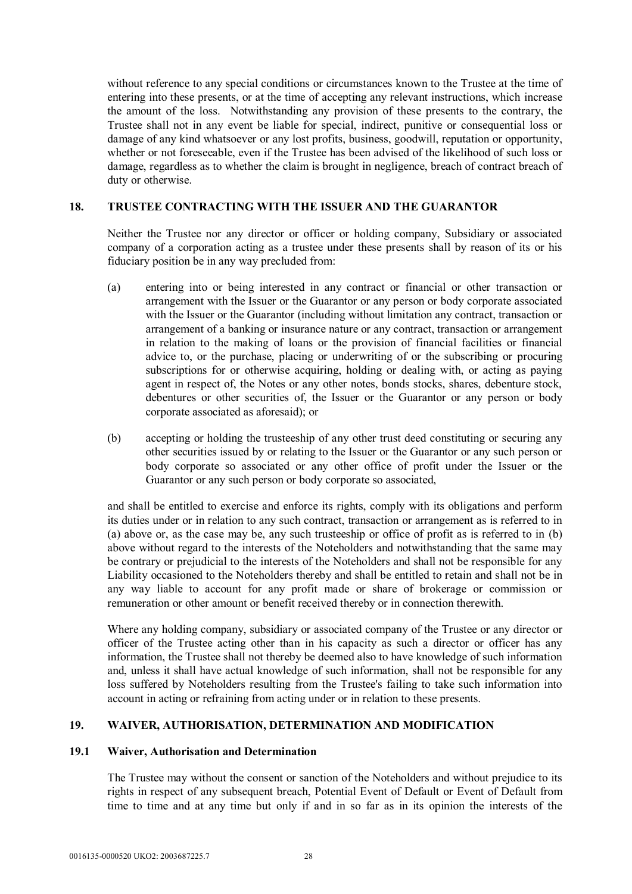without reference to any special conditions or circumstances known to the Trustee at the time of entering into these presents, or at the time of accepting any relevant instructions, which increase the amount of the loss. Notwithstanding any provision of these presents to the contrary, the Trustee shall not in any event be liable for special, indirect, punitive or consequential loss or damage of any kind whatsoever or any lost profits, business, goodwill, reputation or opportunity, whether or not foreseeable, even if the Trustee has been advised of the likelihood of such loss or damage, regardless as to whether the claim is brought in negligence, breach of contract breach of duty or otherwise.

## **18. TRUSTEE CONTRACTING WITH THE ISSUER AND THE GUARANTOR**

Neither the Trustee nor any director or officer or holding company, Subsidiary or associated company of a corporation acting as a trustee under these presents shall by reason of its or his fiduciary position be in any way precluded from:

- (a) entering into or being interested in any contract or financial or other transaction or arrangement with the Issuer or the Guarantor or any person or body corporate associated with the Issuer or the Guarantor (including without limitation any contract, transaction or arrangement of a banking or insurance nature or any contract, transaction or arrangement in relation to the making of loans or the provision of financial facilities or financial advice to, or the purchase, placing or underwriting of or the subscribing or procuring subscriptions for or otherwise acquiring, holding or dealing with, or acting as paying agent in respect of, the Notes or any other notes, bonds stocks, shares, debenture stock, debentures or other securities of, the Issuer or the Guarantor or any person or body corporate associated as aforesaid); or
- (b) accepting or holding the trusteeship of any other trust deed constituting or securing any other securities issued by or relating to the Issuer or the Guarantor or any such person or body corporate so associated or any other office of profit under the Issuer or the Guarantor or any such person or body corporate so associated,

and shall be entitled to exercise and enforce its rights, comply with its obligations and perform its duties under or in relation to any such contract, transaction or arrangement as is referred to in (a) above or, as the case may be, any such trusteeship or office of profit as is referred to in (b) above without regard to the interests of the Noteholders and notwithstanding that the same may be contrary or prejudicial to the interests of the Noteholders and shall not be responsible for any Liability occasioned to the Noteholders thereby and shall be entitled to retain and shall not be in any way liable to account for any profit made or share of brokerage or commission or remuneration or other amount or benefit received thereby or in connection therewith.

Where any holding company, subsidiary or associated company of the Trustee or any director or officer of the Trustee acting other than in his capacity as such a director or officer has any information, the Trustee shall not thereby be deemed also to have knowledge of such information and, unless it shall have actual knowledge of such information, shall not be responsible for any loss suffered by Noteholders resulting from the Trustee's failing to take such information into account in acting or refraining from acting under or in relation to these presents.

#### **19. WAIVER, AUTHORISATION, DETERMINATION AND MODIFICATION**

#### **19.1 Waiver, Authorisation and Determination**

The Trustee may without the consent or sanction of the Noteholders and without prejudice to its rights in respect of any subsequent breach, Potential Event of Default or Event of Default from time to time and at any time but only if and in so far as in its opinion the interests of the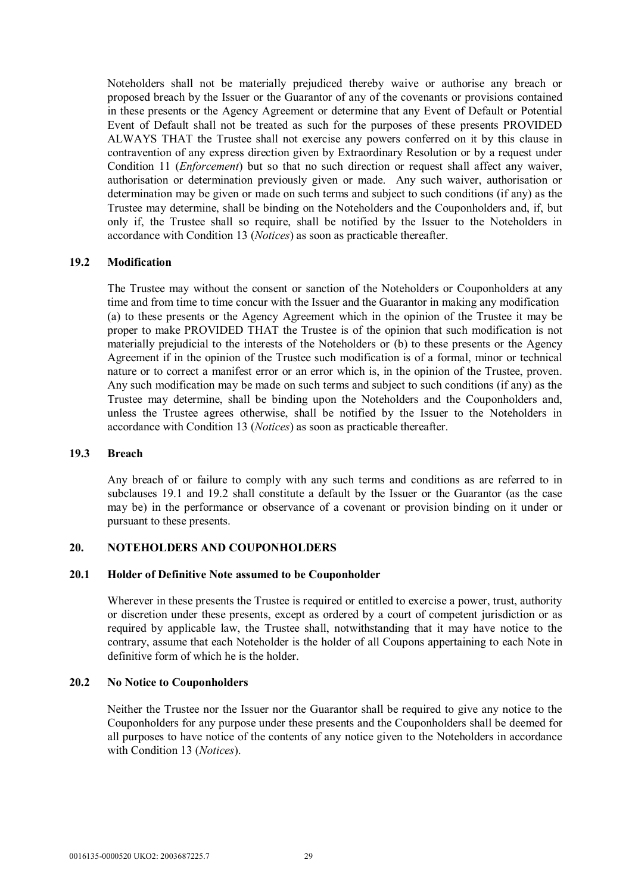Noteholders shall not be materially prejudiced thereby waive or authorise any breach or proposed breach by the Issuer or the Guarantor of any of the covenants or provisions contained in these presents or the Agency Agreement or determine that any Event of Default or Potential Event of Default shall not be treated as such for the purposes of these presents PROVIDED ALWAYS THAT the Trustee shall not exercise any powers conferred on it by this clause in contravention of any express direction given by Extraordinary Resolution or by a request under Condition 11 (*Enforcement*) but so that no such direction or request shall affect any waiver, authorisation or determination previously given or made. Any such waiver, authorisation or determination may be given or made on such terms and subject to such conditions (if any) as the Trustee may determine, shall be binding on the Noteholders and the Couponholders and, if, but only if, the Trustee shall so require, shall be notified by the Issuer to the Noteholders in accordance with Condition 13 (*Notices*) as soon as practicable thereafter.

#### **19.2 Modification**

The Trustee may without the consent or sanction of the Noteholders or Couponholders at any time and from time to time concur with the Issuer and the Guarantor in making any modification (a) to these presents or the Agency Agreement which in the opinion of the Trustee it may be proper to make PROVIDED THAT the Trustee is of the opinion that such modification is not materially prejudicial to the interests of the Noteholders or (b) to these presents or the Agency Agreement if in the opinion of the Trustee such modification is of a formal, minor or technical nature or to correct a manifest error or an error which is, in the opinion of the Trustee, proven. Any such modification may be made on such terms and subject to such conditions (if any) as the Trustee may determine, shall be binding upon the Noteholders and the Couponholders and, unless the Trustee agrees otherwise, shall be notified by the Issuer to the Noteholders in accordance with Condition 13 (*Notices*) as soon as practicable thereafter.

#### **19.3 Breach**

Any breach of or failure to comply with any such terms and conditions as are referred to in subclauses 19.1 and 19.2 shall constitute a default by the Issuer or the Guarantor (as the case may be) in the performance or observance of a covenant or provision binding on it under or pursuant to these presents.

#### **20. NOTEHOLDERS AND COUPONHOLDERS**

#### **20.1 Holder of Definitive Note assumed to be Couponholder**

Wherever in these presents the Trustee is required or entitled to exercise a power, trust, authority or discretion under these presents, except as ordered by a court of competent jurisdiction or as required by applicable law, the Trustee shall, notwithstanding that it may have notice to the contrary, assume that each Noteholder is the holder of all Coupons appertaining to each Note in definitive form of which he is the holder.

#### **20.2 No Notice to Couponholders**

Neither the Trustee nor the Issuer nor the Guarantor shall be required to give any notice to the Couponholders for any purpose under these presents and the Couponholders shall be deemed for all purposes to have notice of the contents of any notice given to the Noteholders in accordance with Condition 13 (*Notices*).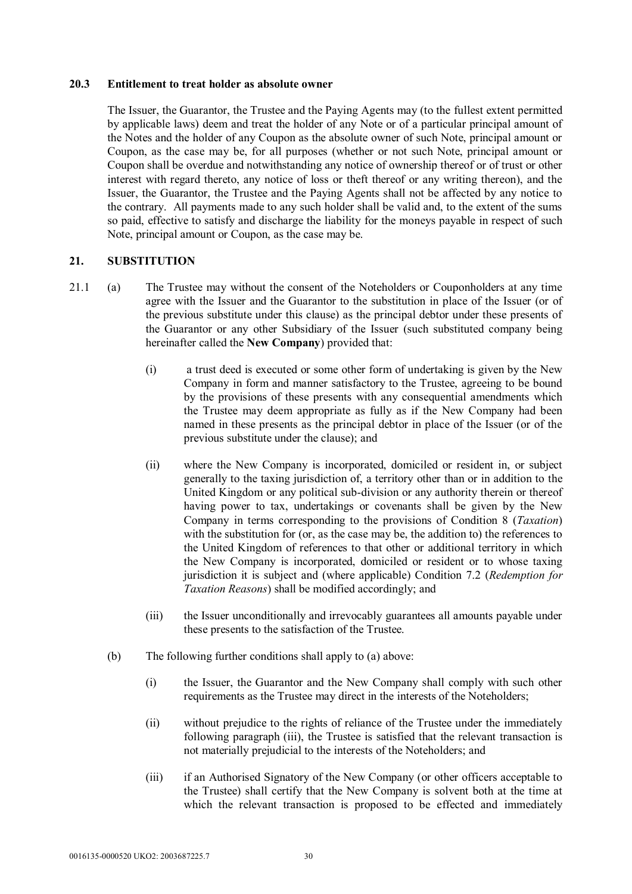#### **20.3 Entitlement to treat holder as absolute owner**

The Issuer, the Guarantor, the Trustee and the Paying Agents may (to the fullest extent permitted by applicable laws) deem and treat the holder of any Note or of a particular principal amount of the Notes and the holder of any Coupon as the absolute owner of such Note, principal amount or Coupon, as the case may be, for all purposes (whether or not such Note, principal amount or Coupon shall be overdue and notwithstanding any notice of ownership thereof or of trust or other interest with regard thereto, any notice of loss or theft thereof or any writing thereon), and the Issuer, the Guarantor, the Trustee and the Paying Agents shall not be affected by any notice to the contrary. All payments made to any such holder shall be valid and, to the extent of the sums so paid, effective to satisfy and discharge the liability for the moneys payable in respect of such Note, principal amount or Coupon, as the case may be.

# **21. SUBSTITUTION**

- 21.1 (a) The Trustee may without the consent of the Noteholders or Couponholders at any time agree with the Issuer and the Guarantor to the substitution in place of the Issuer (or of the previous substitute under this clause) as the principal debtor under these presents of the Guarantor or any other Subsidiary of the Issuer (such substituted company being hereinafter called the **New Company**) provided that:
	- (i) a trust deed is executed or some other form of undertaking is given by the New Company in form and manner satisfactory to the Trustee, agreeing to be bound by the provisions of these presents with any consequential amendments which the Trustee may deem appropriate as fully as if the New Company had been named in these presents as the principal debtor in place of the Issuer (or of the previous substitute under the clause); and
	- (ii) where the New Company is incorporated, domiciled or resident in, or subject generally to the taxing jurisdiction of, a territory other than or in addition to the United Kingdom or any political sub-division or any authority therein or thereof having power to tax, undertakings or covenants shall be given by the New Company in terms corresponding to the provisions of Condition 8 (*Taxation*) with the substitution for (or, as the case may be, the addition to) the references to the United Kingdom of references to that other or additional territory in which the New Company is incorporated, domiciled or resident or to whose taxing jurisdiction it is subject and (where applicable) Condition 7.2 (*Redemption for Taxation Reasons*) shall be modified accordingly; and
	- (iii) the Issuer unconditionally and irrevocably guarantees all amounts payable under these presents to the satisfaction of the Trustee.
	- (b) The following further conditions shall apply to (a) above:
		- (i) the Issuer, the Guarantor and the New Company shall comply with such other requirements as the Trustee may direct in the interests of the Noteholders;
		- (ii) without prejudice to the rights of reliance of the Trustee under the immediately following paragraph (iii), the Trustee is satisfied that the relevant transaction is not materially prejudicial to the interests of the Noteholders; and
		- (iii) if an Authorised Signatory of the New Company (or other officers acceptable to the Trustee) shall certify that the New Company is solvent both at the time at which the relevant transaction is proposed to be effected and immediately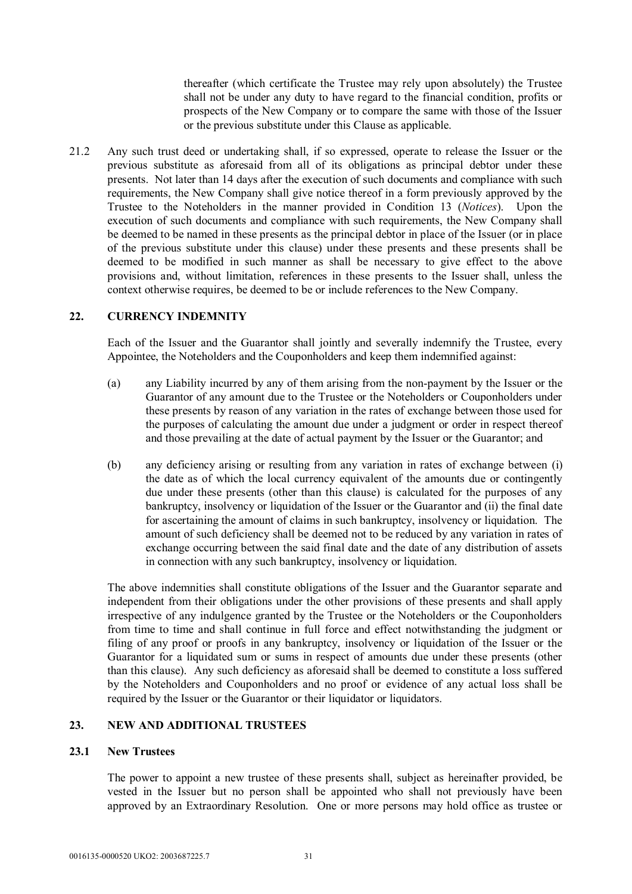thereafter (which certificate the Trustee may rely upon absolutely) the Trustee shall not be under any duty to have regard to the financial condition, profits or prospects of the New Company or to compare the same with those of the Issuer or the previous substitute under this Clause as applicable.

21.2 Any such trust deed or undertaking shall, if so expressed, operate to release the Issuer or the previous substitute as aforesaid from all of its obligations as principal debtor under these presents. Not later than 14 days after the execution of such documents and compliance with such requirements, the New Company shall give notice thereof in a form previously approved by the Trustee to the Noteholders in the manner provided in Condition 13 (*Notices*). Upon the execution of such documents and compliance with such requirements, the New Company shall be deemed to be named in these presents as the principal debtor in place of the Issuer (or in place of the previous substitute under this clause) under these presents and these presents shall be deemed to be modified in such manner as shall be necessary to give effect to the above provisions and, without limitation, references in these presents to the Issuer shall, unless the context otherwise requires, be deemed to be or include references to the New Company.

# **22. CURRENCY INDEMNITY**

Each of the Issuer and the Guarantor shall jointly and severally indemnify the Trustee, every Appointee, the Noteholders and the Couponholders and keep them indemnified against:

- (a) any Liability incurred by any of them arising from the non-payment by the Issuer or the Guarantor of any amount due to the Trustee or the Noteholders or Couponholders under these presents by reason of any variation in the rates of exchange between those used for the purposes of calculating the amount due under a judgment or order in respect thereof and those prevailing at the date of actual payment by the Issuer or the Guarantor; and
- (b) any deficiency arising or resulting from any variation in rates of exchange between (i) the date as of which the local currency equivalent of the amounts due or contingently due under these presents (other than this clause) is calculated for the purposes of any bankruptcy, insolvency or liquidation of the Issuer or the Guarantor and (ii) the final date for ascertaining the amount of claims in such bankruptcy, insolvency or liquidation. The amount of such deficiency shall be deemed not to be reduced by any variation in rates of exchange occurring between the said final date and the date of any distribution of assets in connection with any such bankruptcy, insolvency or liquidation.

The above indemnities shall constitute obligations of the Issuer and the Guarantor separate and independent from their obligations under the other provisions of these presents and shall apply irrespective of any indulgence granted by the Trustee or the Noteholders or the Couponholders from time to time and shall continue in full force and effect notwithstanding the judgment or filing of any proof or proofs in any bankruptcy, insolvency or liquidation of the Issuer or the Guarantor for a liquidated sum or sums in respect of amounts due under these presents (other than this clause). Any such deficiency as aforesaid shall be deemed to constitute a loss suffered by the Noteholders and Couponholders and no proof or evidence of any actual loss shall be required by the Issuer or the Guarantor or their liquidator or liquidators.

# **23. NEW AND ADDITIONAL TRUSTEES**

#### **23.1 New Trustees**

The power to appoint a new trustee of these presents shall, subject as hereinafter provided, be vested in the Issuer but no person shall be appointed who shall not previously have been approved by an Extraordinary Resolution. One or more persons may hold office as trustee or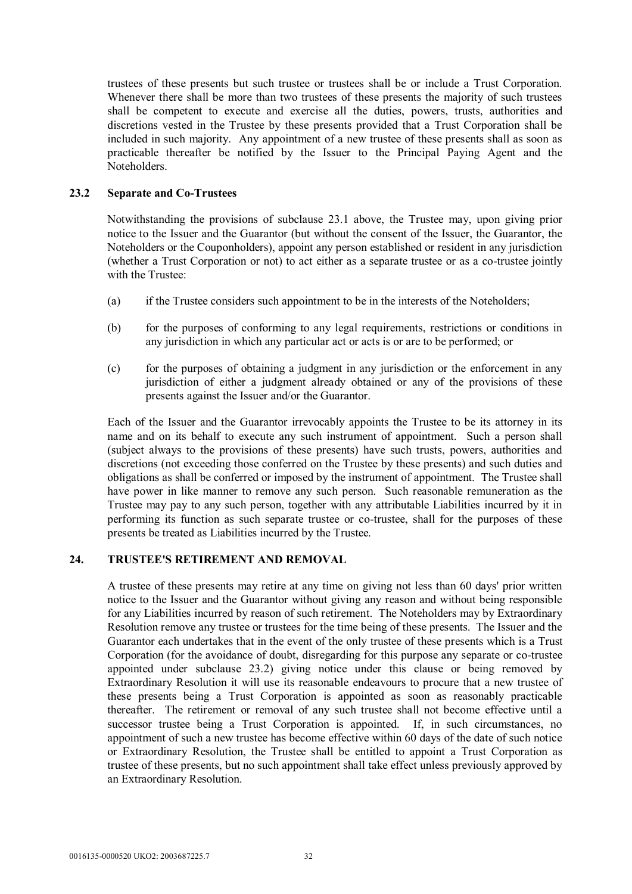trustees of these presents but such trustee or trustees shall be or include a Trust Corporation. Whenever there shall be more than two trustees of these presents the majority of such trustees shall be competent to execute and exercise all the duties, powers, trusts, authorities and discretions vested in the Trustee by these presents provided that a Trust Corporation shall be included in such majority. Any appointment of a new trustee of these presents shall as soon as practicable thereafter be notified by the Issuer to the Principal Paying Agent and the Noteholders.

## **23.2 Separate and Co-Trustees**

Notwithstanding the provisions of subclause 23.1 above, the Trustee may, upon giving prior notice to the Issuer and the Guarantor (but without the consent of the Issuer, the Guarantor, the Noteholders or the Couponholders), appoint any person established or resident in any jurisdiction (whether a Trust Corporation or not) to act either as a separate trustee or as a co-trustee jointly with the Trustee:

- (a) if the Trustee considers such appointment to be in the interests of the Noteholders;
- (b) for the purposes of conforming to any legal requirements, restrictions or conditions in any jurisdiction in which any particular act or acts is or are to be performed; or
- (c) for the purposes of obtaining a judgment in any jurisdiction or the enforcement in any jurisdiction of either a judgment already obtained or any of the provisions of these presents against the Issuer and/or the Guarantor.

Each of the Issuer and the Guarantor irrevocably appoints the Trustee to be its attorney in its name and on its behalf to execute any such instrument of appointment. Such a person shall (subject always to the provisions of these presents) have such trusts, powers, authorities and discretions (not exceeding those conferred on the Trustee by these presents) and such duties and obligations as shall be conferred or imposed by the instrument of appointment. The Trustee shall have power in like manner to remove any such person. Such reasonable remuneration as the Trustee may pay to any such person, together with any attributable Liabilities incurred by it in performing its function as such separate trustee or co-trustee, shall for the purposes of these presents be treated as Liabilities incurred by the Trustee.

#### **24. TRUSTEE'S RETIREMENT AND REMOVAL**

A trustee of these presents may retire at any time on giving not less than 60 days' prior written notice to the Issuer and the Guarantor without giving any reason and without being responsible for any Liabilities incurred by reason of such retirement. The Noteholders may by Extraordinary Resolution remove any trustee or trustees for the time being of these presents. The Issuer and the Guarantor each undertakes that in the event of the only trustee of these presents which is a Trust Corporation (for the avoidance of doubt, disregarding for this purpose any separate or co-trustee appointed under subclause 23.2) giving notice under this clause or being removed by Extraordinary Resolution it will use its reasonable endeavours to procure that a new trustee of these presents being a Trust Corporation is appointed as soon as reasonably practicable thereafter. The retirement or removal of any such trustee shall not become effective until a successor trustee being a Trust Corporation is appointed. If, in such circumstances, no appointment of such a new trustee has become effective within 60 days of the date of such notice or Extraordinary Resolution, the Trustee shall be entitled to appoint a Trust Corporation as trustee of these presents, but no such appointment shall take effect unless previously approved by an Extraordinary Resolution.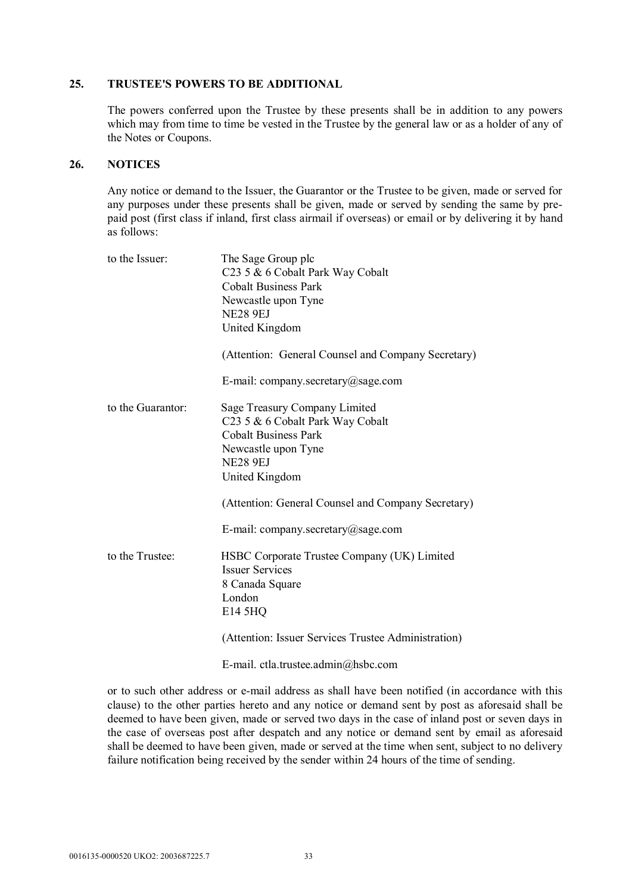#### **25. TRUSTEE'S POWERS TO BE ADDITIONAL**

The powers conferred upon the Trustee by these presents shall be in addition to any powers which may from time to time be vested in the Trustee by the general law or as a holder of any of the Notes or Coupons.

#### **26. NOTICES**

Any notice or demand to the Issuer, the Guarantor or the Trustee to be given, made or served for any purposes under these presents shall be given, made or served by sending the same by prepaid post (first class if inland, first class airmail if overseas) or email or by delivering it by hand  $\alpha$  as follows:

| to the Issuer:    | The Sage Group plc<br>C23 5 & 6 Cobalt Park Way Cobalt<br><b>Cobalt Business Park</b><br>Newcastle upon Tyne<br><b>NE28 9EJ</b><br>United Kingdom<br>(Attention: General Counsel and Company Secretary) |
|-------------------|---------------------------------------------------------------------------------------------------------------------------------------------------------------------------------------------------------|
|                   | E-mail: company.secretary@sage.com                                                                                                                                                                      |
| to the Guarantor: | Sage Treasury Company Limited<br>C <sub>23</sub> 5 & 6 Cobalt Park Way Cobalt<br><b>Cobalt Business Park</b><br>Newcastle upon Tyne<br><b>NE28 9EJ</b><br>United Kingdom                                |
|                   | (Attention: General Counsel and Company Secretary)                                                                                                                                                      |
|                   | E-mail: company.secretary@sage.com                                                                                                                                                                      |
| to the Trustee:   | HSBC Corporate Trustee Company (UK) Limited<br><b>Issuer Services</b><br>8 Canada Square<br>London<br>E14 5HQ                                                                                           |
|                   | (Attention: Issuer Services Trustee Administration)                                                                                                                                                     |
|                   | E-mail. ctla.trustee.admin@hsbc.com                                                                                                                                                                     |

or to such other address or e-mail address as shall have been notified (in accordance with this clause) to the other parties hereto and any notice or demand sent by post as aforesaid shall be deemed to have been given, made or served two days in the case of inland post or seven days in the case of overseas post after despatch and any notice or demand sent by email as aforesaid shall be deemed to have been given, made or served at the time when sent, subject to no delivery failure notification being received by the sender within 24 hours of the time of sending.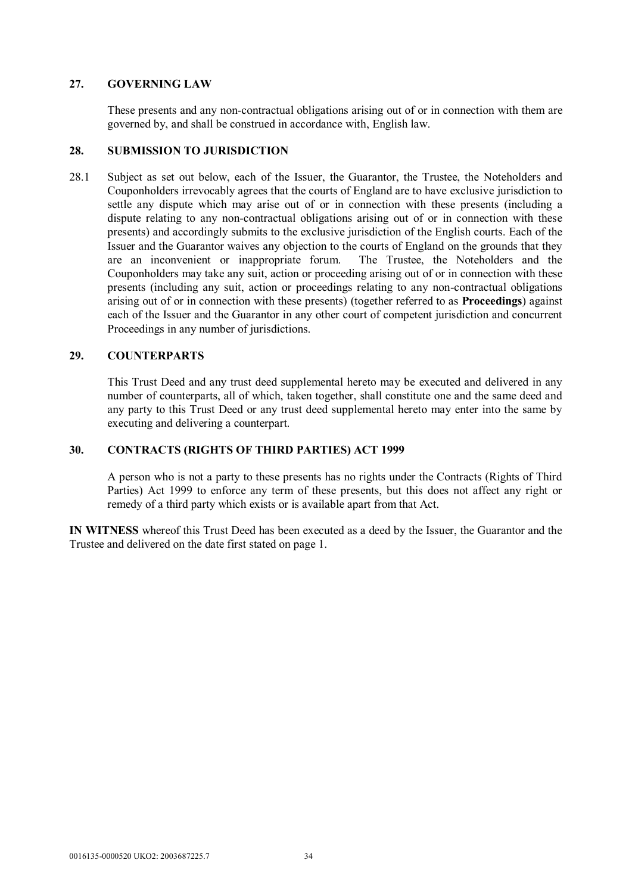# **27. GOVERNING LAW**

These presents and any non-contractual obligations arising out of or in connection with them are governed by, and shall be construed in accordance with, English law.

#### **28. SUBMISSION TO JURISDICTION**

28.1 Subject as set out below, each of the Issuer, the Guarantor, the Trustee, the Noteholders and Couponholders irrevocably agrees that the courts of England are to have exclusive jurisdiction to settle any dispute which may arise out of or in connection with these presents (including a dispute relating to any non-contractual obligations arising out of or in connection with these presents) and accordingly submits to the exclusive jurisdiction of the English courts. Each of the Issuer and the Guarantor waives any objection to the courts of England on the grounds that they are an inconvenient or inappropriate forum. The Trustee, the Noteholders and the Couponholders may take any suit, action or proceeding arising out of or in connection with these presents (including any suit, action or proceedings relating to any non-contractual obligations arising out of or in connection with these presents) (together referred to as **Proceedings**) against each of the Issuer and the Guarantor in any other court of competent jurisdiction and concurrent Proceedings in any number of jurisdictions.

# **29. COUNTERPARTS**

This Trust Deed and any trust deed supplemental hereto may be executed and delivered in any number of counterparts, all of which, taken together, shall constitute one and the same deed and any party to this Trust Deed or any trust deed supplemental hereto may enter into the same by executing and delivering a counterpart.

# **30. CONTRACTS (RIGHTS OF THIRD PARTIES) ACT 1999**

A person who is not a party to these presents has no rights under the Contracts (Rights of Third Parties) Act 1999 to enforce any term of these presents, but this does not affect any right or remedy of a third party which exists or is available apart from that Act.

**IN WITNESS** whereof this Trust Deed has been executed as a deed by the Issuer, the Guarantor and the Trustee and delivered on the date first stated on page 1.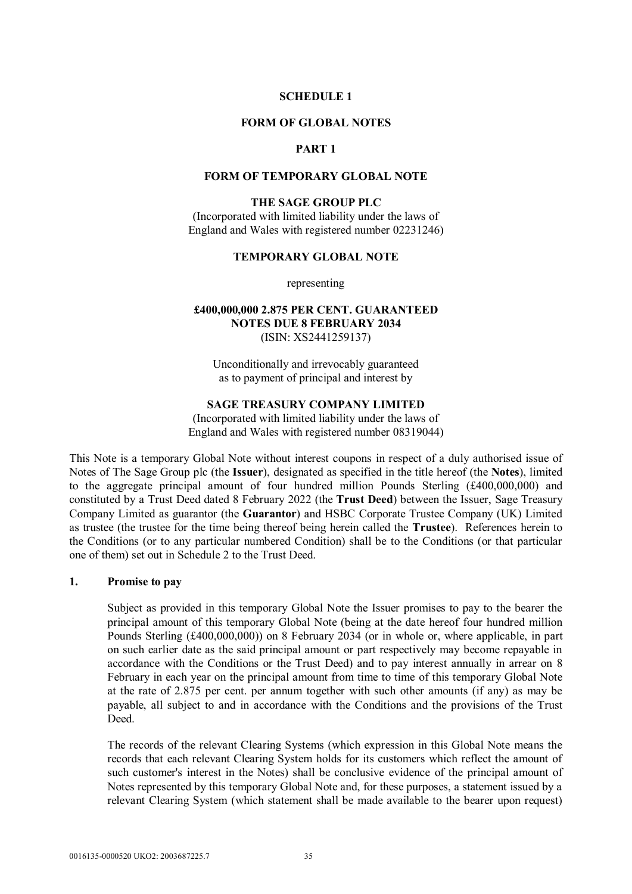#### **SCHEDULE 1**

#### **FORM OF GLOBAL NOTES**

# **PART 1**

#### **FORM OF TEMPORARY GLOBAL NOTE**

### **THE SAGE GROUP PLC**

(Incorporated with limited liability under the laws of England and Wales with registered number 02231246)

#### **TEMPORARY GLOBAL NOTE**

representing

### **£400,000,000 2.875 PER CENT. GUARANTEED NOTES DUE 8 FEBRUARY 2034** (ISIN: XS2441259137)

Unconditionally and irrevocably guaranteed as to payment of principal and interest by

#### **SAGE TREASURY COMPANY LIMITED**

(Incorporated with limited liability under the laws of England and Wales with registered number 08319044)

This Note is a temporary Global Note without interest coupons in respect of a duly authorised issue of Notes of The Sage Group plc (the **Issuer**), designated as specified in the title hereof (the **Notes**), limited to the aggregate principal amount of four hundred million Pounds Sterling (£400,000,000) and constituted by a Trust Deed dated 8 February 2022 (the **Trust Deed**) between the Issuer, Sage Treasury Company Limited as guarantor (the **Guarantor**) and HSBC Corporate Trustee Company (UK) Limited as trustee (the trustee for the time being thereof being herein called the **Trustee**). References herein to the Conditions (or to any particular numbered Condition) shall be to the Conditions (or that particular one of them) set out in Schedule 2 to the Trust Deed.

#### **1. Promise to pay**

Subject as provided in this temporary Global Note the Issuer promises to pay to the bearer the principal amount of this temporary Global Note (being at the date hereof four hundred million Pounds Sterling (£400,000,000)) on 8 February 2034 (or in whole or, where applicable, in part on such earlier date as the said principal amount or part respectively may become repayable in accordance with the Conditions or the Trust Deed) and to pay interest annually in arrear on 8 February in each year on the principal amount from time to time of this temporary Global Note at the rate of 2.875 per cent. per annum together with such other amounts (if any) as may be payable, all subject to and in accordance with the Conditions and the provisions of the Trust **Deed.** 

The records of the relevant Clearing Systems (which expression in this Global Note means the records that each relevant Clearing System holds for its customers which reflect the amount of such customer's interest in the Notes) shall be conclusive evidence of the principal amount of Notes represented by this temporary Global Note and, for these purposes, a statement issued by a relevant Clearing System (which statement shall be made available to the bearer upon request)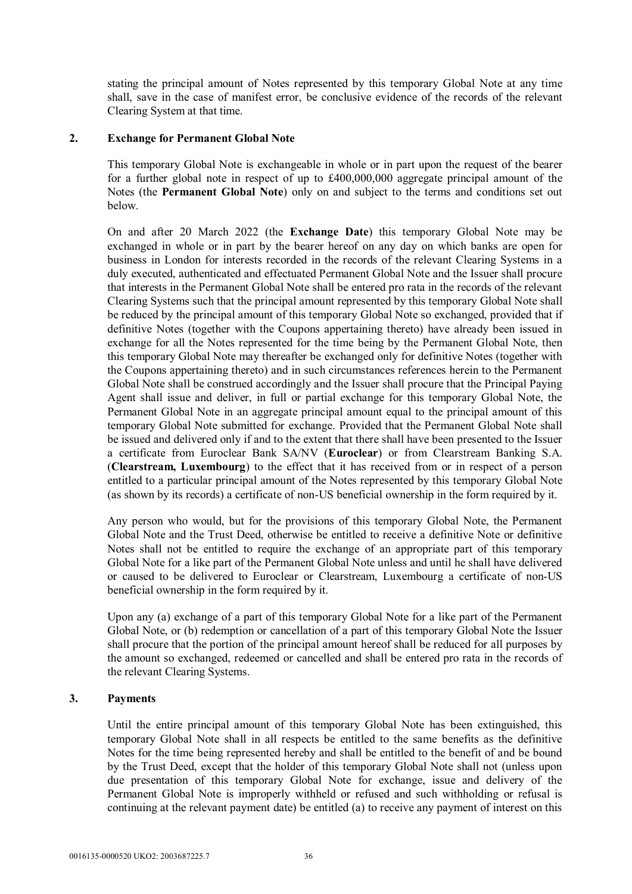stating the principal amount of Notes represented by this temporary Global Note at any time shall, save in the case of manifest error, be conclusive evidence of the records of the relevant Clearing System at that time.

### **2. Exchange for Permanent Global Note**

This temporary Global Note is exchangeable in whole or in part upon the request of the bearer for a further global note in respect of up to £400,000,000 aggregate principal amount of the Notes (the **Permanent Global Note**) only on and subject to the terms and conditions set out below.

On and after 20 March 2022 (the **Exchange Date**) this temporary Global Note may be exchanged in whole or in part by the bearer hereof on any day on which banks are open for business in London for interests recorded in the records of the relevant Clearing Systems in a duly executed, authenticated and effectuated Permanent Global Note and the Issuer shall procure that interests in the Permanent Global Note shall be entered pro rata in the records of the relevant Clearing Systems such that the principal amount represented by this temporary Global Note shall be reduced by the principal amount of this temporary Global Note so exchanged, provided that if definitive Notes (together with the Coupons appertaining thereto) have already been issued in exchange for all the Notes represented for the time being by the Permanent Global Note, then this temporary Global Note may thereafter be exchanged only for definitive Notes (together with the Coupons appertaining thereto) and in such circumstances references herein to the Permanent Global Note shall be construed accordingly and the Issuer shall procure that the Principal Paying Agent shall issue and deliver, in full or partial exchange for this temporary Global Note, the Permanent Global Note in an aggregate principal amount equal to the principal amount of this temporary Global Note submitted for exchange. Provided that the Permanent Global Note shall be issued and delivered only if and to the extent that there shall have been presented to the Issuer a certificate from Euroclear Bank SA/NV (**Euroclear**) or from Clearstream Banking S.A. (**Clearstream, Luxembourg**) to the effect that it has received from or in respect of a person entitled to a particular principal amount of the Notes represented by this temporary Global Note (as shown by its records) a certificate of non-US beneficial ownership in the form required by it.

Any person who would, but for the provisions of this temporary Global Note, the Permanent Global Note and the Trust Deed, otherwise be entitled to receive a definitive Note or definitive Notes shall not be entitled to require the exchange of an appropriate part of this temporary Global Note for a like part of the Permanent Global Note unless and until he shall have delivered or caused to be delivered to Euroclear or Clearstream, Luxembourg a certificate of non-US beneficial ownership in the form required by it.

Upon any (a) exchange of a part of this temporary Global Note for a like part of the Permanent Global Note, or (b) redemption or cancellation of a part of this temporary Global Note the Issuer shall procure that the portion of the principal amount hereof shall be reduced for all purposes by the amount so exchanged, redeemed or cancelled and shall be entered pro rata in the records of the relevant Clearing Systems.

# **3. Payments**

Until the entire principal amount of this temporary Global Note has been extinguished, this temporary Global Note shall in all respects be entitled to the same benefits as the definitive Notes for the time being represented hereby and shall be entitled to the benefit of and be bound by the Trust Deed, except that the holder of this temporary Global Note shall not (unless upon due presentation of this temporary Global Note for exchange, issue and delivery of the Permanent Global Note is improperly withheld or refused and such withholding or refusal is continuing at the relevant payment date) be entitled (a) to receive any payment of interest on this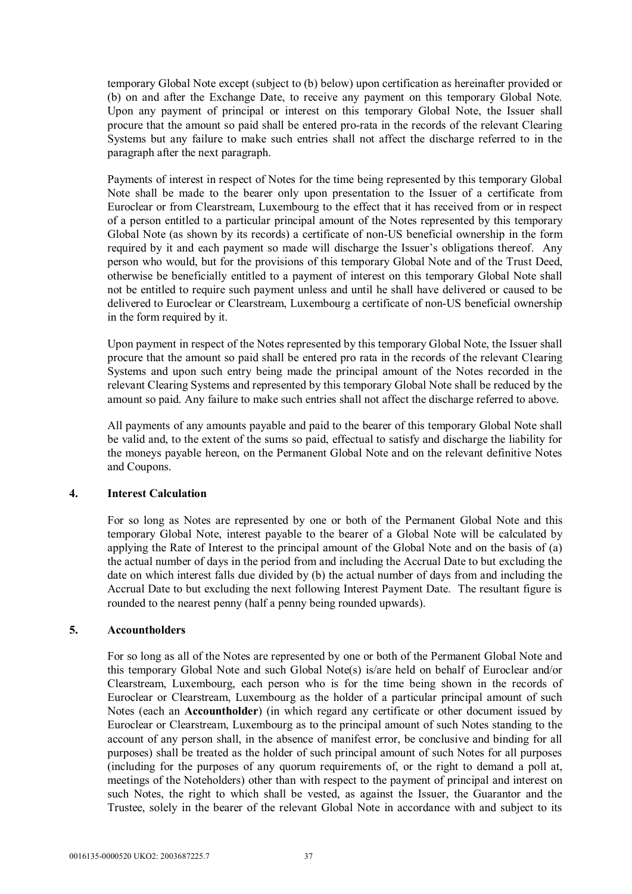temporary Global Note except (subject to (b) below) upon certification as hereinafter provided or (b) on and after the Exchange Date, to receive any payment on this temporary Global Note. Upon any payment of principal or interest on this temporary Global Note, the Issuer shall procure that the amount so paid shall be entered pro-rata in the records of the relevant Clearing Systems but any failure to make such entries shall not affect the discharge referred to in the paragraph after the next paragraph.

Payments of interest in respect of Notes for the time being represented by this temporary Global Note shall be made to the bearer only upon presentation to the Issuer of a certificate from Euroclear or from Clearstream, Luxembourg to the effect that it has received from or in respect of a person entitled to a particular principal amount of the Notes represented by this temporary Global Note (as shown by its records) a certificate of non-US beneficial ownership in the form required by it and each payment so made will discharge the Issuer's obligations thereof. Any person who would, but for the provisions of this temporary Global Note and of the Trust Deed, otherwise be beneficially entitled to a payment of interest on this temporary Global Note shall not be entitled to require such payment unless and until he shall have delivered or caused to be delivered to Euroclear or Clearstream, Luxembourg a certificate of non-US beneficial ownership in the form required by it.

Upon payment in respect of the Notes represented by this temporary Global Note, the Issuer shall procure that the amount so paid shall be entered pro rata in the records of the relevant Clearing Systems and upon such entry being made the principal amount of the Notes recorded in the relevant Clearing Systems and represented by this temporary Global Note shall be reduced by the amount so paid. Any failure to make such entries shall not affect the discharge referred to above.

All payments of any amounts payable and paid to the bearer of this temporary Global Note shall be valid and, to the extent of the sums so paid, effectual to satisfy and discharge the liability for the moneys payable hereon, on the Permanent Global Note and on the relevant definitive Notes and Coupons.

# **4. Interest Calculation**

For so long as Notes are represented by one or both of the Permanent Global Note and this temporary Global Note, interest payable to the bearer of a Global Note will be calculated by applying the Rate of Interest to the principal amount of the Global Note and on the basis of (a) the actual number of days in the period from and including the Accrual Date to but excluding the date on which interest falls due divided by (b) the actual number of days from and including the Accrual Date to but excluding the next following Interest Payment Date. The resultant figure is rounded to the nearest penny (half a penny being rounded upwards).

### **5. Accountholders**

For so long as all of the Notes are represented by one or both of the Permanent Global Note and this temporary Global Note and such Global Note(s) is/are held on behalf of Euroclear and/or Clearstream, Luxembourg, each person who is for the time being shown in the records of Euroclear or Clearstream, Luxembourg as the holder of a particular principal amount of such Notes (each an **Accountholder**) (in which regard any certificate or other document issued by Euroclear or Clearstream, Luxembourg as to the principal amount of such Notes standing to the account of any person shall, in the absence of manifest error, be conclusive and binding for all purposes) shall be treated as the holder of such principal amount of such Notes for all purposes (including for the purposes of any quorum requirements of, or the right to demand a poll at, meetings of the Noteholders) other than with respect to the payment of principal and interest on such Notes, the right to which shall be vested, as against the Issuer, the Guarantor and the Trustee, solely in the bearer of the relevant Global Note in accordance with and subject to its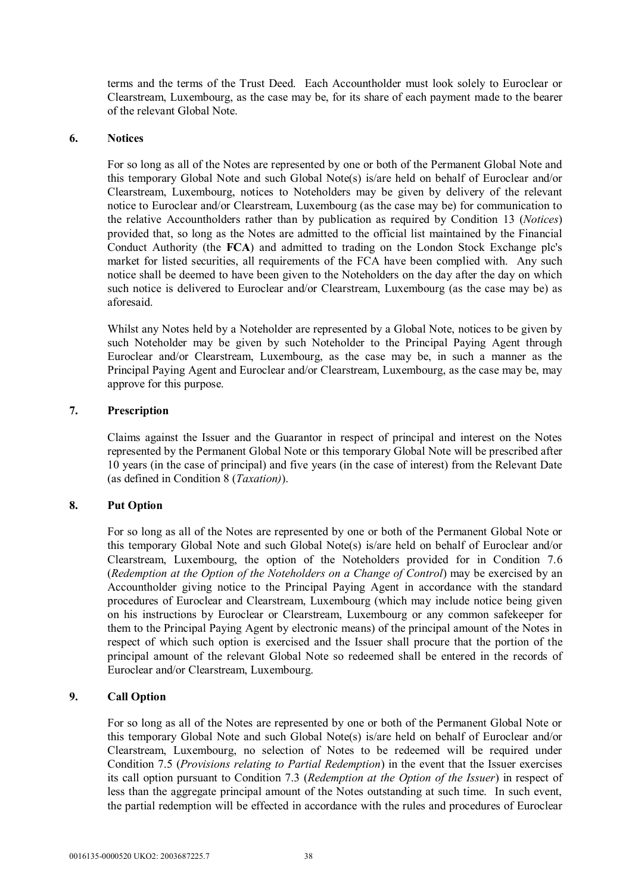terms and the terms of the Trust Deed. Each Accountholder must look solely to Euroclear or Clearstream, Luxembourg, as the case may be, for its share of each payment made to the bearer of the relevant Global Note.

### **6. Notices**

For so long as all of the Notes are represented by one or both of the Permanent Global Note and this temporary Global Note and such Global Note(s) is/are held on behalf of Euroclear and/or Clearstream, Luxembourg, notices to Noteholders may be given by delivery of the relevant notice to Euroclear and/or Clearstream, Luxembourg (as the case may be) for communication to the relative Accountholders rather than by publication as required by Condition 13 (*Notices*) provided that, so long as the Notes are admitted to the official list maintained by the Financial Conduct Authority (the **FCA**) and admitted to trading on the London Stock Exchange plc's market for listed securities, all requirements of the FCA have been complied with. Any such notice shall be deemed to have been given to the Noteholders on the day after the day on which such notice is delivered to Euroclear and/or Clearstream, Luxembourg (as the case may be) as aforesaid.

Whilst any Notes held by a Noteholder are represented by a Global Note, notices to be given by such Noteholder may be given by such Noteholder to the Principal Paying Agent through Euroclear and/or Clearstream, Luxembourg, as the case may be, in such a manner as the Principal Paying Agent and Euroclear and/or Clearstream, Luxembourg, as the case may be, may approve for this purpose.

## **7. Prescription**

Claims against the Issuer and the Guarantor in respect of principal and interest on the Notes represented by the Permanent Global Note or this temporary Global Note will be prescribed after 10 years (in the case of principal) and five years (in the case of interest) from the Relevant Date (as defined in Condition 8 (*Taxation)*).

# **8. Put Option**

For so long as all of the Notes are represented by one or both of the Permanent Global Note or this temporary Global Note and such Global Note(s) is/are held on behalf of Euroclear and/or Clearstream, Luxembourg, the option of the Noteholders provided for in Condition 7.6 (*Redemption at the Option of the Noteholders on a Change of Control*) may be exercised by an Accountholder giving notice to the Principal Paying Agent in accordance with the standard procedures of Euroclear and Clearstream, Luxembourg (which may include notice being given on his instructions by Euroclear or Clearstream, Luxembourg or any common safekeeper for them to the Principal Paying Agent by electronic means) of the principal amount of the Notes in respect of which such option is exercised and the Issuer shall procure that the portion of the principal amount of the relevant Global Note so redeemed shall be entered in the records of Euroclear and/or Clearstream, Luxembourg.

# **9. Call Option**

For so long as all of the Notes are represented by one or both of the Permanent Global Note or this temporary Global Note and such Global Note(s) is/are held on behalf of Euroclear and/or Clearstream, Luxembourg, no selection of Notes to be redeemed will be required under Condition 7.5 (*Provisions relating to Partial Redemption*) in the event that the Issuer exercises its call option pursuant to Condition 7.3 (*Redemption at the Option of the Issuer*) in respect of less than the aggregate principal amount of the Notes outstanding at such time. In such event, the partial redemption will be effected in accordance with the rules and procedures of Euroclear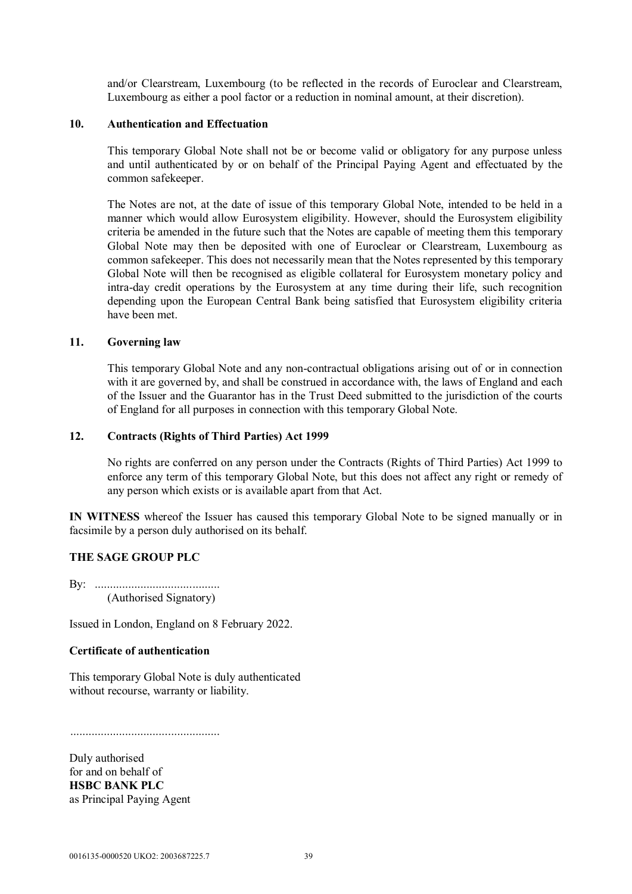and/or Clearstream, Luxembourg (to be reflected in the records of Euroclear and Clearstream, Luxembourg as either a pool factor or a reduction in nominal amount, at their discretion).

#### **10. Authentication and Effectuation**

This temporary Global Note shall not be or become valid or obligatory for any purpose unless and until authenticated by or on behalf of the Principal Paying Agent and effectuated by the common safekeeper.

The Notes are not, at the date of issue of this temporary Global Note, intended to be held in a manner which would allow Eurosystem eligibility. However, should the Eurosystem eligibility criteria be amended in the future such that the Notes are capable of meeting them this temporary Global Note may then be deposited with one of Euroclear or Clearstream, Luxembourg as common safekeeper. This does not necessarily mean that the Notes represented by this temporary Global Note will then be recognised as eligible collateral for Eurosystem monetary policy and intra-day credit operations by the Eurosystem at any time during their life, such recognition depending upon the European Central Bank being satisfied that Eurosystem eligibility criteria have been met.

#### **11. Governing law**

This temporary Global Note and any non-contractual obligations arising out of or in connection with it are governed by, and shall be construed in accordance with, the laws of England and each of the Issuer and the Guarantor has in the Trust Deed submitted to the jurisdiction of the courts of England for all purposes in connection with this temporary Global Note.

#### **12. Contracts (Rights of Third Parties) Act 1999**

No rights are conferred on any person under the Contracts (Rights of Third Parties) Act 1999 to enforce any term of this temporary Global Note, but this does not affect any right or remedy of any person which exists or is available apart from that Act.

**IN WITNESS** whereof the Issuer has caused this temporary Global Note to be signed manually or in facsimile by a person duly authorised on its behalf.

### **THE SAGE GROUP PLC**

By: ......................................... (Authorised Signatory)

Issued in London, England on 8 February 2022.

### **Certificate of authentication**

This temporary Global Note is duly authenticated without recourse, warranty or liability.

.................................................

Duly authorised for and on behalf of **HSBC BANK PLC** as Principal Paying Agent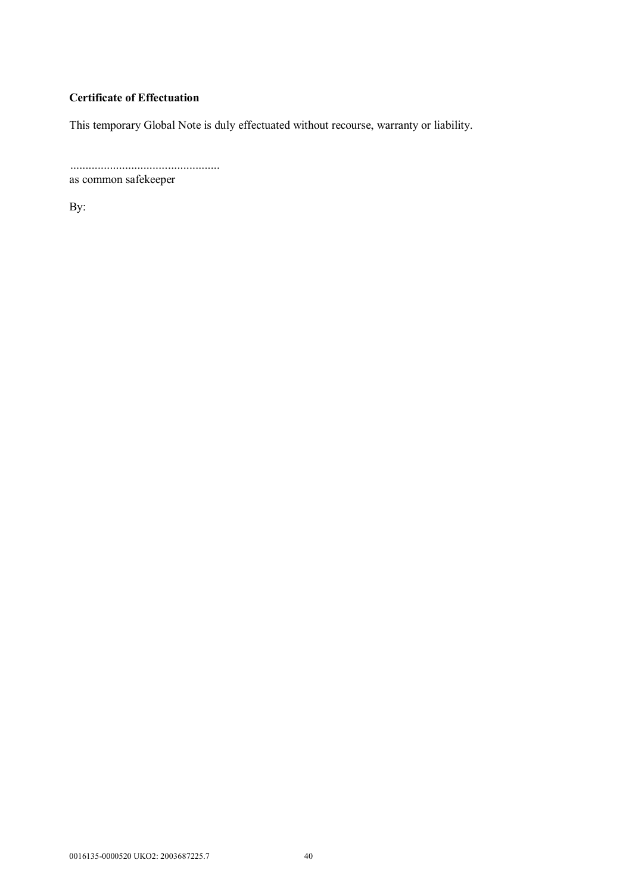# **Certificate of Effectuation**

This temporary Global Note is duly effectuated without recourse, warranty or liability.

 ................................................. as common safekeeper

By: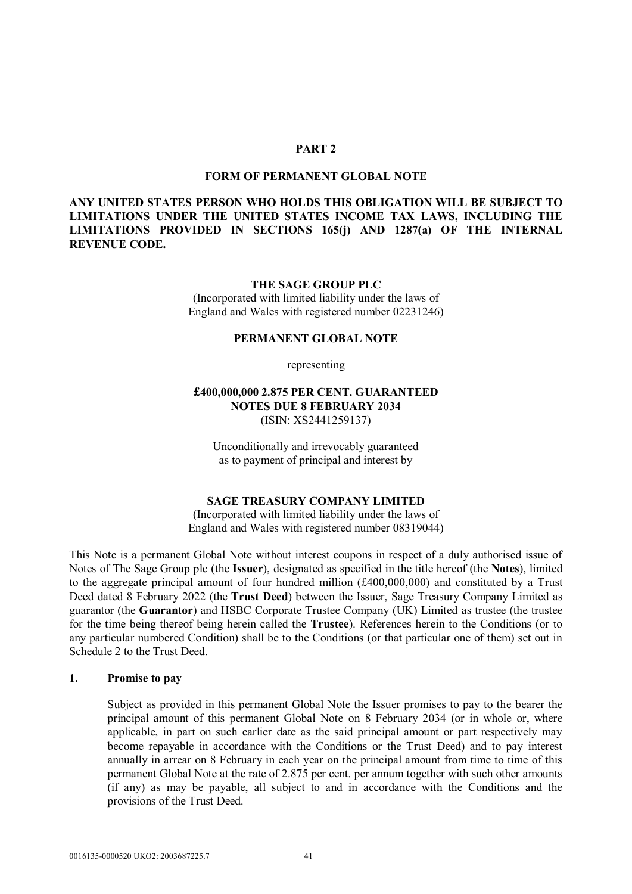#### **PART 2**

#### **FORM OF PERMANENT GLOBAL NOTE**

### **ANY UNITED STATES PERSON WHO HOLDS THIS OBLIGATION WILL BE SUBJECT TO LIMITATIONS UNDER THE UNITED STATES INCOME TAX LAWS, INCLUDING THE LIMITATIONS PROVIDED IN SECTIONS 165(j) AND 1287(a) OF THE INTERNAL REVENUE CODE.**

#### **THE SAGE GROUP PLC**

(Incorporated with limited liability under the laws of England and Wales with registered number 02231246)

#### **PERMANENT GLOBAL NOTE**

representing

### **£400,000,000 2.875 PER CENT. GUARANTEED NOTES DUE 8 FEBRUARY 2034** (ISIN: XS2441259137)

Unconditionally and irrevocably guaranteed as to payment of principal and interest by

#### **SAGE TREASURY COMPANY LIMITED**

(Incorporated with limited liability under the laws of England and Wales with registered number 08319044)

This Note is a permanent Global Note without interest coupons in respect of a duly authorised issue of Notes of The Sage Group plc (the **Issuer**), designated as specified in the title hereof (the **Notes**), limited to the aggregate principal amount of four hundred million (£400,000,000) and constituted by a Trust Deed dated 8 February 2022 (the **Trust Deed**) between the Issuer, Sage Treasury Company Limited as guarantor (the **Guarantor**) and HSBC Corporate Trustee Company (UK) Limited as trustee (the trustee for the time being thereof being herein called the **Trustee**). References herein to the Conditions (or to any particular numbered Condition) shall be to the Conditions (or that particular one of them) set out in Schedule 2 to the Trust Deed.

#### **1. Promise to pay**

Subject as provided in this permanent Global Note the Issuer promises to pay to the bearer the principal amount of this permanent Global Note on 8 February 2034 (or in whole or, where applicable, in part on such earlier date as the said principal amount or part respectively may become repayable in accordance with the Conditions or the Trust Deed) and to pay interest annually in arrear on 8 February in each year on the principal amount from time to time of this permanent Global Note at the rate of 2.875 per cent. per annum together with such other amounts (if any) as may be payable, all subject to and in accordance with the Conditions and the provisions of the Trust Deed.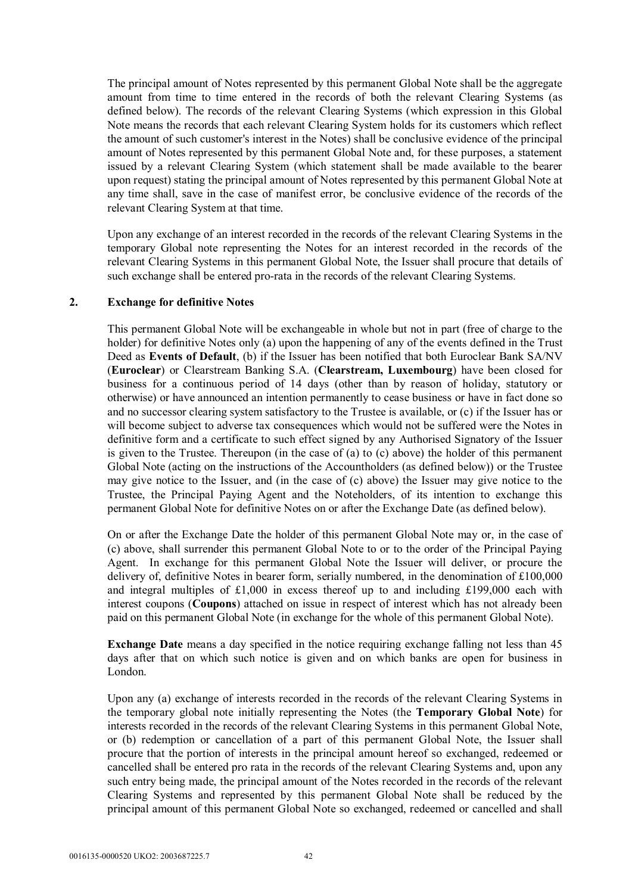The principal amount of Notes represented by this permanent Global Note shall be the aggregate amount from time to time entered in the records of both the relevant Clearing Systems (as defined below). The records of the relevant Clearing Systems (which expression in this Global Note means the records that each relevant Clearing System holds for its customers which reflect the amount of such customer's interest in the Notes) shall be conclusive evidence of the principal amount of Notes represented by this permanent Global Note and, for these purposes, a statement issued by a relevant Clearing System (which statement shall be made available to the bearer upon request) stating the principal amount of Notes represented by this permanent Global Note at any time shall, save in the case of manifest error, be conclusive evidence of the records of the relevant Clearing System at that time.

Upon any exchange of an interest recorded in the records of the relevant Clearing Systems in the temporary Global note representing the Notes for an interest recorded in the records of the relevant Clearing Systems in this permanent Global Note, the Issuer shall procure that details of such exchange shall be entered pro-rata in the records of the relevant Clearing Systems.

#### **2. Exchange for definitive Notes**

This permanent Global Note will be exchangeable in whole but not in part (free of charge to the holder) for definitive Notes only (a) upon the happening of any of the events defined in the Trust Deed as **Events of Default**, (b) if the Issuer has been notified that both Euroclear Bank SA/NV (**Euroclear**) or Clearstream Banking S.A. (**Clearstream, Luxembourg**) have been closed for business for a continuous period of 14 days (other than by reason of holiday, statutory or otherwise) or have announced an intention permanently to cease business or have in fact done so and no successor clearing system satisfactory to the Trustee is available, or (c) if the Issuer has or will become subject to adverse tax consequences which would not be suffered were the Notes in definitive form and a certificate to such effect signed by any Authorised Signatory of the Issuer is given to the Trustee. Thereupon (in the case of (a) to (c) above) the holder of this permanent Global Note (acting on the instructions of the Accountholders (as defined below)) or the Trustee may give notice to the Issuer, and (in the case of (c) above) the Issuer may give notice to the Trustee, the Principal Paying Agent and the Noteholders, of its intention to exchange this permanent Global Note for definitive Notes on or after the Exchange Date (as defined below).

On or after the Exchange Date the holder of this permanent Global Note may or, in the case of (c) above, shall surrender this permanent Global Note to or to the order of the Principal Paying Agent. In exchange for this permanent Global Note the Issuer will deliver, or procure the delivery of, definitive Notes in bearer form, serially numbered, in the denomination of £100,000 and integral multiples of £1,000 in excess thereof up to and including £199,000 each with interest coupons (**Coupons**) attached on issue in respect of interest which has not already been paid on this permanent Global Note (in exchange for the whole of this permanent Global Note).

**Exchange Date** means a day specified in the notice requiring exchange falling not less than 45 days after that on which such notice is given and on which banks are open for business in London.

Upon any (a) exchange of interests recorded in the records of the relevant Clearing Systems in the temporary global note initially representing the Notes (the **Temporary Global Note**) for interests recorded in the records of the relevant Clearing Systems in this permanent Global Note, or (b) redemption or cancellation of a part of this permanent Global Note, the Issuer shall procure that the portion of interests in the principal amount hereof so exchanged, redeemed or cancelled shall be entered pro rata in the records of the relevant Clearing Systems and, upon any such entry being made, the principal amount of the Notes recorded in the records of the relevant Clearing Systems and represented by this permanent Global Note shall be reduced by the principal amount of this permanent Global Note so exchanged, redeemed or cancelled and shall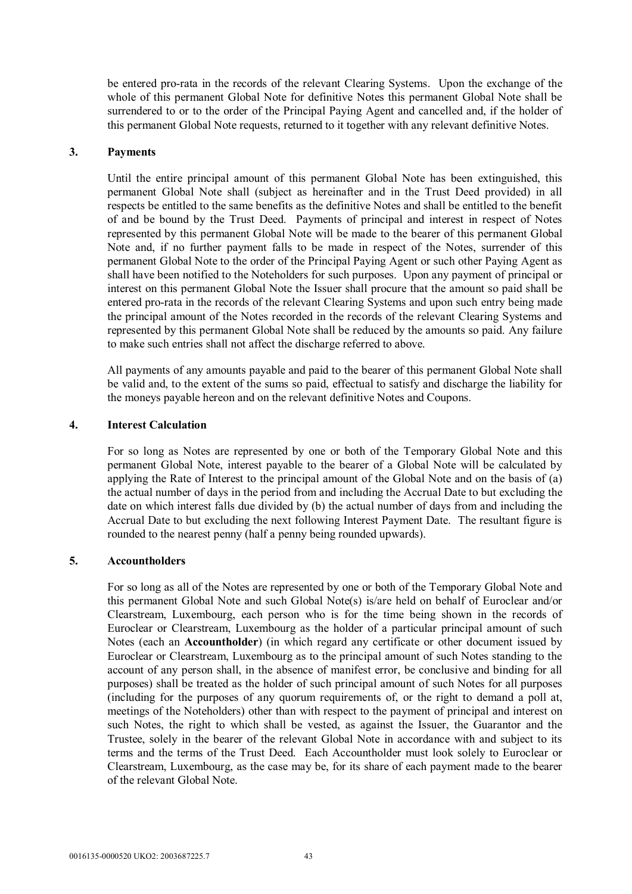be entered pro-rata in the records of the relevant Clearing Systems. Upon the exchange of the whole of this permanent Global Note for definitive Notes this permanent Global Note shall be surrendered to or to the order of the Principal Paying Agent and cancelled and, if the holder of this permanent Global Note requests, returned to it together with any relevant definitive Notes.

#### **3. Payments**

Until the entire principal amount of this permanent Global Note has been extinguished, this permanent Global Note shall (subject as hereinafter and in the Trust Deed provided) in all respects be entitled to the same benefits as the definitive Notes and shall be entitled to the benefit of and be bound by the Trust Deed. Payments of principal and interest in respect of Notes represented by this permanent Global Note will be made to the bearer of this permanent Global Note and, if no further payment falls to be made in respect of the Notes, surrender of this permanent Global Note to the order of the Principal Paying Agent or such other Paying Agent as shall have been notified to the Noteholders for such purposes. Upon any payment of principal or interest on this permanent Global Note the Issuer shall procure that the amount so paid shall be entered pro-rata in the records of the relevant Clearing Systems and upon such entry being made the principal amount of the Notes recorded in the records of the relevant Clearing Systems and represented by this permanent Global Note shall be reduced by the amounts so paid. Any failure to make such entries shall not affect the discharge referred to above.

All payments of any amounts payable and paid to the bearer of this permanent Global Note shall be valid and, to the extent of the sums so paid, effectual to satisfy and discharge the liability for the moneys payable hereon and on the relevant definitive Notes and Coupons.

#### **4. Interest Calculation**

For so long as Notes are represented by one or both of the Temporary Global Note and this permanent Global Note, interest payable to the bearer of a Global Note will be calculated by applying the Rate of Interest to the principal amount of the Global Note and on the basis of (a) the actual number of days in the period from and including the Accrual Date to but excluding the date on which interest falls due divided by (b) the actual number of days from and including the Accrual Date to but excluding the next following Interest Payment Date. The resultant figure is rounded to the nearest penny (half a penny being rounded upwards).

### **5. Accountholders**

For so long as all of the Notes are represented by one or both of the Temporary Global Note and this permanent Global Note and such Global Note(s) is/are held on behalf of Euroclear and/or Clearstream, Luxembourg, each person who is for the time being shown in the records of Euroclear or Clearstream, Luxembourg as the holder of a particular principal amount of such Notes (each an **Accountholder**) (in which regard any certificate or other document issued by Euroclear or Clearstream, Luxembourg as to the principal amount of such Notes standing to the account of any person shall, in the absence of manifest error, be conclusive and binding for all purposes) shall be treated as the holder of such principal amount of such Notes for all purposes (including for the purposes of any quorum requirements of, or the right to demand a poll at, meetings of the Noteholders) other than with respect to the payment of principal and interest on such Notes, the right to which shall be vested, as against the Issuer, the Guarantor and the Trustee, solely in the bearer of the relevant Global Note in accordance with and subject to its terms and the terms of the Trust Deed. Each Accountholder must look solely to Euroclear or Clearstream, Luxembourg, as the case may be, for its share of each payment made to the bearer of the relevant Global Note.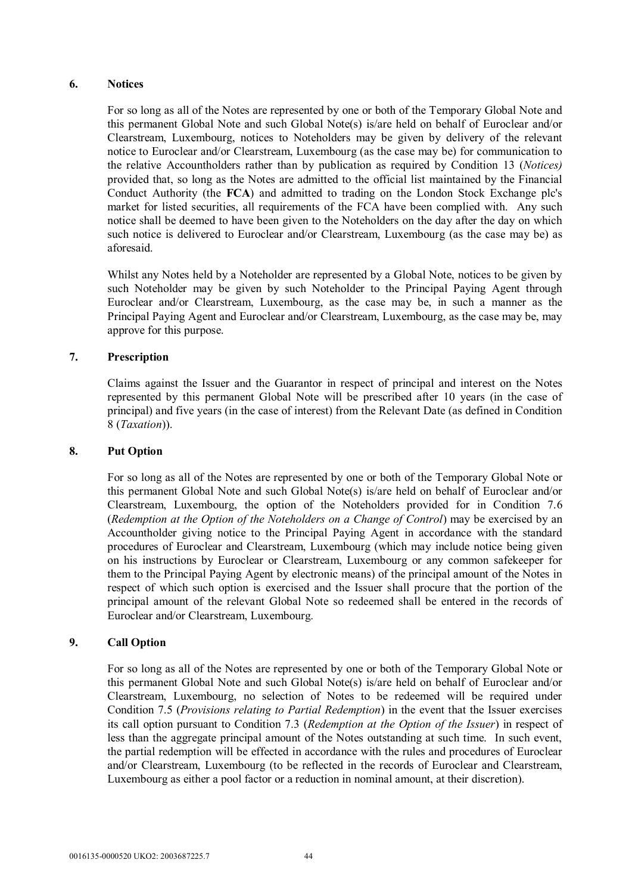### **6. Notices**

For so long as all of the Notes are represented by one or both of the Temporary Global Note and this permanent Global Note and such Global Note(s) is/are held on behalf of Euroclear and/or Clearstream, Luxembourg, notices to Noteholders may be given by delivery of the relevant notice to Euroclear and/or Clearstream, Luxembourg (as the case may be) for communication to the relative Accountholders rather than by publication as required by Condition 13 (*Notices)* provided that, so long as the Notes are admitted to the official list maintained by the Financial Conduct Authority (the **FCA**) and admitted to trading on the London Stock Exchange plc's market for listed securities, all requirements of the FCA have been complied with. Any such notice shall be deemed to have been given to the Noteholders on the day after the day on which such notice is delivered to Euroclear and/or Clearstream, Luxembourg (as the case may be) as aforesaid.

Whilst any Notes held by a Noteholder are represented by a Global Note, notices to be given by such Noteholder may be given by such Noteholder to the Principal Paying Agent through Euroclear and/or Clearstream, Luxembourg, as the case may be, in such a manner as the Principal Paying Agent and Euroclear and/or Clearstream, Luxembourg, as the case may be, may approve for this purpose.

# **7. Prescription**

Claims against the Issuer and the Guarantor in respect of principal and interest on the Notes represented by this permanent Global Note will be prescribed after 10 years (in the case of principal) and five years (in the case of interest) from the Relevant Date (as defined in Condition 8 (*Taxation*)).

### **8. Put Option**

For so long as all of the Notes are represented by one or both of the Temporary Global Note or this permanent Global Note and such Global Note(s) is/are held on behalf of Euroclear and/or Clearstream, Luxembourg, the option of the Noteholders provided for in Condition 7.6 (*Redemption at the Option of the Noteholders on a Change of Control*) may be exercised by an Accountholder giving notice to the Principal Paying Agent in accordance with the standard procedures of Euroclear and Clearstream, Luxembourg (which may include notice being given on his instructions by Euroclear or Clearstream, Luxembourg or any common safekeeper for them to the Principal Paying Agent by electronic means) of the principal amount of the Notes in respect of which such option is exercised and the Issuer shall procure that the portion of the principal amount of the relevant Global Note so redeemed shall be entered in the records of Euroclear and/or Clearstream, Luxembourg.

### **9. Call Option**

For so long as all of the Notes are represented by one or both of the Temporary Global Note or this permanent Global Note and such Global Note(s) is/are held on behalf of Euroclear and/or Clearstream, Luxembourg, no selection of Notes to be redeemed will be required under Condition 7.5 (*Provisions relating to Partial Redemption*) in the event that the Issuer exercises its call option pursuant to Condition 7.3 (*Redemption at the Option of the Issuer*) in respect of less than the aggregate principal amount of the Notes outstanding at such time. In such event, the partial redemption will be effected in accordance with the rules and procedures of Euroclear and/or Clearstream, Luxembourg (to be reflected in the records of Euroclear and Clearstream, Luxembourg as either a pool factor or a reduction in nominal amount, at their discretion).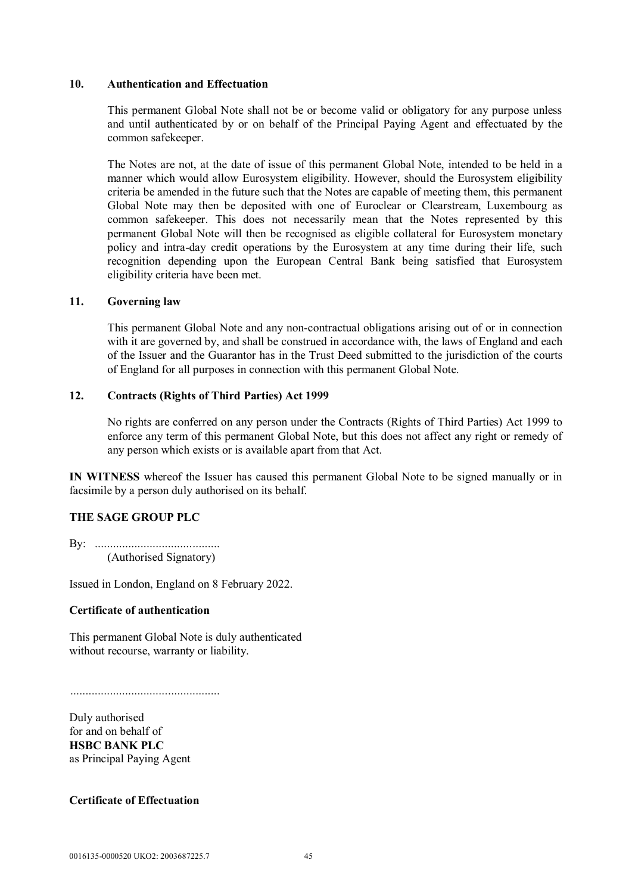#### **10. Authentication and Effectuation**

This permanent Global Note shall not be or become valid or obligatory for any purpose unless and until authenticated by or on behalf of the Principal Paying Agent and effectuated by the common safekeeper.

The Notes are not, at the date of issue of this permanent Global Note, intended to be held in a manner which would allow Eurosystem eligibility. However, should the Eurosystem eligibility criteria be amended in the future such that the Notes are capable of meeting them, this permanent Global Note may then be deposited with one of Euroclear or Clearstream, Luxembourg as common safekeeper. This does not necessarily mean that the Notes represented by this permanent Global Note will then be recognised as eligible collateral for Eurosystem monetary policy and intra-day credit operations by the Eurosystem at any time during their life, such recognition depending upon the European Central Bank being satisfied that Eurosystem eligibility criteria have been met.

# **11. Governing law**

This permanent Global Note and any non-contractual obligations arising out of or in connection with it are governed by, and shall be construed in accordance with, the laws of England and each of the Issuer and the Guarantor has in the Trust Deed submitted to the jurisdiction of the courts of England for all purposes in connection with this permanent Global Note.

### **12. Contracts (Rights of Third Parties) Act 1999**

No rights are conferred on any person under the Contracts (Rights of Third Parties) Act 1999 to enforce any term of this permanent Global Note, but this does not affect any right or remedy of any person which exists or is available apart from that Act.

**IN WITNESS** whereof the Issuer has caused this permanent Global Note to be signed manually or in facsimile by a person duly authorised on its behalf.

### **THE SAGE GROUP PLC**

By: ......................................... (Authorised Signatory)

Issued in London, England on 8 February 2022.

### **Certificate of authentication**

This permanent Global Note is duly authenticated without recourse, warranty or liability.

.................................................

Duly authorised for and on behalf of **HSBC BANK PLC** as Principal Paying Agent

**Certificate of Effectuation**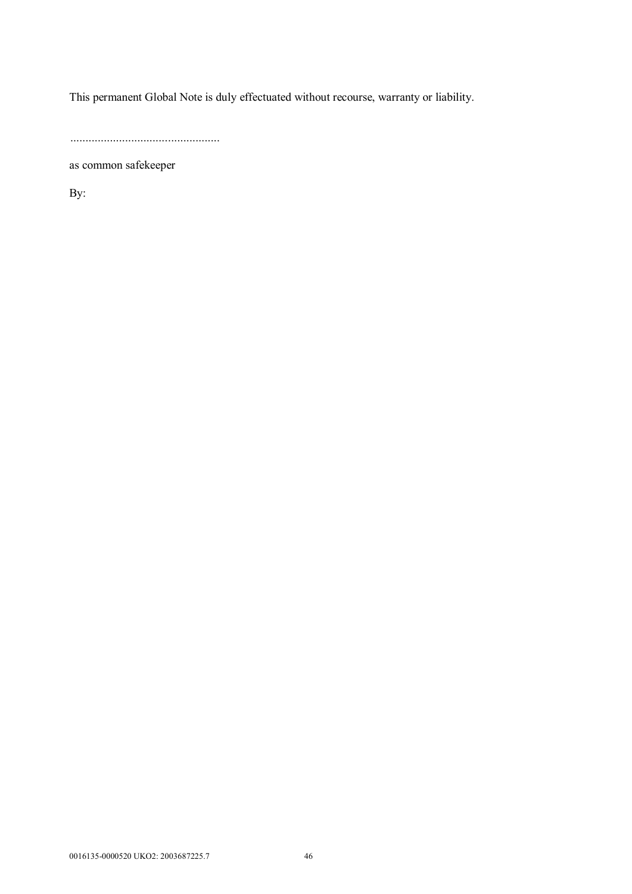This permanent Global Note is duly effectuated without recourse, warranty or liability.

.................................................

as common safekeeper

By: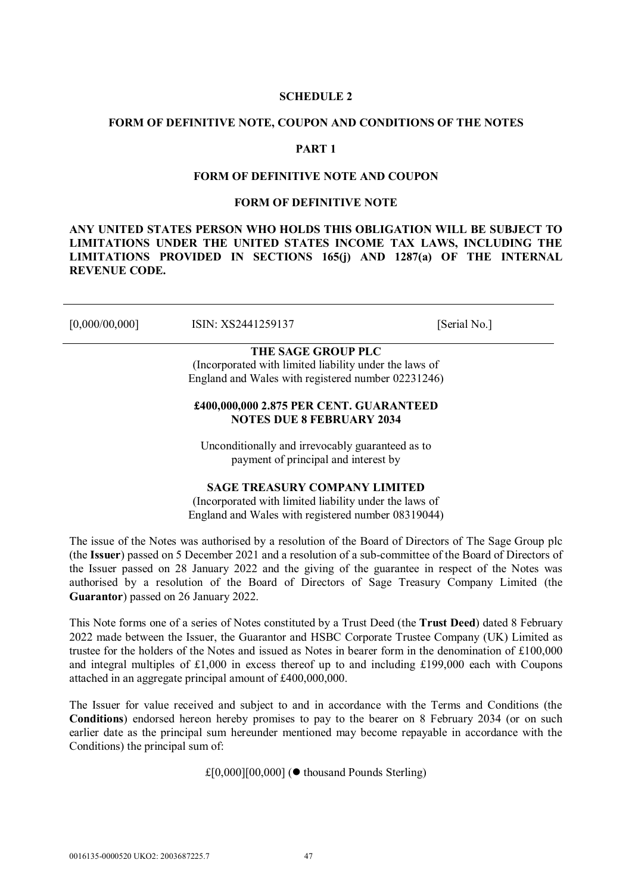#### **SCHEDULE 2**

#### **FORM OF DEFINITIVE NOTE, COUPON AND CONDITIONS OF THE NOTES**

## **PART 1**

#### **FORM OF DEFINITIVE NOTE AND COUPON**

#### **FORM OF DEFINITIVE NOTE**

**ANY UNITED STATES PERSON WHO HOLDS THIS OBLIGATION WILL BE SUBJECT TO LIMITATIONS UNDER THE UNITED STATES INCOME TAX LAWS, INCLUDING THE LIMITATIONS PROVIDED IN SECTIONS 165(j) AND 1287(a) OF THE INTERNAL REVENUE CODE.** 

[0,000/00,000] **ISIN:** XS2441259137 [Serial No.]

# **THE SAGE GROUP PLC**

(Incorporated with limited liability under the laws of England and Wales with registered number 02231246)

# **£400,000,000 2.875 PER CENT. GUARANTEED NOTES DUE 8 FEBRUARY 2034**

Unconditionally and irrevocably guaranteed as to payment of principal and interest by

### **SAGE TREASURY COMPANY LIMITED**

(Incorporated with limited liability under the laws of England and Wales with registered number 08319044)

The issue of the Notes was authorised by a resolution of the Board of Directors of The Sage Group plc (the **Issuer**) passed on 5 December 2021 and a resolution of a sub-committee of the Board of Directors of the Issuer passed on 28 January 2022 and the giving of the guarantee in respect of the Notes was authorised by a resolution of the Board of Directors of Sage Treasury Company Limited (the **Guarantor**) passed on 26 January 2022.

This Note forms one of a series of Notes constituted by a Trust Deed (the **Trust Deed**) dated 8 February 2022 made between the Issuer, the Guarantor and HSBC Corporate Trustee Company (UK) Limited as trustee for the holders of the Notes and issued as Notes in bearer form in the denomination of £100,000 and integral multiples of £1,000 in excess thereof up to and including £199,000 each with Coupons attached in an aggregate principal amount of £400,000,000.

The Issuer for value received and subject to and in accordance with the Terms and Conditions (the **Conditions**) endorsed hereon hereby promises to pay to the bearer on 8 February 2034 (or on such earlier date as the principal sum hereunder mentioned may become repayable in accordance with the Conditions) the principal sum of:

 $£[0,000][00,000]$  ( $\bullet$  thousand Pounds Sterling)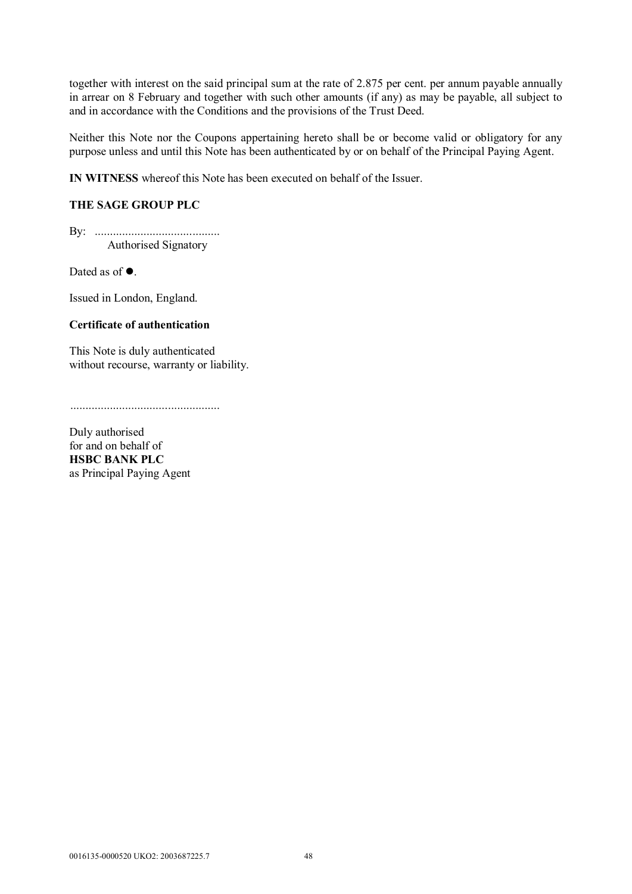together with interest on the said principal sum at the rate of 2.875 per cent. per annum payable annually in arrear on 8 February and together with such other amounts (if any) as may be payable, all subject to and in accordance with the Conditions and the provisions of the Trust Deed.

Neither this Note nor the Coupons appertaining hereto shall be or become valid or obligatory for any purpose unless and until this Note has been authenticated by or on behalf of the Principal Paying Agent.

**IN WITNESS** whereof this Note has been executed on behalf of the Issuer.

## **THE SAGE GROUP PLC**

By: ......................................... Authorised Signatory

Dated as of  $\bullet$ .

Issued in London, England.

## **Certificate of authentication**

This Note is duly authenticated without recourse, warranty or liability.

.................................................

Duly authorised for and on behalf of **HSBC BANK PLC** as Principal Paying Agent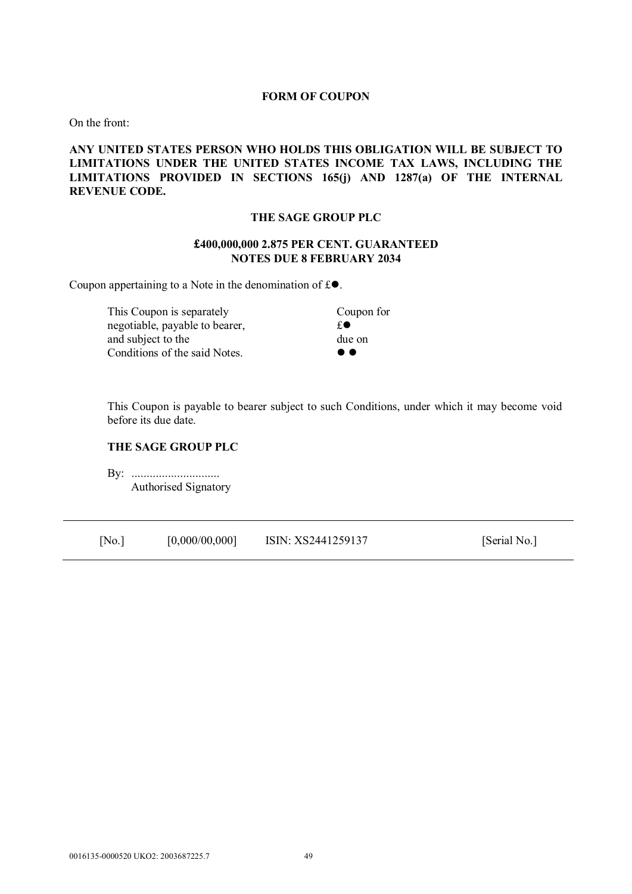#### **FORM OF COUPON**

On the front:

## **ANY UNITED STATES PERSON WHO HOLDS THIS OBLIGATION WILL BE SUBJECT TO LIMITATIONS UNDER THE UNITED STATES INCOME TAX LAWS, INCLUDING THE LIMITATIONS PROVIDED IN SECTIONS 165(j) AND 1287(a) OF THE INTERNAL REVENUE CODE.**

#### **THE SAGE GROUP PLC**

### **£400,000,000 2.875 PER CENT. GUARANTEED NOTES DUE 8 FEBRUARY 2034**

Coupon appertaining to a Note in the denomination of  $f \odot$ .

This Coupon is separately Coupon for negotiable, payable to bearer,  $\mathbf{f} \bullet$ and subject to the due on Conditions of the said Notes.

This Coupon is payable to bearer subject to such Conditions, under which it may become void before its due date.

### **THE SAGE GROUP PLC**

By: ................................. Authorised Signatory

| [No.] | [0,000/00,000] | ISIN: XS2441259137 | [Serial No.] |
|-------|----------------|--------------------|--------------|
|-------|----------------|--------------------|--------------|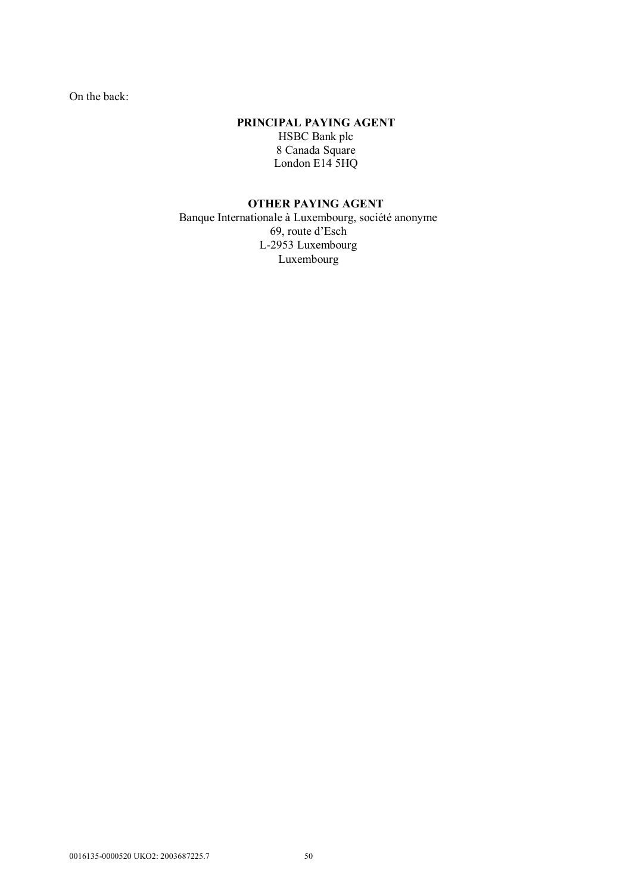On the back:

### **PRINCIPAL PAYING AGENT**

HSBC Bank plc 8 Canada Square London E14<sup>5</sup>HQ

# **OTHER PAYING AGENT**

Banque Internationale à Luxembourg, société anonyme 69, route d'Esch L-2953 Luxembourg Luxembourg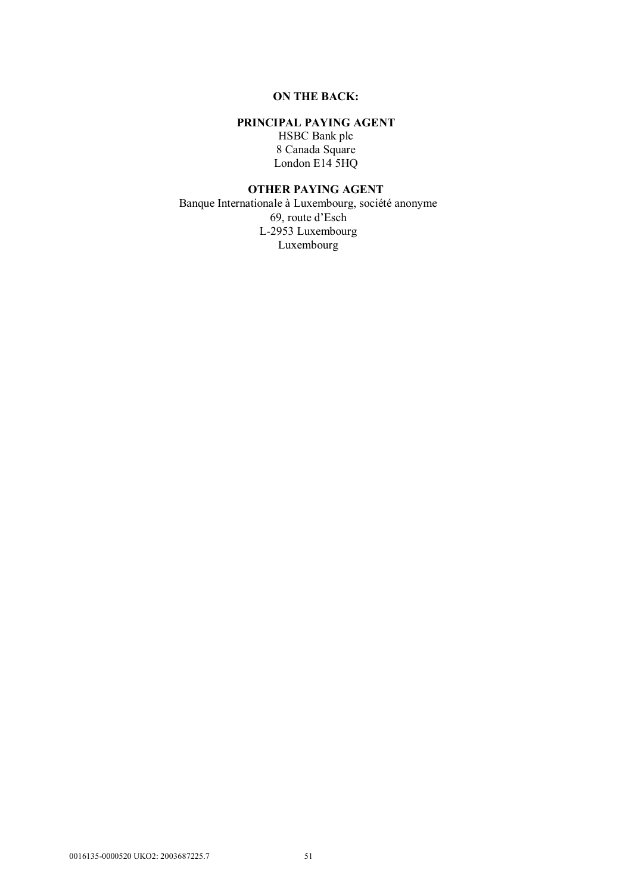# **ON THE BACK:**

## **PRINCIPAL PAYING AGENT**

HSBC Bank plc 8 Canada Square London E14 5HQ

### **OTHER PAYING AGENT**

Banque Internationale à Luxembourg, société anonyme 69, route d'Esch L-2953 Luxembourg Luxembourg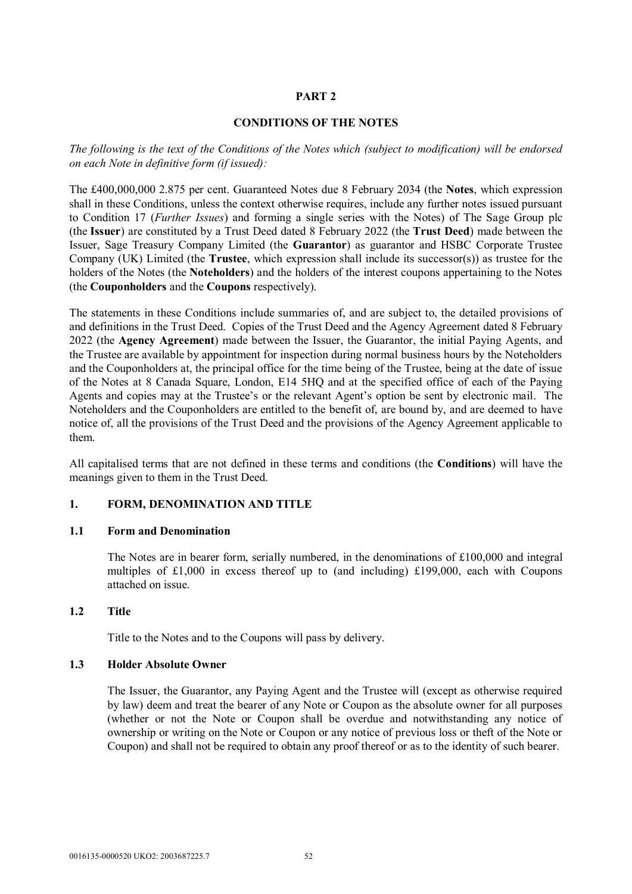# **PART 2**

#### **CONDITIONS OF THE NOTES**

*The following is the text of the Conditions of the Notes which (subject to modification) will be endorsed on each Note in definitive form (if issued):* 

The £400,000,000 2.875 per cent. Guaranteed Notes due 8 February 2034 (the **Notes**, which expression shall in these Conditions, unless the context otherwise requires, include any further notes issued pursuant to Condition 17 (*Further Issues*) and forming a single series with the Notes) of The Sage Group plc (the **Issuer**) are constituted by a Trust Deed dated 8 February 2022 (the **Trust Deed**) made between the Issuer, Sage Treasury Company Limited (the **Guarantor**) as guarantor and HSBC Corporate Trustee Company (UK) Limited (the **Trustee**, which expression shall include its successor(s)) as trustee for the holders of the Notes (the **Noteholders**) and the holders of the interest coupons appertaining to the Notes (the **Couponholders** and the **Coupons** respectively).

The statements in these Conditions include summaries of, and are subject to, the detailed provisions of and definitions in the Trust Deed. Copies of the Trust Deed and the Agency Agreement dated 8 February 2022 (the **Agency Agreement**) made between the Issuer, the Guarantor, the initial Paying Agents, and the Trustee are available by appointment for inspection during normal business hours by the Noteholders and the Couponholders at, the principal office for the time being of the Trustee, being at the date of issue of the Notes at 8 Canada Square, London, E14 5HQ and at the specified office of each of the Paying Agents and copies may at the Trustee's or the relevant Agent's option be sent by electronic mail. The Noteholders and the Couponholders are entitled to the benefit of, are bound by, and are deemed to have notice of, all the provisions of the Trust Deed and the provisions of the Agency Agreement applicable to them.

All capitalised terms that are not defined in these terms and conditions (the **Conditions**) will have the meanings given to them in the Trust Deed.

### **1. FORM, DENOMINATION AND TITLE**

### **1.1 Form and Denomination**

The Notes are in bearer form, serially numbered, in the denominations of  $\pounds 100,000$  and integral multiples of £1,000 in excess thereof up to (and including) £199,000, each with Coupons attached on issue.

### **1.2 Title**

Title to the Notes and to the Coupons will pass by delivery.

### **1.3 Holder Absolute Owner**

The Issuer, the Guarantor, any Paying Agent and the Trustee will (except as otherwise required by law) deem and treat the bearer of any Note or Coupon as the absolute owner for all purposes (whether or not the Note or Coupon shall be overdue and notwithstanding any notice of ownership or writing on the Note or Coupon or any notice of previous loss or theft of the Note or Coupon) and shall not be required to obtain any proof thereof or as to the identity of such bearer.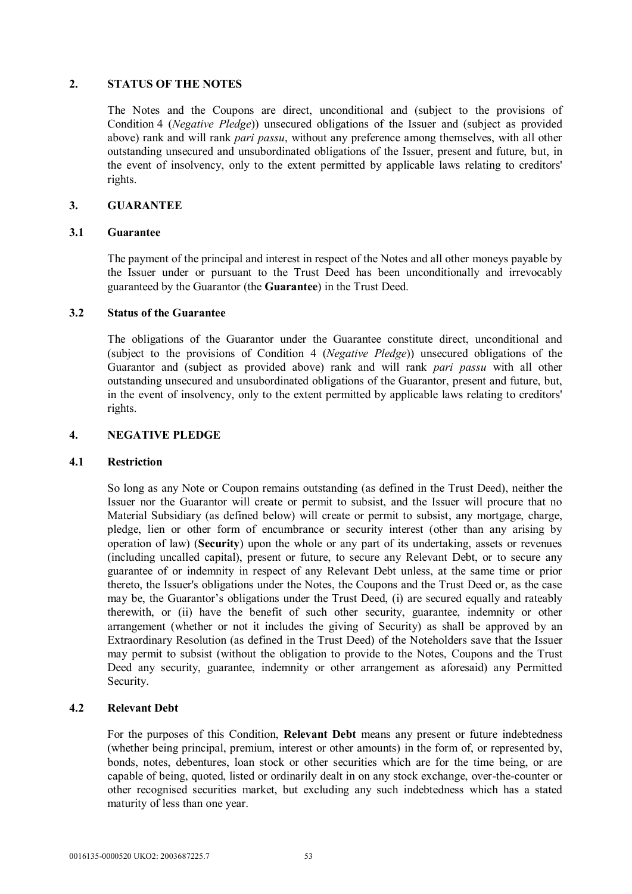### **2. STATUS OF THE NOTES**

The Notes and the Coupons are direct, unconditional and (subject to the provisions of Condition 4 (*Negative Pledge*)) unsecured obligations of the Issuer and (subject as provided above) rank and will rank *pari passu*, without any preference among themselves, with all other outstanding unsecured and unsubordinated obligations of the Issuer, present and future, but, in the event of insolvency, only to the extent permitted by applicable laws relating to creditors' rights.

### **3. GUARANTEE**

## **3.1 Guarantee**

The payment of the principal and interest in respect of the Notes and all other moneys payable by the Issuer under or pursuant to the Trust Deed has been unconditionally and irrevocably guaranteed by the Guarantor (the **Guarantee**) in the Trust Deed.

## **3.2 Status of the Guarantee**

The obligations of the Guarantor under the Guarantee constitute direct, unconditional and (subject to the provisions of Condition 4 (*Negative Pledge*)) unsecured obligations of the Guarantor and (subject as provided above) rank and will rank *pari passu* with all other outstanding unsecured and unsubordinated obligations of the Guarantor, present and future, but, in the event of insolvency, only to the extent permitted by applicable laws relating to creditors' rights.

# **4. NEGATIVE PLEDGE**

### **4.1 Restriction**

So long as any Note or Coupon remains outstanding (as defined in the Trust Deed), neither the Issuer nor the Guarantor will create or permit to subsist, and the Issuer will procure that no Material Subsidiary (as defined below) will create or permit to subsist, any mortgage, charge, pledge, lien or other form of encumbrance or security interest (other than any arising by operation of law) (**Security**) upon the whole or any part of its undertaking, assets or revenues (including uncalled capital), present or future, to secure any Relevant Debt, or to secure any guarantee of or indemnity in respect of any Relevant Debt unless, at the same time or prior thereto, the Issuer's obligations under the Notes, the Coupons and the Trust Deed or, as the case may be, the Guarantor's obligations under the Trust Deed, (i) are secured equally and rateably therewith, or (ii) have the benefit of such other security, guarantee, indemnity or other arrangement (whether or not it includes the giving of Security) as shall be approved by an Extraordinary Resolution (as defined in the Trust Deed) of the Noteholders save that the Issuer may permit to subsist (without the obligation to provide to the Notes, Coupons and the Trust Deed any security, guarantee, indemnity or other arrangement as aforesaid) any Permitted Security.

# **4.2 Relevant Debt**

For the purposes of this Condition, **Relevant Debt** means any present or future indebtedness (whether being principal, premium, interest or other amounts) in the form of, or represented by, bonds, notes, debentures, loan stock or other securities which are for the time being, or are capable of being, quoted, listed or ordinarily dealt in on any stock exchange, over-the-counter or other recognised securities market, but excluding any such indebtedness which has a stated maturity of less than one year.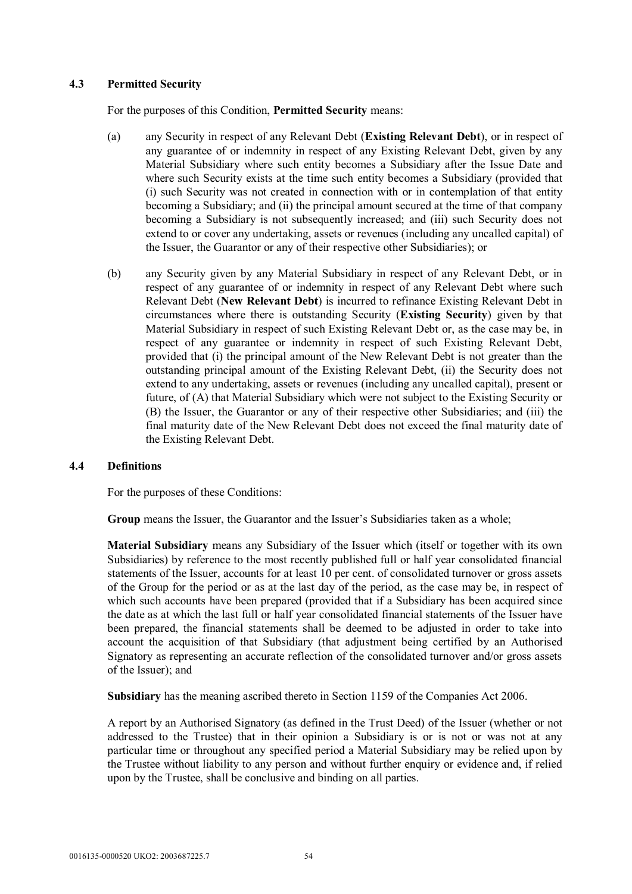### **4.3 Permitted Security**

For the purposes of this Condition, **Permitted Security** means:

- (a) any Security in respect of any Relevant Debt (**Existing Relevant Debt**), or in respect of any guarantee of or indemnity in respect of any Existing Relevant Debt, given by any Material Subsidiary where such entity becomes a Subsidiary after the Issue Date and where such Security exists at the time such entity becomes a Subsidiary (provided that (i) such Security was not created in connection with or in contemplation of that entity becoming a Subsidiary; and (ii) the principal amount secured at the time of that company becoming a Subsidiary is not subsequently increased; and (iii) such Security does not extend to or cover any undertaking, assets or revenues (including any uncalled capital) of the Issuer, the Guarantor or any of their respective other Subsidiaries); or
- (b) any Security given by any Material Subsidiary in respect of any Relevant Debt, or in respect of any guarantee of or indemnity in respect of any Relevant Debt where such Relevant Debt (**New Relevant Debt**) is incurred to refinance Existing Relevant Debt in circumstances where there is outstanding Security (**Existing Security**) given by that Material Subsidiary in respect of such Existing Relevant Debt or, as the case may be, in respect of any guarantee or indemnity in respect of such Existing Relevant Debt, provided that (i) the principal amount of the New Relevant Debt is not greater than the outstanding principal amount of the Existing Relevant Debt, (ii) the Security does not extend to any undertaking, assets or revenues (including any uncalled capital), present or future, of (A) that Material Subsidiary which were not subject to the Existing Security or (B) the Issuer, the Guarantor or any of their respective other Subsidiaries; and (iii) the final maturity date of the New Relevant Debt does not exceed the final maturity date of the Existing Relevant Debt.

### **4.4 Definitions**

For the purposes of these Conditions:

**Group** means the Issuer, the Guarantor and the Issuer's Subsidiaries taken as a whole;

**Material Subsidiary** means any Subsidiary of the Issuer which (itself or together with its own Subsidiaries) by reference to the most recently published full or half year consolidated financial statements of the Issuer, accounts for at least 10 per cent. of consolidated turnover or gross assets of the Group for the period or as at the last day of the period, as the case may be, in respect of which such accounts have been prepared (provided that if a Subsidiary has been acquired since the date as at which the last full or half year consolidated financial statements of the Issuer have been prepared, the financial statements shall be deemed to be adjusted in order to take into account the acquisition of that Subsidiary (that adjustment being certified by an Authorised Signatory as representing an accurate reflection of the consolidated turnover and/or gross assets of the Issuer); and

**Subsidiary** has the meaning ascribed thereto in Section 1159 of the Companies Act 2006.

A report by an Authorised Signatory (as defined in the Trust Deed) of the Issuer (whether or not addressed to the Trustee) that in their opinion a Subsidiary is or is not or was not at any particular time or throughout any specified period a Material Subsidiary may be relied upon by the Trustee without liability to any person and without further enquiry or evidence and, if relied upon by the Trustee, shall be conclusive and binding on all parties.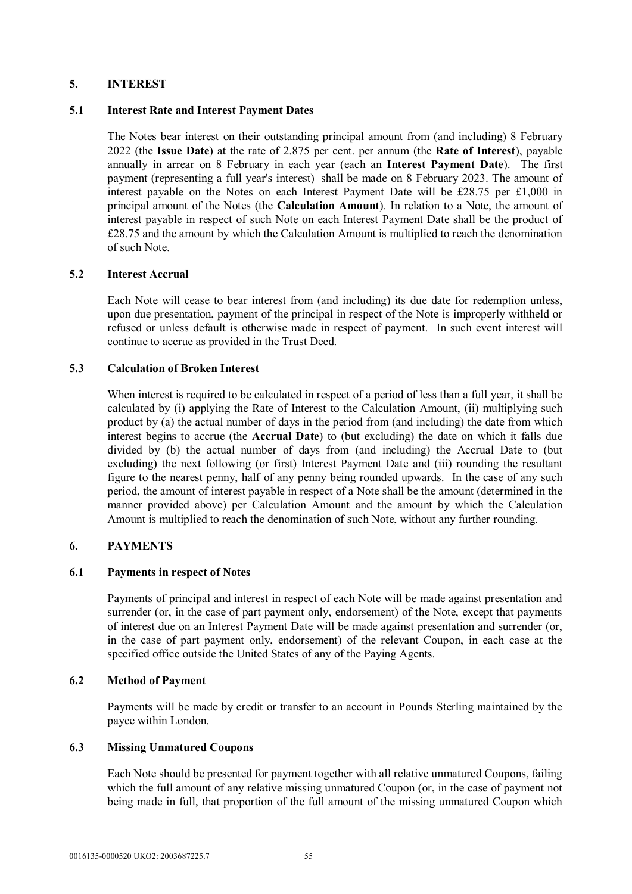# **5. INTEREST**

### **5.1 Interest Rate and Interest Payment Dates**

The Notes bear interest on their outstanding principal amount from (and including) 8 February 2022 (the **Issue Date**) at the rate of 2.875 per cent. per annum (the **Rate of Interest**), payable annually in arrear on 8 February in each year (each an **Interest Payment Date**). The first payment (representing a full year's interest) shall be made on 8 February 2023. The amount of interest payable on the Notes on each Interest Payment Date will be £28.75 per £1,000 in principal amount of the Notes (the **Calculation Amount**). In relation to a Note, the amount of interest payable in respect of such Note on each Interest Payment Date shall be the product of £28.75 and the amount by which the Calculation Amount is multiplied to reach the denomination of such Note.

## **5.2 Interest Accrual**

Each Note will cease to bear interest from (and including) its due date for redemption unless, upon due presentation, payment of the principal in respect of the Note is improperly withheld or refused or unless default is otherwise made in respect of payment. In such event interest will continue to accrue as provided in the Trust Deed.

# **5.3 Calculation of Broken Interest**

When interest is required to be calculated in respect of a period of less than a full year, it shall be calculated by (i) applying the Rate of Interest to the Calculation Amount, (ii) multiplying such product by (a) the actual number of days in the period from (and including) the date from which interest begins to accrue (the **Accrual Date**) to (but excluding) the date on which it falls due divided by (b) the actual number of days from (and including) the Accrual Date to (but excluding) the next following (or first) Interest Payment Date and (iii) rounding the resultant figure to the nearest penny, half of any penny being rounded upwards. In the case of any such period, the amount of interest payable in respect of a Note shall be the amount (determined in the manner provided above) per Calculation Amount and the amount by which the Calculation Amount is multiplied to reach the denomination of such Note, without any further rounding.

### **6. PAYMENTS**

### **6.1 Payments in respect of Notes**

Payments of principal and interest in respect of each Note will be made against presentation and surrender (or, in the case of part payment only, endorsement) of the Note, except that payments of interest due on an Interest Payment Date will be made against presentation and surrender (or, in the case of part payment only, endorsement) of the relevant Coupon, in each case at the specified office outside the United States of any of the Paying Agents.

### **6.2 Method of Payment**

Payments will be made by credit or transfer to an account in Pounds Sterling maintained by the payee within London.

### **6.3 Missing Unmatured Coupons**

Each Note should be presented for payment together with all relative unmatured Coupons, failing which the full amount of any relative missing unmatured Coupon (or, in the case of payment not being made in full, that proportion of the full amount of the missing unmatured Coupon which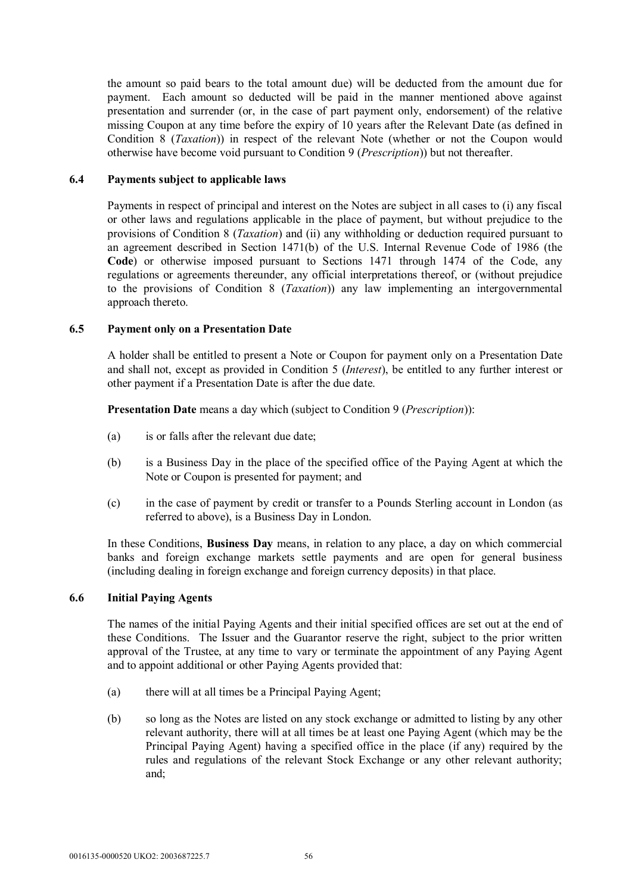the amount so paid bears to the total amount due) will be deducted from the amount due for payment. Each amount so deducted will be paid in the manner mentioned above against presentation and surrender (or, in the case of part payment only, endorsement) of the relative missing Coupon at any time before the expiry of 10 years after the Relevant Date (as defined in Condition 8 (*Taxation*)) in respect of the relevant Note (whether or not the Coupon would otherwise have become void pursuant to Condition 9 (*Prescription*)) but not thereafter.

### **6.4 Payments subject to applicable laws**

Payments in respect of principal and interest on the Notes are subject in all cases to (i) any fiscal or other laws and regulations applicable in the place of payment, but without prejudice to the provisions of Condition 8 (*Taxation*) and (ii) any withholding or deduction required pursuant to an agreement described in Section 1471(b) of the U.S. Internal Revenue Code of 1986 (the **Code**) or otherwise imposed pursuant to Sections 1471 through 1474 of the Code, any regulations or agreements thereunder, any official interpretations thereof, or (without prejudice to the provisions of Condition 8 (*Taxation*)) any law implementing an intergovernmental approach thereto.

## **6.5 Payment only on a Presentation Date**

A holder shall be entitled to present a Note or Coupon for payment only on a Presentation Date and shall not, except as provided in Condition 5 (*Interest*), be entitled to any further interest or other payment if a Presentation Date is after the due date.

**Presentation Date** means a day which (subject to Condition 9 (*Prescription*)):

- (a) is or falls after the relevant due date;
- (b) is a Business Day in the place of the specified office of the Paying Agent at which the Note or Coupon is presented for payment; and
- (c) in the case of payment by credit or transfer to a Pounds Sterling account in London (as referred to above), is a Business Day in London.

In these Conditions, **Business Day** means, in relation to any place, a day on which commercial banks and foreign exchange markets settle payments and are open for general business (including dealing in foreign exchange and foreign currency deposits) in that place.

### **6.6 Initial Paying Agents**

The names of the initial Paying Agents and their initial specified offices are set out at the end of these Conditions. The Issuer and the Guarantor reserve the right, subject to the prior written approval of the Trustee, at any time to vary or terminate the appointment of any Paying Agent and to appoint additional or other Paying Agents provided that:

- (a) there will at all times be a Principal Paying Agent;
- (b) so long as the Notes are listed on any stock exchange or admitted to listing by any other relevant authority, there will at all times be at least one Paying Agent (which may be the Principal Paying Agent) having a specified office in the place (if any) required by the rules and regulations of the relevant Stock Exchange or any other relevant authority; and;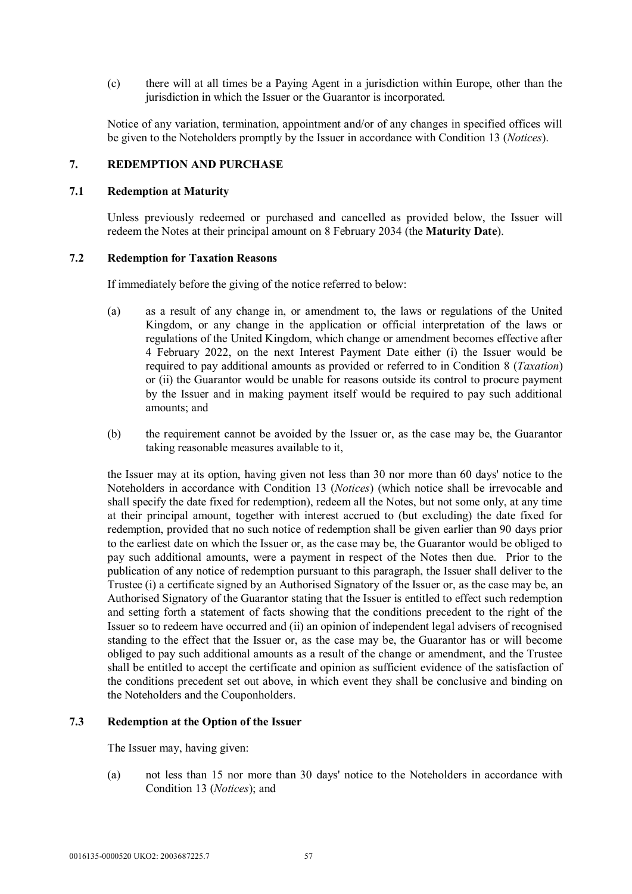(c) there will at all times be a Paying Agent in a jurisdiction within Europe, other than the jurisdiction in which the Issuer or the Guarantor is incorporated.

Notice of any variation, termination, appointment and/or of any changes in specified offices will be given to the Noteholders promptly by the Issuer in accordance with Condition 13 (*Notices*).

### **7. REDEMPTION AND PURCHASE**

#### **7.1 Redemption at Maturity**

Unless previously redeemed or purchased and cancelled as provided below, the Issuer will redeem the Notes at their principal amount on 8 February 2034 (the **Maturity Date**).

### **7.2 Redemption for Taxation Reasons**

If immediately before the giving of the notice referred to below:

- (a) as a result of any change in, or amendment to, the laws or regulations of the United Kingdom, or any change in the application or official interpretation of the laws or regulations of the United Kingdom, which change or amendment becomes effective after 4 February 2022, on the next Interest Payment Date either (i) the Issuer would be required to pay additional amounts as provided or referred to in Condition 8 (*Taxation*) or (ii) the Guarantor would be unable for reasons outside its control to procure payment by the Issuer and in making payment itself would be required to pay such additional amounts; and
- (b) the requirement cannot be avoided by the Issuer or, as the case may be, the Guarantor taking reasonable measures available to it,

the Issuer may at its option, having given not less than 30 nor more than 60 days' notice to the Noteholders in accordance with Condition 13 (*Notices*) (which notice shall be irrevocable and shall specify the date fixed for redemption), redeem all the Notes, but not some only, at any time at their principal amount, together with interest accrued to (but excluding) the date fixed for redemption, provided that no such notice of redemption shall be given earlier than 90 days prior to the earliest date on which the Issuer or, as the case may be, the Guarantor would be obliged to pay such additional amounts, were a payment in respect of the Notes then due. Prior to the publication of any notice of redemption pursuant to this paragraph, the Issuer shall deliver to the Trustee (i) a certificate signed by an Authorised Signatory of the Issuer or, as the case may be, an Authorised Signatory of the Guarantor stating that the Issuer is entitled to effect such redemption and setting forth a statement of facts showing that the conditions precedent to the right of the Issuer so to redeem have occurred and (ii) an opinion of independent legal advisers of recognised standing to the effect that the Issuer or, as the case may be, the Guarantor has or will become obliged to pay such additional amounts as a result of the change or amendment, and the Trustee shall be entitled to accept the certificate and opinion as sufficient evidence of the satisfaction of the conditions precedent set out above, in which event they shall be conclusive and binding on the Noteholders and the Couponholders.

# **7.3 Redemption at the Option of the Issuer**

The Issuer may, having given:

(a) not less than 15 nor more than 30 days' notice to the Noteholders in accordance with Condition 13 (*Notices*); and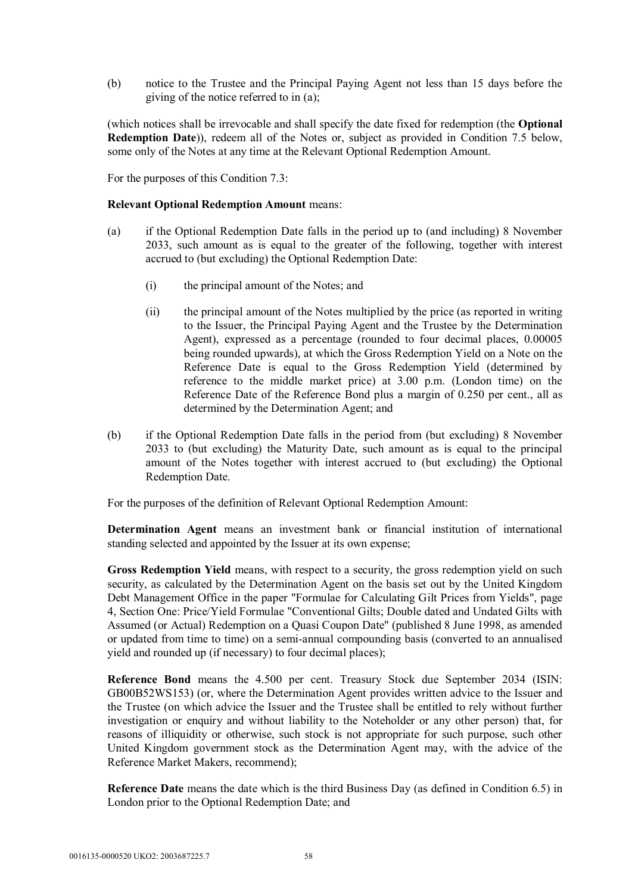(b) notice to the Trustee and the Principal Paying Agent not less than 15 days before the giving of the notice referred to in (a);

(which notices shall be irrevocable and shall specify the date fixed for redemption (the **Optional Redemption Date**)), redeem all of the Notes or, subject as provided in Condition 7.5 below, some only of the Notes at any time at the Relevant Optional Redemption Amount.

For the purposes of this Condition 7.3:

#### **Relevant Optional Redemption Amount** means:

- (a) if the Optional Redemption Date falls in the period up to (and including) 8 November 2033, such amount as is equal to the greater of the following, together with interest accrued to (but excluding) the Optional Redemption Date:
	- (i) the principal amount of the Notes; and
	- (ii) the principal amount of the Notes multiplied by the price (as reported in writing to the Issuer, the Principal Paying Agent and the Trustee by the Determination Agent), expressed as a percentage (rounded to four decimal places, 0.00005 being rounded upwards), at which the Gross Redemption Yield on a Note on the Reference Date is equal to the Gross Redemption Yield (determined by reference to the middle market price) at 3.00 p.m. (London time) on the Reference Date of the Reference Bond plus a margin of 0.250 per cent., all as determined by the Determination Agent; and
- (b) if the Optional Redemption Date falls in the period from (but excluding) 8 November 2033 to (but excluding) the Maturity Date, such amount as is equal to the principal amount of the Notes together with interest accrued to (but excluding) the Optional Redemption Date.

For the purposes of the definition of Relevant Optional Redemption Amount:

**Determination Agent** means an investment bank or financial institution of international standing selected and appointed by the Issuer at its own expense;

**Gross Redemption Yield** means, with respect to a security, the gross redemption yield on such security, as calculated by the Determination Agent on the basis set out by the United Kingdom Debt Management Office in the paper "Formulae for Calculating Gilt Prices from Yields", page 4, Section One: Price/Yield Formulae "Conventional Gilts; Double dated and Undated Gilts with Assumed (or Actual) Redemption on a Quasi Coupon Date" (published 8 June 1998, as amended or updated from time to time) on a semi-annual compounding basis (converted to an annualised yield and rounded up (if necessary) to four decimal places);

**Reference Bond** means the 4.500 per cent. Treasury Stock due September 2034 (ISIN: GB00B52WS153) (or, where the Determination Agent provides written advice to the Issuer and the Trustee (on which advice the Issuer and the Trustee shall be entitled to rely without further investigation or enquiry and without liability to the Noteholder or any other person) that, for reasons of illiquidity or otherwise, such stock is not appropriate for such purpose, such other United Kingdom government stock as the Determination Agent may, with the advice of the Reference Market Makers, recommend);

**Reference Date** means the date which is the third Business Day (as defined in Condition 6.5) in London prior to the Optional Redemption Date; and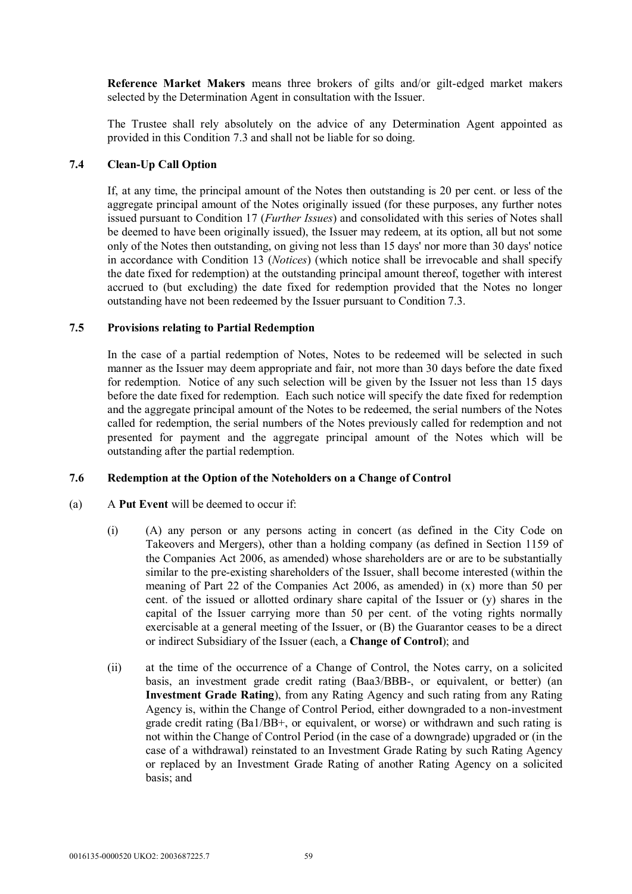**Reference Market Makers** means three brokers of gilts and/or gilt-edged market makers selected by the Determination Agent in consultation with the Issuer.

The Trustee shall rely absolutely on the advice of any Determination Agent appointed as provided in this Condition 7.3 and shall not be liable for so doing.

## **7.4 Clean-Up Call Option**

If, at any time, the principal amount of the Notes then outstanding is 20 per cent. or less of the aggregate principal amount of the Notes originally issued (for these purposes, any further notes issued pursuant to Condition 17 (*Further Issues*) and consolidated with this series of Notes shall be deemed to have been originally issued), the Issuer may redeem, at its option, all but not some only of the Notes then outstanding, on giving not less than 15 days' nor more than 30 days' notice in accordance with Condition 13 (*Notices*) (which notice shall be irrevocable and shall specify the date fixed for redemption) at the outstanding principal amount thereof, together with interest accrued to (but excluding) the date fixed for redemption provided that the Notes no longer outstanding have not been redeemed by the Issuer pursuant to Condition 7.3.

### **7.5 Provisions relating to Partial Redemption**

In the case of a partial redemption of Notes, Notes to be redeemed will be selected in such manner as the Issuer may deem appropriate and fair, not more than 30 days before the date fixed for redemption. Notice of any such selection will be given by the Issuer not less than 15 days before the date fixed for redemption. Each such notice will specify the date fixed for redemption and the aggregate principal amount of the Notes to be redeemed, the serial numbers of the Notes called for redemption, the serial numbers of the Notes previously called for redemption and not presented for payment and the aggregate principal amount of the Notes which will be outstanding after the partial redemption.

### **7.6 Redemption at the Option of the Noteholders on a Change of Control**

- (a) A **Put Event** will be deemed to occur if:
	- (i) (A) any person or any persons acting in concert (as defined in the City Code on Takeovers and Mergers), other than a holding company (as defined in Section 1159 of the Companies Act 2006, as amended) whose shareholders are or are to be substantially similar to the pre-existing shareholders of the Issuer, shall become interested (within the meaning of Part 22 of the Companies Act 2006, as amended) in (x) more than 50 per cent. of the issued or allotted ordinary share capital of the Issuer or (y) shares in the capital of the Issuer carrying more than 50 per cent. of the voting rights normally exercisable at a general meeting of the Issuer, or (B) the Guarantor ceases to be a direct or indirect Subsidiary of the Issuer (each, a **Change of Control**); and
	- (ii) at the time of the occurrence of a Change of Control, the Notes carry, on a solicited basis, an investment grade credit rating (Baa3/BBB-, or equivalent, or better) (an **Investment Grade Rating**), from any Rating Agency and such rating from any Rating Agency is, within the Change of Control Period, either downgraded to a non-investment grade credit rating (Ba1/BB+, or equivalent, or worse) or withdrawn and such rating is not within the Change of Control Period (in the case of a downgrade) upgraded or (in the case of a withdrawal) reinstated to an Investment Grade Rating by such Rating Agency or replaced by an Investment Grade Rating of another Rating Agency on a solicited basis; and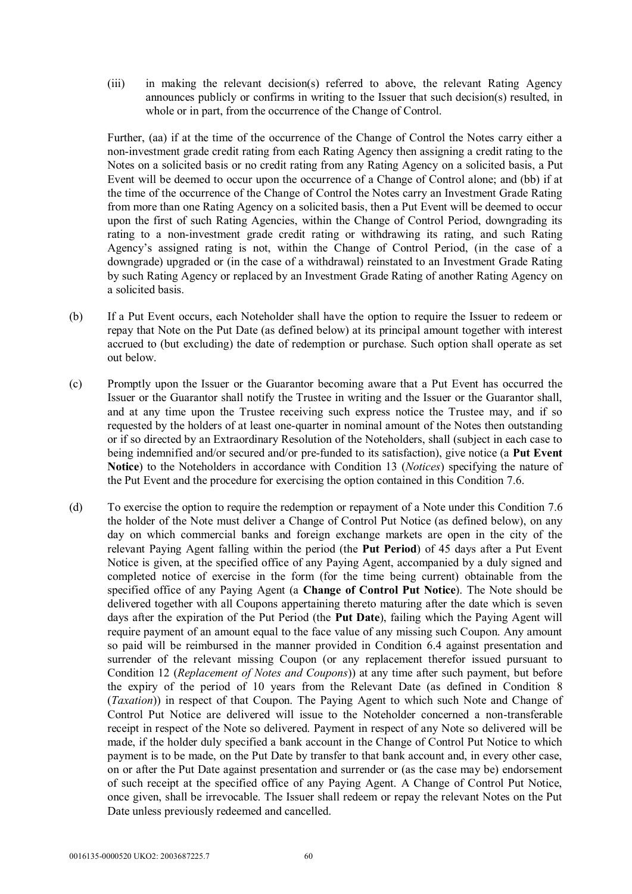(iii) in making the relevant decision(s) referred to above, the relevant Rating Agency announces publicly or confirms in writing to the Issuer that such decision(s) resulted, in whole or in part, from the occurrence of the Change of Control.

Further, (aa) if at the time of the occurrence of the Change of Control the Notes carry either a non-investment grade credit rating from each Rating Agency then assigning a credit rating to the Notes on a solicited basis or no credit rating from any Rating Agency on a solicited basis, a Put Event will be deemed to occur upon the occurrence of a Change of Control alone; and (bb) if at the time of the occurrence of the Change of Control the Notes carry an Investment Grade Rating from more than one Rating Agency on a solicited basis, then a Put Event will be deemed to occur upon the first of such Rating Agencies, within the Change of Control Period, downgrading its rating to a non-investment grade credit rating or withdrawing its rating, and such Rating Agency's assigned rating is not, within the Change of Control Period, (in the case of a downgrade) upgraded or (in the case of a withdrawal) reinstated to an Investment Grade Rating by such Rating Agency or replaced by an Investment Grade Rating of another Rating Agency on a solicited basis.

- (b) If a Put Event occurs, each Noteholder shall have the option to require the Issuer to redeem or repay that Note on the Put Date (as defined below) at its principal amount together with interest accrued to (but excluding) the date of redemption or purchase. Such option shall operate as set out below.
- (c) Promptly upon the Issuer or the Guarantor becoming aware that a Put Event has occurred the Issuer or the Guarantor shall notify the Trustee in writing and the Issuer or the Guarantor shall, and at any time upon the Trustee receiving such express notice the Trustee may, and if so requested by the holders of at least one-quarter in nominal amount of the Notes then outstanding or if so directed by an Extraordinary Resolution of the Noteholders, shall (subject in each case to being indemnified and/or secured and/or pre-funded to its satisfaction), give notice (a **Put Event Notice**) to the Noteholders in accordance with Condition 13 (*Notices*) specifying the nature of the Put Event and the procedure for exercising the option contained in this Condition 7.6.
- (d) To exercise the option to require the redemption or repayment of a Note under this Condition 7.6 the holder of the Note must deliver a Change of Control Put Notice (as defined below), on any day on which commercial banks and foreign exchange markets are open in the city of the relevant Paying Agent falling within the period (the **Put Period**) of 45 days after a Put Event Notice is given, at the specified office of any Paying Agent, accompanied by a duly signed and completed notice of exercise in the form (for the time being current) obtainable from the specified office of any Paying Agent (a **Change of Control Put Notice**). The Note should be delivered together with all Coupons appertaining thereto maturing after the date which is seven days after the expiration of the Put Period (the **Put Date**), failing which the Paying Agent will require payment of an amount equal to the face value of any missing such Coupon. Any amount so paid will be reimbursed in the manner provided in Condition 6.4 against presentation and surrender of the relevant missing Coupon (or any replacement therefor issued pursuant to Condition 12 (*Replacement of Notes and Coupons*)) at any time after such payment, but before the expiry of the period of 10 years from the Relevant Date (as defined in Condition 8 (*Taxation*)) in respect of that Coupon. The Paying Agent to which such Note and Change of Control Put Notice are delivered will issue to the Noteholder concerned a non-transferable receipt in respect of the Note so delivered. Payment in respect of any Note so delivered will be made, if the holder duly specified a bank account in the Change of Control Put Notice to which payment is to be made, on the Put Date by transfer to that bank account and, in every other case, on or after the Put Date against presentation and surrender or (as the case may be) endorsement of such receipt at the specified office of any Paying Agent. A Change of Control Put Notice, once given, shall be irrevocable. The Issuer shall redeem or repay the relevant Notes on the Put Date unless previously redeemed and cancelled.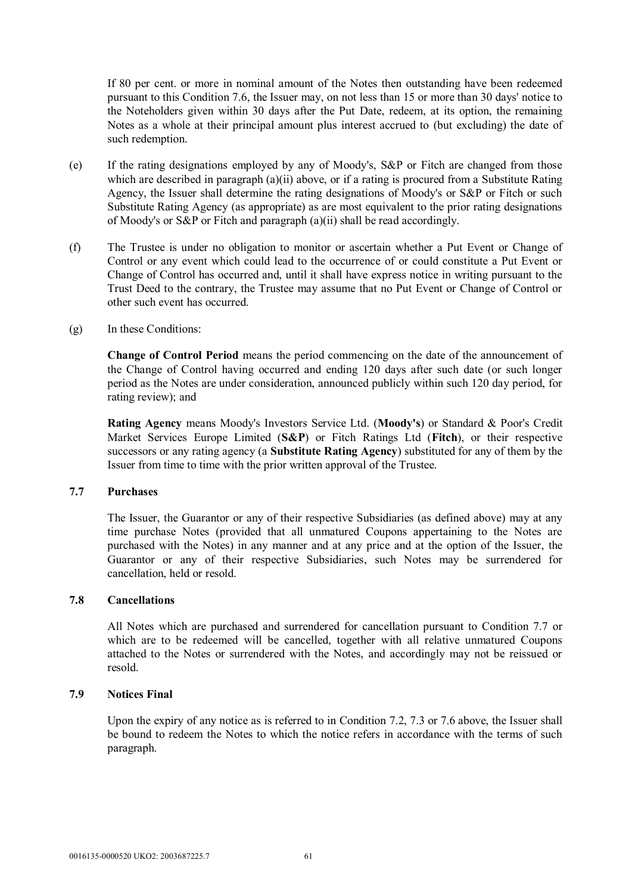If 80 per cent. or more in nominal amount of the Notes then outstanding have been redeemed pursuant to this Condition 7.6, the Issuer may, on not less than 15 or more than 30 days' notice to the Noteholders given within 30 days after the Put Date, redeem, at its option, the remaining Notes as a whole at their principal amount plus interest accrued to (but excluding) the date of such redemption.

- (e) If the rating designations employed by any of Moody's, S&P or Fitch are changed from those which are described in paragraph (a)(ii) above, or if a rating is procured from a Substitute Rating Agency, the Issuer shall determine the rating designations of Moody's or S&P or Fitch or such Substitute Rating Agency (as appropriate) as are most equivalent to the prior rating designations of Moody's or S&P or Fitch and paragraph  $(a)(ii)$  shall be read accordingly.
- (f) The Trustee is under no obligation to monitor or ascertain whether a Put Event or Change of Control or any event which could lead to the occurrence of or could constitute a Put Event or Change of Control has occurred and, until it shall have express notice in writing pursuant to the Trust Deed to the contrary, the Trustee may assume that no Put Event or Change of Control or other such event has occurred.
- (g) In these Conditions:

**Change of Control Period** means the period commencing on the date of the announcement of the Change of Control having occurred and ending 120 days after such date (or such longer period as the Notes are under consideration, announced publicly within such 120 day period, for rating review); and

**Rating Agency** means Moody's Investors Service Ltd. (**Moody's**) or Standard & Poor's Credit Market Services Europe Limited (**S&P**) or Fitch Ratings Ltd (**Fitch**), or their respective successors or any rating agency (a **Substitute Rating Agency**) substituted for any of them by the Issuer from time to time with the prior written approval of the Trustee.

### **7.7 Purchases**

The Issuer, the Guarantor or any of their respective Subsidiaries (as defined above) may at any time purchase Notes (provided that all unmatured Coupons appertaining to the Notes are purchased with the Notes) in any manner and at any price and at the option of the Issuer, the Guarantor or any of their respective Subsidiaries, such Notes may be surrendered for cancellation, held or resold.

### **7.8 Cancellations**

All Notes which are purchased and surrendered for cancellation pursuant to Condition 7.7 or which are to be redeemed will be cancelled, together with all relative unmatured Coupons attached to the Notes or surrendered with the Notes, and accordingly may not be reissued or resold.

### **7.9 Notices Final**

Upon the expiry of any notice as is referred to in Condition 7.2, 7.3 or 7.6 above, the Issuer shall be bound to redeem the Notes to which the notice refers in accordance with the terms of such paragraph.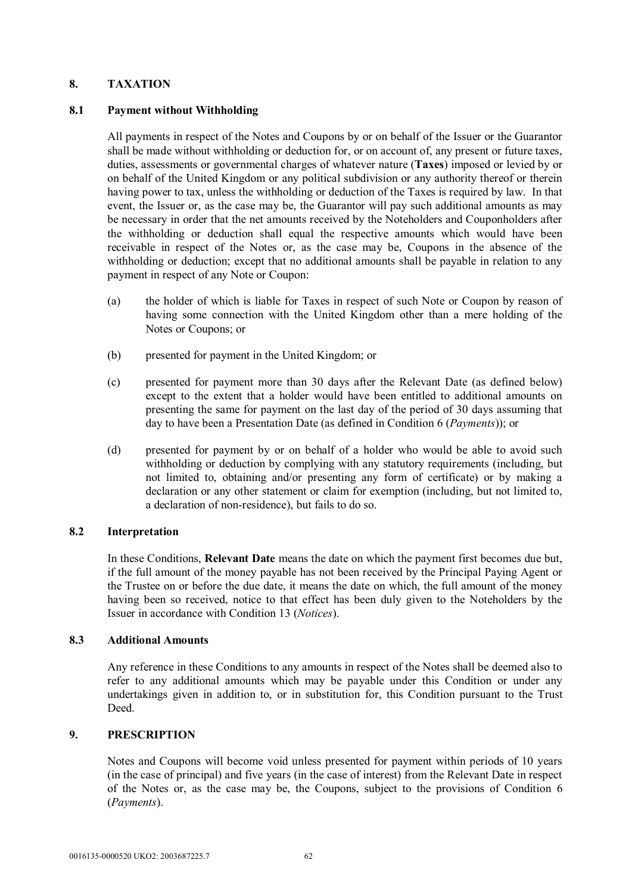### **8. TAXATION**

### **8.1 Payment without Withholding**

All payments in respect of the Notes and Coupons by or on behalf of the Issuer or the Guarantor shall be made without withholding or deduction for, or on account of, any present or future taxes, duties, assessments or governmental charges of whatever nature (**Taxes**) imposed or levied by or on behalf of the United Kingdom or any political subdivision or any authority thereof or therein having power to tax, unless the withholding or deduction of the Taxes is required by law. In that event, the Issuer or, as the case may be, the Guarantor will pay such additional amounts as may be necessary in order that the net amounts received by the Noteholders and Couponholders after the withholding or deduction shall equal the respective amounts which would have been receivable in respect of the Notes or, as the case may be, Coupons in the absence of the withholding or deduction; except that no additional amounts shall be payable in relation to any payment in respect of any Note or Coupon:

- (a) the holder of which is liable for Taxes in respect of such Note or Coupon by reason of having some connection with the United Kingdom other than a mere holding of the Notes or Coupons; or
- (b) presented for payment in the United Kingdom; or
- (c) presented for payment more than 30 days after the Relevant Date (as defined below) except to the extent that a holder would have been entitled to additional amounts on presenting the same for payment on the last day of the period of 30 days assuming that day to have been a Presentation Date (as defined in Condition 6 (*Payments*)); or
- (d) presented for payment by or on behalf of a holder who would be able to avoid such withholding or deduction by complying with any statutory requirements (including, but not limited to, obtaining and/or presenting any form of certificate) or by making a declaration or any other statement or claim for exemption (including, but not limited to, a declaration of non-residence), but fails to do so.

### **8.2 Interpretation**

In these Conditions, **Relevant Date** means the date on which the payment first becomes due but, if the full amount of the money payable has not been received by the Principal Paying Agent or the Trustee on or before the due date, it means the date on which, the full amount of the money having been so received, notice to that effect has been duly given to the Noteholders by the Issuer in accordance with Condition 13 (*Notices*).

### **8.3 Additional Amounts**

Any reference in these Conditions to any amounts in respect of the Notes shall be deemed also to refer to any additional amounts which may be payable under this Condition or under any undertakings given in addition to, or in substitution for, this Condition pursuant to the Trust Deed.

### **9. PRESCRIPTION**

Notes and Coupons will become void unless presented for payment within periods of 10 years (in the case of principal) and five years (in the case of interest) from the Relevant Date in respect of the Notes or, as the case may be, the Coupons, subject to the provisions of Condition 6 (*Payments*).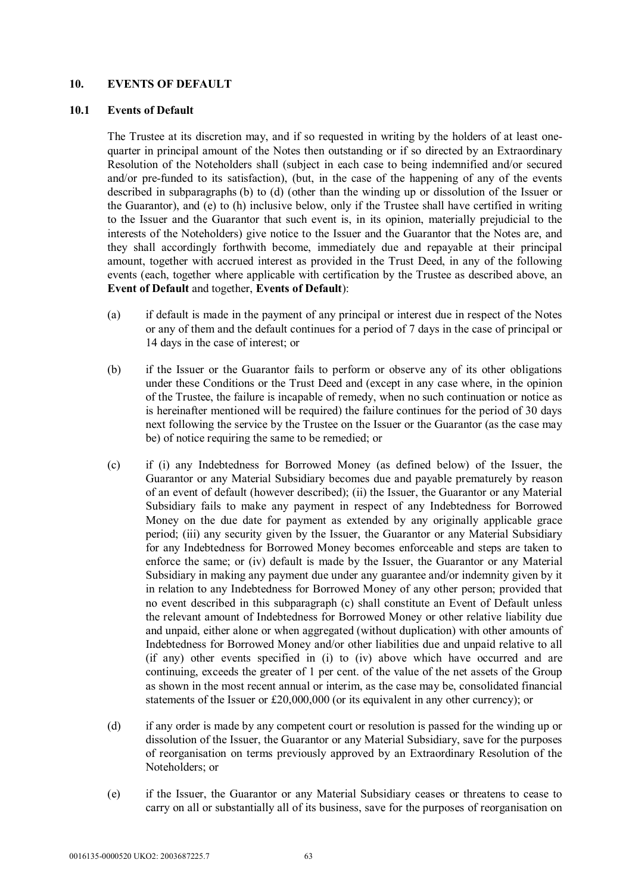### **10. EVENTS OF DEFAULT**

### **10.1 Events of Default**

The Trustee at its discretion may, and if so requested in writing by the holders of at least onequarter in principal amount of the Notes then outstanding or if so directed by an Extraordinary Resolution of the Noteholders shall (subject in each case to being indemnified and/or secured and/or pre-funded to its satisfaction), (but, in the case of the happening of any of the events described in subparagraphs (b) to (d) (other than the winding up or dissolution of the Issuer or the Guarantor), and (e) to (h) inclusive below, only if the Trustee shall have certified in writing to the Issuer and the Guarantor that such event is, in its opinion, materially prejudicial to the interests of the Noteholders) give notice to the Issuer and the Guarantor that the Notes are, and they shall accordingly forthwith become, immediately due and repayable at their principal amount, together with accrued interest as provided in the Trust Deed, in any of the following events (each, together where applicable with certification by the Trustee as described above, an **Event of Default** and together, **Events of Default**):

- (a) if default is made in the payment of any principal or interest due in respect of the Notes or any of them and the default continues for a period of 7 days in the case of principal or 14 days in the case of interest; or
- (b) if the Issuer or the Guarantor fails to perform or observe any of its other obligations under these Conditions or the Trust Deed and (except in any case where, in the opinion of the Trustee, the failure is incapable of remedy, when no such continuation or notice as is hereinafter mentioned will be required) the failure continues for the period of 30 days next following the service by the Trustee on the Issuer or the Guarantor (as the case may be) of notice requiring the same to be remedied; or
- (c) if (i) any Indebtedness for Borrowed Money (as defined below) of the Issuer, the Guarantor or any Material Subsidiary becomes due and payable prematurely by reason of an event of default (however described); (ii) the Issuer, the Guarantor or any Material Subsidiary fails to make any payment in respect of any Indebtedness for Borrowed Money on the due date for payment as extended by any originally applicable grace period; (iii) any security given by the Issuer, the Guarantor or any Material Subsidiary for any Indebtedness for Borrowed Money becomes enforceable and steps are taken to enforce the same; or (iv) default is made by the Issuer, the Guarantor or any Material Subsidiary in making any payment due under any guarantee and/or indemnity given by it in relation to any Indebtedness for Borrowed Money of any other person; provided that no event described in this subparagraph (c) shall constitute an Event of Default unless the relevant amount of Indebtedness for Borrowed Money or other relative liability due and unpaid, either alone or when aggregated (without duplication) with other amounts of Indebtedness for Borrowed Money and/or other liabilities due and unpaid relative to all (if any) other events specified in (i) to (iv) above which have occurred and are continuing, exceeds the greater of 1 per cent. of the value of the net assets of the Group as shown in the most recent annual or interim, as the case may be, consolidated financial statements of the Issuer or £20,000,000 (or its equivalent in any other currency); or
- (d) if any order is made by any competent court or resolution is passed for the winding up or dissolution of the Issuer, the Guarantor or any Material Subsidiary, save for the purposes of reorganisation on terms previously approved by an Extraordinary Resolution of the Noteholders; or
- (e) if the Issuer, the Guarantor or any Material Subsidiary ceases or threatens to cease to carry on all or substantially all of its business, save for the purposes of reorganisation on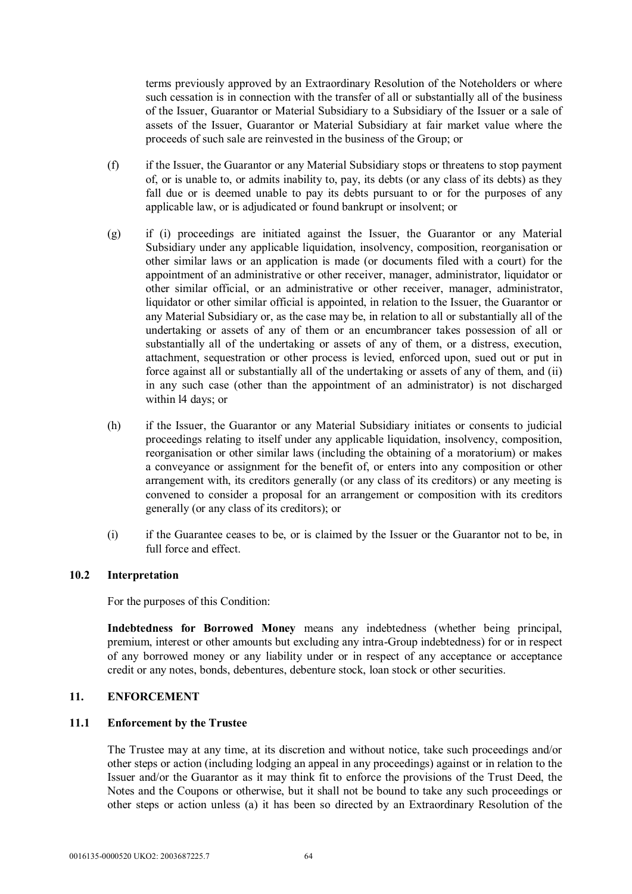terms previously approved by an Extraordinary Resolution of the Noteholders or where such cessation is in connection with the transfer of all or substantially all of the business of the Issuer, Guarantor or Material Subsidiary to a Subsidiary of the Issuer or a sale of assets of the Issuer, Guarantor or Material Subsidiary at fair market value where the proceeds of such sale are reinvested in the business of the Group; or

- (f) if the Issuer, the Guarantor or any Material Subsidiary stops or threatens to stop payment of, or is unable to, or admits inability to, pay, its debts (or any class of its debts) as they fall due or is deemed unable to pay its debts pursuant to or for the purposes of any applicable law, or is adjudicated or found bankrupt or insolvent; or
- (g) if (i) proceedings are initiated against the Issuer, the Guarantor or any Material Subsidiary under any applicable liquidation, insolvency, composition, reorganisation or other similar laws or an application is made (or documents filed with a court) for the appointment of an administrative or other receiver, manager, administrator, liquidator or other similar official, or an administrative or other receiver, manager, administrator, liquidator or other similar official is appointed, in relation to the Issuer, the Guarantor or any Material Subsidiary or, as the case may be, in relation to all or substantially all of the undertaking or assets of any of them or an encumbrancer takes possession of all or substantially all of the undertaking or assets of any of them, or a distress, execution, attachment, sequestration or other process is levied, enforced upon, sued out or put in force against all or substantially all of the undertaking or assets of any of them, and (ii) in any such case (other than the appointment of an administrator) is not discharged within l4 days; or
- (h) if the Issuer, the Guarantor or any Material Subsidiary initiates or consents to judicial proceedings relating to itself under any applicable liquidation, insolvency, composition, reorganisation or other similar laws (including the obtaining of a moratorium) or makes a conveyance or assignment for the benefit of, or enters into any composition or other arrangement with, its creditors generally (or any class of its creditors) or any meeting is convened to consider a proposal for an arrangement or composition with its creditors generally (or any class of its creditors); or
- (i) if the Guarantee ceases to be, or is claimed by the Issuer or the Guarantor not to be, in full force and effect.

### **10.2 Interpretation**

For the purposes of this Condition:

**Indebtedness for Borrowed Money** means any indebtedness (whether being principal, premium, interest or other amounts but excluding any intra-Group indebtedness) for or in respect of any borrowed money or any liability under or in respect of any acceptance or acceptance credit or any notes, bonds, debentures, debenture stock, loan stock or other securities.

## **11. ENFORCEMENT**

### **11.1 Enforcement by the Trustee**

The Trustee may at any time, at its discretion and without notice, take such proceedings and/or other steps or action (including lodging an appeal in any proceedings) against or in relation to the Issuer and/or the Guarantor as it may think fit to enforce the provisions of the Trust Deed, the Notes and the Coupons or otherwise, but it shall not be bound to take any such proceedings or other steps or action unless (a) it has been so directed by an Extraordinary Resolution of the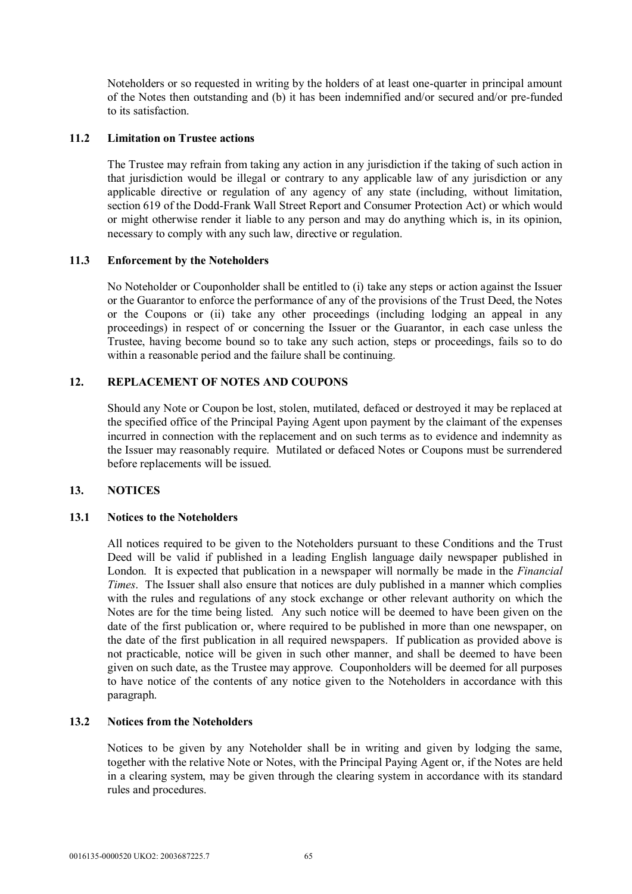Noteholders or so requested in writing by the holders of at least one-quarter in principal amount of the Notes then outstanding and (b) it has been indemnified and/or secured and/or pre-funded to its satisfaction.

### **11.2 Limitation on Trustee actions**

The Trustee may refrain from taking any action in any jurisdiction if the taking of such action in that jurisdiction would be illegal or contrary to any applicable law of any jurisdiction or any applicable directive or regulation of any agency of any state (including, without limitation, section 619 of the Dodd-Frank Wall Street Report and Consumer Protection Act) or which would or might otherwise render it liable to any person and may do anything which is, in its opinion, necessary to comply with any such law, directive or regulation.

### **11.3 Enforcement by the Noteholders**

No Noteholder or Couponholder shall be entitled to (i) take any steps or action against the Issuer or the Guarantor to enforce the performance of any of the provisions of the Trust Deed, the Notes or the Coupons or (ii) take any other proceedings (including lodging an appeal in any proceedings) in respect of or concerning the Issuer or the Guarantor, in each case unless the Trustee, having become bound so to take any such action, steps or proceedings, fails so to do within a reasonable period and the failure shall be continuing.

## **12. REPLACEMENT OF NOTES AND COUPONS**

Should any Note or Coupon be lost, stolen, mutilated, defaced or destroyed it may be replaced at the specified office of the Principal Paying Agent upon payment by the claimant of the expenses incurred in connection with the replacement and on such terms as to evidence and indemnity as the Issuer may reasonably require. Mutilated or defaced Notes or Coupons must be surrendered before replacements will be issued.

### **13. NOTICES**

### **13.1 Notices to the Noteholders**

All notices required to be given to the Noteholders pursuant to these Conditions and the Trust Deed will be valid if published in a leading English language daily newspaper published in London. It is expected that publication in a newspaper will normally be made in the *Financial Times*. The Issuer shall also ensure that notices are duly published in a manner which complies with the rules and regulations of any stock exchange or other relevant authority on which the Notes are for the time being listed. Any such notice will be deemed to have been given on the date of the first publication or, where required to be published in more than one newspaper, on the date of the first publication in all required newspapers. If publication as provided above is not practicable, notice will be given in such other manner, and shall be deemed to have been given on such date, as the Trustee may approve. Couponholders will be deemed for all purposes to have notice of the contents of any notice given to the Noteholders in accordance with this paragraph.

### **13.2 Notices from the Noteholders**

Notices to be given by any Noteholder shall be in writing and given by lodging the same, together with the relative Note or Notes, with the Principal Paying Agent or, if the Notes are held in a clearing system, may be given through the clearing system in accordance with its standard rules and procedures.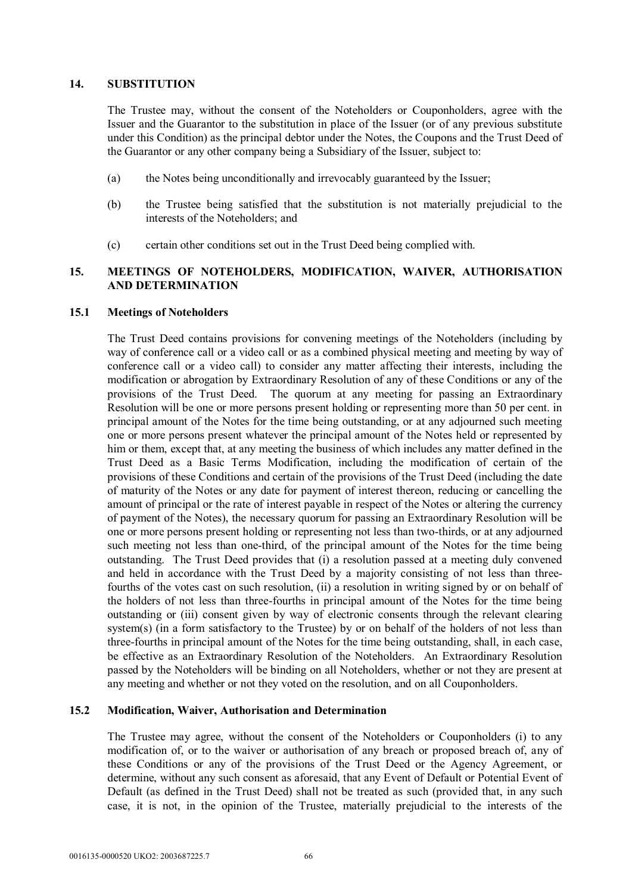#### **14. SUBSTITUTION**

The Trustee may, without the consent of the Noteholders or Couponholders, agree with the Issuer and the Guarantor to the substitution in place of the Issuer (or of any previous substitute under this Condition) as the principal debtor under the Notes, the Coupons and the Trust Deed of the Guarantor or any other company being a Subsidiary of the Issuer, subject to:

- (a) the Notes being unconditionally and irrevocably guaranteed by the Issuer;
- (b) the Trustee being satisfied that the substitution is not materially prejudicial to the interests of the Noteholders; and
- (c) certain other conditions set out in the Trust Deed being complied with.

# **15. MEETINGS OF NOTEHOLDERS, MODIFICATION, WAIVER, AUTHORISATION AND DETERMINATION**

### **15.1 Meetings of Noteholders**

The Trust Deed contains provisions for convening meetings of the Noteholders (including by way of conference call or a video call or as a combined physical meeting and meeting by way of conference call or a video call) to consider any matter affecting their interests, including the modification or abrogation by Extraordinary Resolution of any of these Conditions or any of the provisions of the Trust Deed. The quorum at any meeting for passing an Extraordinary Resolution will be one or more persons present holding or representing more than 50 per cent. in principal amount of the Notes for the time being outstanding, or at any adjourned such meeting one or more persons present whatever the principal amount of the Notes held or represented by him or them, except that, at any meeting the business of which includes any matter defined in the Trust Deed as a Basic Terms Modification, including the modification of certain of the provisions of these Conditions and certain of the provisions of the Trust Deed (including the date of maturity of the Notes or any date for payment of interest thereon, reducing or cancelling the amount of principal or the rate of interest payable in respect of the Notes or altering the currency of payment of the Notes), the necessary quorum for passing an Extraordinary Resolution will be one or more persons present holding or representing not less than two-thirds, or at any adjourned such meeting not less than one-third, of the principal amount of the Notes for the time being outstanding. The Trust Deed provides that (i) a resolution passed at a meeting duly convened and held in accordance with the Trust Deed by a majority consisting of not less than threefourths of the votes cast on such resolution, (ii) a resolution in writing signed by or on behalf of the holders of not less than three-fourths in principal amount of the Notes for the time being outstanding or (iii) consent given by way of electronic consents through the relevant clearing system(s) (in a form satisfactory to the Trustee) by or on behalf of the holders of not less than three-fourths in principal amount of the Notes for the time being outstanding, shall, in each case, be effective as an Extraordinary Resolution of the Noteholders. An Extraordinary Resolution passed by the Noteholders will be binding on all Noteholders, whether or not they are present at any meeting and whether or not they voted on the resolution, and on all Couponholders.

# **15.2 Modification, Waiver, Authorisation and Determination**

The Trustee may agree, without the consent of the Noteholders or Couponholders (i) to any modification of, or to the waiver or authorisation of any breach or proposed breach of, any of these Conditions or any of the provisions of the Trust Deed or the Agency Agreement, or determine, without any such consent as aforesaid, that any Event of Default or Potential Event of Default (as defined in the Trust Deed) shall not be treated as such (provided that, in any such case, it is not, in the opinion of the Trustee, materially prejudicial to the interests of the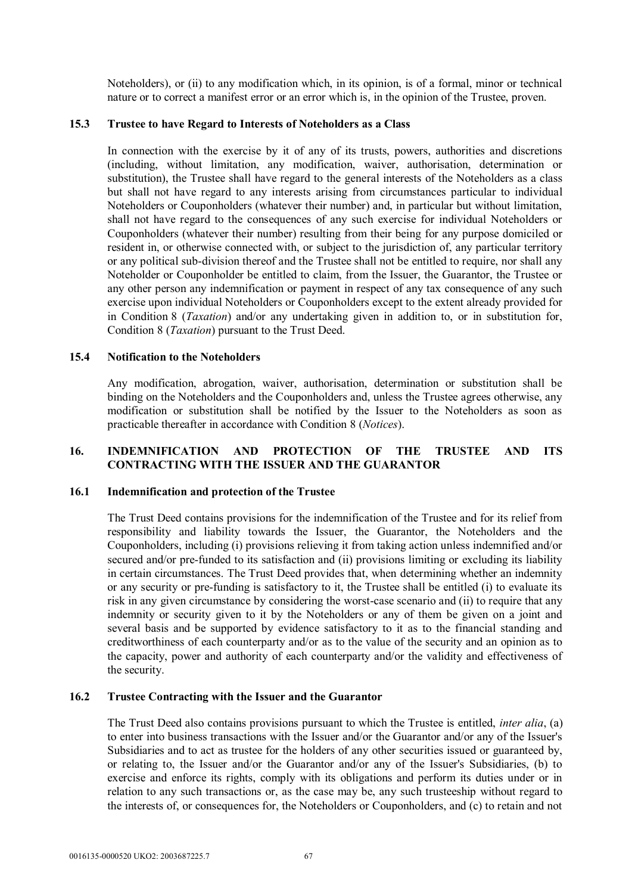Noteholders), or (ii) to any modification which, in its opinion, is of a formal, minor or technical nature or to correct a manifest error or an error which is, in the opinion of the Trustee, proven.

### **15.3 Trustee to have Regard to Interests of Noteholders as a Class**

In connection with the exercise by it of any of its trusts, powers, authorities and discretions (including, without limitation, any modification, waiver, authorisation, determination or substitution), the Trustee shall have regard to the general interests of the Noteholders as a class but shall not have regard to any interests arising from circumstances particular to individual Noteholders or Couponholders (whatever their number) and, in particular but without limitation, shall not have regard to the consequences of any such exercise for individual Noteholders or Couponholders (whatever their number) resulting from their being for any purpose domiciled or resident in, or otherwise connected with, or subject to the jurisdiction of, any particular territory or any political sub-division thereof and the Trustee shall not be entitled to require, nor shall any Noteholder or Couponholder be entitled to claim, from the Issuer, the Guarantor, the Trustee or any other person any indemnification or payment in respect of any tax consequence of any such exercise upon individual Noteholders or Couponholders except to the extent already provided for in Condition 8 (*Taxation*) and/or any undertaking given in addition to, or in substitution for, Condition 8 (*Taxation*) pursuant to the Trust Deed.

# **15.4 Notification to the Noteholders**

Any modification, abrogation, waiver, authorisation, determination or substitution shall be binding on the Noteholders and the Couponholders and, unless the Trustee agrees otherwise, any modification or substitution shall be notified by the Issuer to the Noteholders as soon as practicable thereafter in accordance with Condition 8 (*Notices*).

# **16. INDEMNIFICATION AND PROTECTION OF THE TRUSTEE AND ITS CONTRACTING WITH THE ISSUER AND THE GUARANTOR**

### **16.1 Indemnification and protection of the Trustee**

The Trust Deed contains provisions for the indemnification of the Trustee and for its relief from responsibility and liability towards the Issuer, the Guarantor, the Noteholders and the Couponholders, including (i) provisions relieving it from taking action unless indemnified and/or secured and/or pre-funded to its satisfaction and (ii) provisions limiting or excluding its liability in certain circumstances. The Trust Deed provides that, when determining whether an indemnity or any security or pre-funding is satisfactory to it, the Trustee shall be entitled (i) to evaluate its risk in any given circumstance by considering the worst-case scenario and (ii) to require that any indemnity or security given to it by the Noteholders or any of them be given on a joint and several basis and be supported by evidence satisfactory to it as to the financial standing and creditworthiness of each counterparty and/or as to the value of the security and an opinion as to the capacity, power and authority of each counterparty and/or the validity and effectiveness of the security.

## **16.2 Trustee Contracting with the Issuer and the Guarantor**

The Trust Deed also contains provisions pursuant to which the Trustee is entitled, *inter alia*, (a) to enter into business transactions with the Issuer and/or the Guarantor and/or any of the Issuer's Subsidiaries and to act as trustee for the holders of any other securities issued or guaranteed by, or relating to, the Issuer and/or the Guarantor and/or any of the Issuer's Subsidiaries, (b) to exercise and enforce its rights, comply with its obligations and perform its duties under or in relation to any such transactions or, as the case may be, any such trusteeship without regard to the interests of, or consequences for, the Noteholders or Couponholders, and (c) to retain and not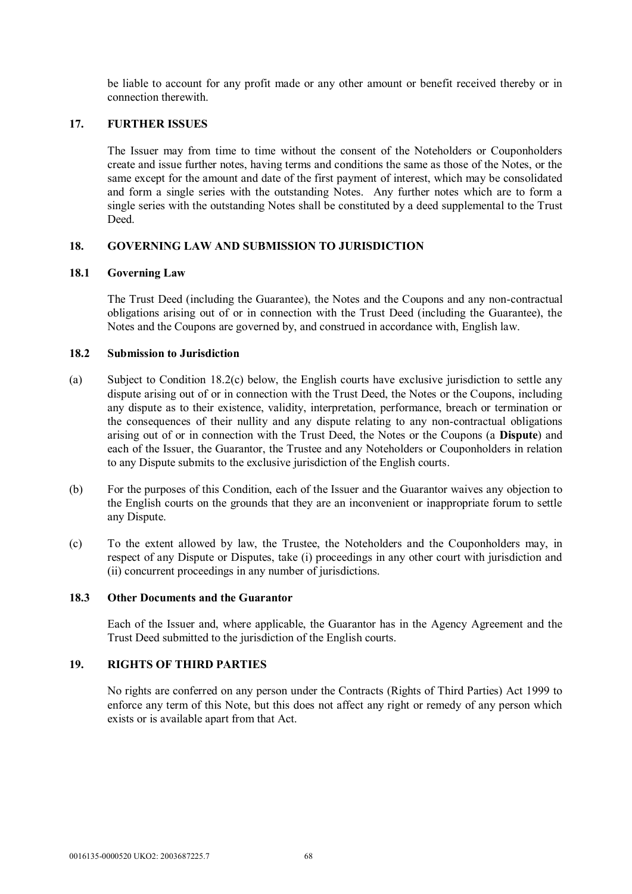be liable to account for any profit made or any other amount or benefit received thereby or in connection therewith.

### **17. FURTHER ISSUES**

The Issuer may from time to time without the consent of the Noteholders or Couponholders create and issue further notes, having terms and conditions the same as those of the Notes, or the same except for the amount and date of the first payment of interest, which may be consolidated and form a single series with the outstanding Notes. Any further notes which are to form a single series with the outstanding Notes shall be constituted by a deed supplemental to the Trust **Deed** 

## **18. GOVERNING LAW AND SUBMISSION TO JURISDICTION**

### **18.1 Governing Law**

The Trust Deed (including the Guarantee), the Notes and the Coupons and any non-contractual obligations arising out of or in connection with the Trust Deed (including the Guarantee), the Notes and the Coupons are governed by, and construed in accordance with, English law.

## **18.2 Submission to Jurisdiction**

- (a) Subject to Condition 18.2(c) below, the English courts have exclusive jurisdiction to settle any dispute arising out of or in connection with the Trust Deed, the Notes or the Coupons, including any dispute as to their existence, validity, interpretation, performance, breach or termination or the consequences of their nullity and any dispute relating to any non-contractual obligations arising out of or in connection with the Trust Deed, the Notes or the Coupons (a **Dispute**) and each of the Issuer, the Guarantor, the Trustee and any Noteholders or Couponholders in relation to any Dispute submits to the exclusive jurisdiction of the English courts.
- (b) For the purposes of this Condition, each of the Issuer and the Guarantor waives any objection to the English courts on the grounds that they are an inconvenient or inappropriate forum to settle any Dispute.
- (c) To the extent allowed by law, the Trustee, the Noteholders and the Couponholders may, in respect of any Dispute or Disputes, take (i) proceedings in any other court with jurisdiction and (ii) concurrent proceedings in any number of jurisdictions.

### **18.3 Other Documents and the Guarantor**

Each of the Issuer and, where applicable, the Guarantor has in the Agency Agreement and the Trust Deed submitted to the jurisdiction of the English courts.

# **19. RIGHTS OF THIRD PARTIES**

No rights are conferred on any person under the Contracts (Rights of Third Parties) Act 1999 to enforce any term of this Note, but this does not affect any right or remedy of any person which exists or is available apart from that Act.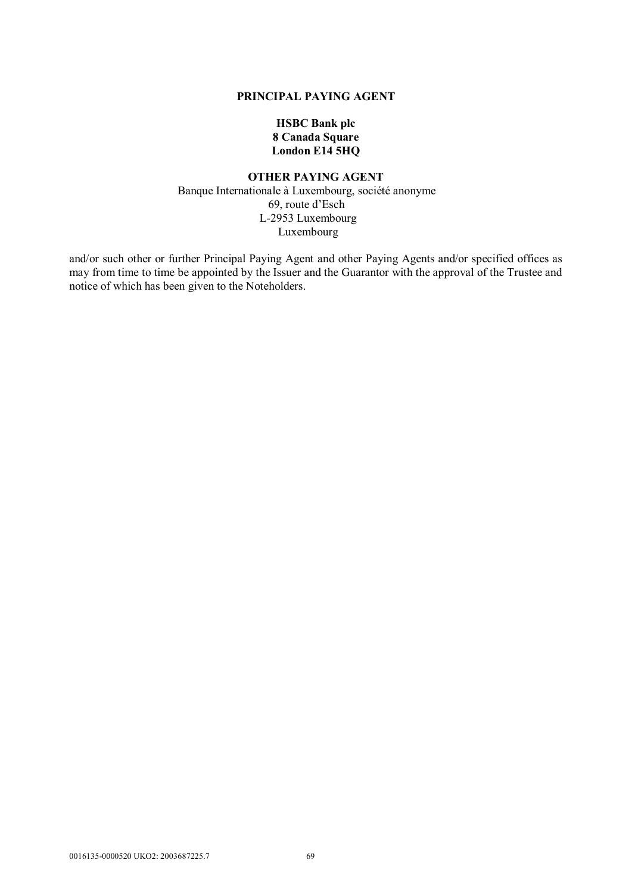#### **PRINCIPAL PAYING AGENT**

# **HSBC Bank plc 8 Canada Square London E14 5HQ**

## **OTHER PAYING AGENT**  Banque Internationale à Luxembourg, société anonyme 69, route d'Esch L-2953 Luxembourg Luxembourg

and/or such other or further Principal Paying Agent and other Paying Agents and/or specified offices as may from time to time be appointed by the Issuer and the Guarantor with the approval of the Trustee and notice of which has been given to the Noteholders.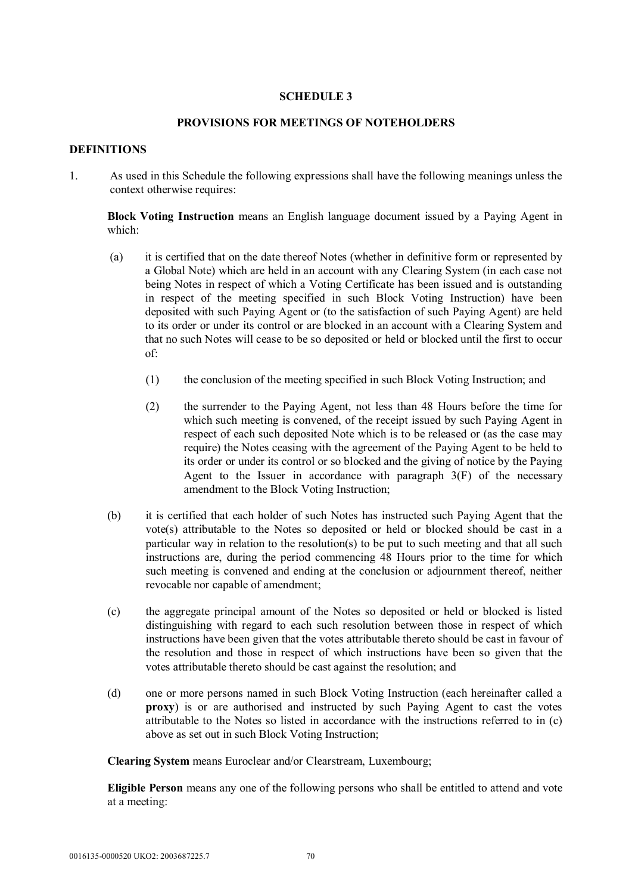### **SCHEDULE 3**

### **PROVISIONS FOR MEETINGS OF NOTEHOLDERS**

### **DEFINITIONS**

1. As used in this Schedule the following expressions shall have the following meanings unless the context otherwise requires:

**Block Voting Instruction** means an English language document issued by a Paying Agent in which:

- (a) it is certified that on the date thereof Notes (whether in definitive form or represented by a Global Note) which are held in an account with any Clearing System (in each case not being Notes in respect of which a Voting Certificate has been issued and is outstanding in respect of the meeting specified in such Block Voting Instruction) have been deposited with such Paying Agent or (to the satisfaction of such Paying Agent) are held to its order or under its control or are blocked in an account with a Clearing System and that no such Notes will cease to be so deposited or held or blocked until the first to occur of:
	- (1) the conclusion of the meeting specified in such Block Voting Instruction; and
	- (2) the surrender to the Paying Agent, not less than 48 Hours before the time for which such meeting is convened, of the receipt issued by such Paying Agent in respect of each such deposited Note which is to be released or (as the case may require) the Notes ceasing with the agreement of the Paying Agent to be held to its order or under its control or so blocked and the giving of notice by the Paying Agent to the Issuer in accordance with paragraph  $3(F)$  of the necessary amendment to the Block Voting Instruction;
- (b) it is certified that each holder of such Notes has instructed such Paying Agent that the vote(s) attributable to the Notes so deposited or held or blocked should be cast in a particular way in relation to the resolution(s) to be put to such meeting and that all such instructions are, during the period commencing 48 Hours prior to the time for which such meeting is convened and ending at the conclusion or adjournment thereof, neither revocable nor capable of amendment;
- (c) the aggregate principal amount of the Notes so deposited or held or blocked is listed distinguishing with regard to each such resolution between those in respect of which instructions have been given that the votes attributable thereto should be cast in favour of the resolution and those in respect of which instructions have been so given that the votes attributable thereto should be cast against the resolution; and
- (d) one or more persons named in such Block Voting Instruction (each hereinafter called a **proxy**) is or are authorised and instructed by such Paying Agent to cast the votes attributable to the Notes so listed in accordance with the instructions referred to in (c) above as set out in such Block Voting Instruction;

**Clearing System** means Euroclear and/or Clearstream, Luxembourg;

**Eligible Person** means any one of the following persons who shall be entitled to attend and vote at a meeting: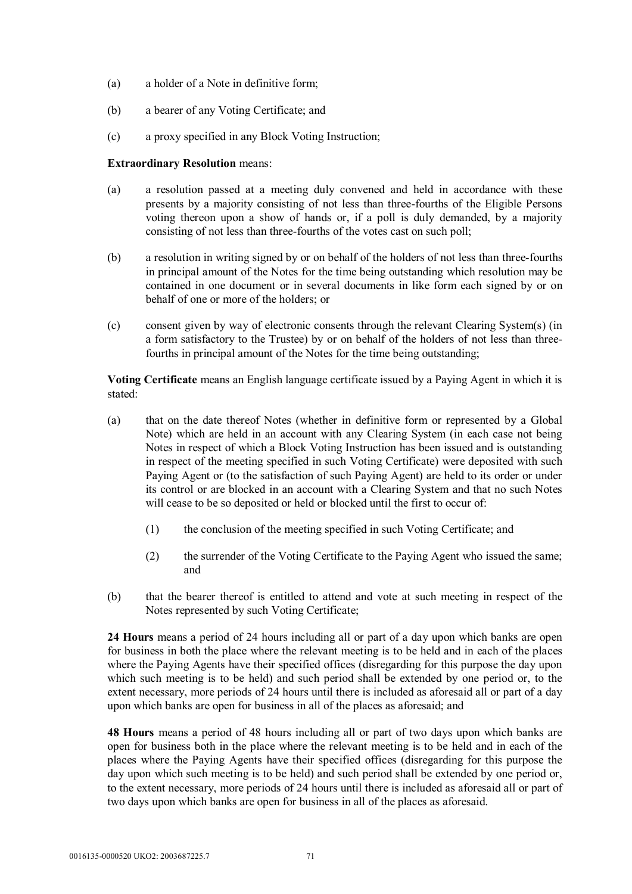- (a) a holder of a Note in definitive form;
- (b) a bearer of any Voting Certificate; and
- (c) a proxy specified in any Block Voting Instruction;

### **Extraordinary Resolution** means:

- (a) a resolution passed at a meeting duly convened and held in accordance with these presents by a majority consisting of not less than three-fourths of the Eligible Persons voting thereon upon a show of hands or, if a poll is duly demanded, by a majority consisting of not less than three-fourths of the votes cast on such poll;
- (b) a resolution in writing signed by or on behalf of the holders of not less than three-fourths in principal amount of the Notes for the time being outstanding which resolution may be contained in one document or in several documents in like form each signed by or on behalf of one or more of the holders; or
- (c) consent given by way of electronic consents through the relevant Clearing System(s) (in a form satisfactory to the Trustee) by or on behalf of the holders of not less than threefourths in principal amount of the Notes for the time being outstanding;

**Voting Certificate** means an English language certificate issued by a Paying Agent in which it is stated:

- (a) that on the date thereof Notes (whether in definitive form or represented by a Global Note) which are held in an account with any Clearing System (in each case not being Notes in respect of which a Block Voting Instruction has been issued and is outstanding in respect of the meeting specified in such Voting Certificate) were deposited with such Paying Agent or (to the satisfaction of such Paying Agent) are held to its order or under its control or are blocked in an account with a Clearing System and that no such Notes will cease to be so deposited or held or blocked until the first to occur of:
	- (1) the conclusion of the meeting specified in such Voting Certificate; and
	- (2) the surrender of the Voting Certificate to the Paying Agent who issued the same; and
- (b) that the bearer thereof is entitled to attend and vote at such meeting in respect of the Notes represented by such Voting Certificate;

**24 Hours** means a period of 24 hours including all or part of a day upon which banks are open for business in both the place where the relevant meeting is to be held and in each of the places where the Paying Agents have their specified offices (disregarding for this purpose the day upon which such meeting is to be held) and such period shall be extended by one period or, to the extent necessary, more periods of 24 hours until there is included as aforesaid all or part of a day upon which banks are open for business in all of the places as aforesaid; and

**48 Hours** means a period of 48 hours including all or part of two days upon which banks are open for business both in the place where the relevant meeting is to be held and in each of the places where the Paying Agents have their specified offices (disregarding for this purpose the day upon which such meeting is to be held) and such period shall be extended by one period or, to the extent necessary, more periods of 24 hours until there is included as aforesaid all or part of two days upon which banks are open for business in all of the places as aforesaid.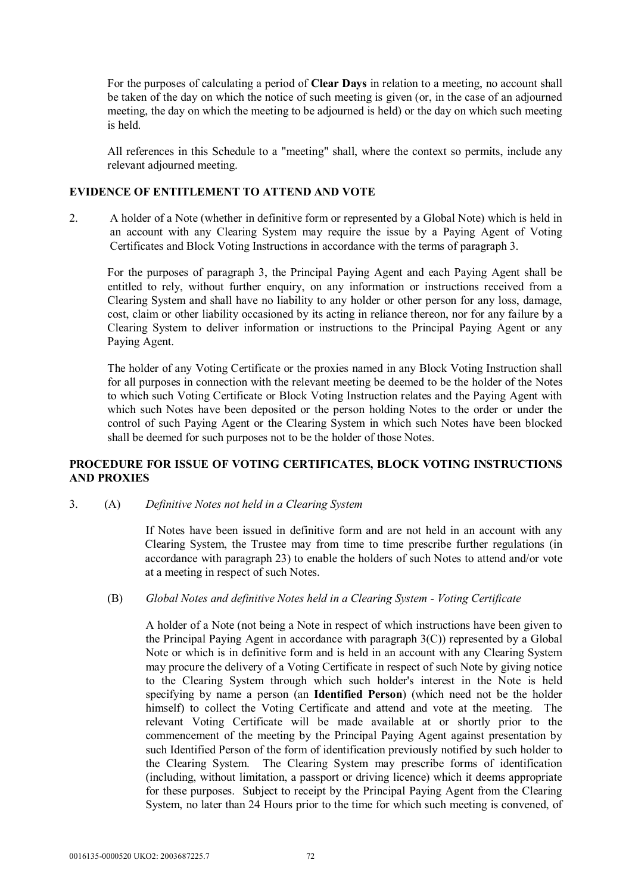For the purposes of calculating a period of **Clear Days** in relation to a meeting, no account shall be taken of the day on which the notice of such meeting is given (or, in the case of an adjourned meeting, the day on which the meeting to be adjourned is held) or the day on which such meeting is held.

All references in this Schedule to a "meeting" shall, where the context so permits, include any relevant adjourned meeting.

### **EVIDENCE OF ENTITLEMENT TO ATTEND AND VOTE**

2. A holder of a Note (whether in definitive form or represented by a Global Note) which is held in an account with any Clearing System may require the issue by a Paying Agent of Voting Certificates and Block Voting Instructions in accordance with the terms of paragraph 3.

For the purposes of paragraph 3, the Principal Paying Agent and each Paying Agent shall be entitled to rely, without further enquiry, on any information or instructions received from a Clearing System and shall have no liability to any holder or other person for any loss, damage, cost, claim or other liability occasioned by its acting in reliance thereon, nor for any failure by a Clearing System to deliver information or instructions to the Principal Paying Agent or any Paying Agent.

The holder of any Voting Certificate or the proxies named in any Block Voting Instruction shall for all purposes in connection with the relevant meeting be deemed to be the holder of the Notes to which such Voting Certificate or Block Voting Instruction relates and the Paying Agent with which such Notes have been deposited or the person holding Notes to the order or under the control of such Paying Agent or the Clearing System in which such Notes have been blocked shall be deemed for such purposes not to be the holder of those Notes.

### **PROCEDURE FOR ISSUE OF VOTING CERTIFICATES, BLOCK VOTING INSTRUCTIONS AND PROXIES**

3. (A) *Definitive Notes not held in a Clearing System*

If Notes have been issued in definitive form and are not held in an account with any Clearing System, the Trustee may from time to time prescribe further regulations (in accordance with paragraph 23) to enable the holders of such Notes to attend and/or vote at a meeting in respect of such Notes.

### (B) *Global Notes and definitive Notes held in a Clearing System - Voting Certificate*

A holder of a Note (not being a Note in respect of which instructions have been given to the Principal Paying Agent in accordance with paragraph 3(C)) represented by a Global Note or which is in definitive form and is held in an account with any Clearing System may procure the delivery of a Voting Certificate in respect of such Note by giving notice to the Clearing System through which such holder's interest in the Note is held specifying by name a person (an **Identified Person**) (which need not be the holder himself) to collect the Voting Certificate and attend and vote at the meeting. The relevant Voting Certificate will be made available at or shortly prior to the commencement of the meeting by the Principal Paying Agent against presentation by such Identified Person of the form of identification previously notified by such holder to the Clearing System. The Clearing System may prescribe forms of identification (including, without limitation, a passport or driving licence) which it deems appropriate for these purposes. Subject to receipt by the Principal Paying Agent from the Clearing System, no later than 24 Hours prior to the time for which such meeting is convened, of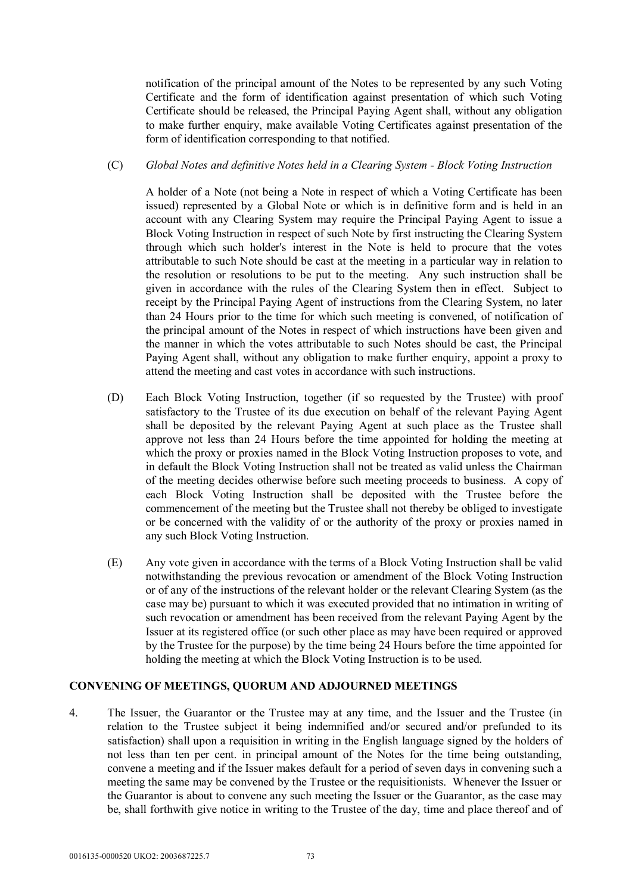notification of the principal amount of the Notes to be represented by any such Voting Certificate and the form of identification against presentation of which such Voting Certificate should be released, the Principal Paying Agent shall, without any obligation to make further enquiry, make available Voting Certificates against presentation of the form of identification corresponding to that notified.

#### (C) *Global Notes and definitive Notes held in a Clearing System - Block Voting Instruction*

A holder of a Note (not being a Note in respect of which a Voting Certificate has been issued) represented by a Global Note or which is in definitive form and is held in an account with any Clearing System may require the Principal Paying Agent to issue a Block Voting Instruction in respect of such Note by first instructing the Clearing System through which such holder's interest in the Note is held to procure that the votes attributable to such Note should be cast at the meeting in a particular way in relation to the resolution or resolutions to be put to the meeting. Any such instruction shall be given in accordance with the rules of the Clearing System then in effect. Subject to receipt by the Principal Paying Agent of instructions from the Clearing System, no later than 24 Hours prior to the time for which such meeting is convened, of notification of the principal amount of the Notes in respect of which instructions have been given and the manner in which the votes attributable to such Notes should be cast, the Principal Paying Agent shall, without any obligation to make further enquiry, appoint a proxy to attend the meeting and cast votes in accordance with such instructions.

- (D) Each Block Voting Instruction, together (if so requested by the Trustee) with proof satisfactory to the Trustee of its due execution on behalf of the relevant Paying Agent shall be deposited by the relevant Paying Agent at such place as the Trustee shall approve not less than 24 Hours before the time appointed for holding the meeting at which the proxy or proxies named in the Block Voting Instruction proposes to vote, and in default the Block Voting Instruction shall not be treated as valid unless the Chairman of the meeting decides otherwise before such meeting proceeds to business. A copy of each Block Voting Instruction shall be deposited with the Trustee before the commencement of the meeting but the Trustee shall not thereby be obliged to investigate or be concerned with the validity of or the authority of the proxy or proxies named in any such Block Voting Instruction.
- (E) Any vote given in accordance with the terms of a Block Voting Instruction shall be valid notwithstanding the previous revocation or amendment of the Block Voting Instruction or of any of the instructions of the relevant holder or the relevant Clearing System (as the case may be) pursuant to which it was executed provided that no intimation in writing of such revocation or amendment has been received from the relevant Paying Agent by the Issuer at its registered office (or such other place as may have been required or approved by the Trustee for the purpose) by the time being 24 Hours before the time appointed for holding the meeting at which the Block Voting Instruction is to be used.

## **CONVENING OF MEETINGS, QUORUM AND ADJOURNED MEETINGS**

4. The Issuer, the Guarantor or the Trustee may at any time, and the Issuer and the Trustee (in relation to the Trustee subject it being indemnified and/or secured and/or prefunded to its satisfaction) shall upon a requisition in writing in the English language signed by the holders of not less than ten per cent. in principal amount of the Notes for the time being outstanding, convene a meeting and if the Issuer makes default for a period of seven days in convening such a meeting the same may be convened by the Trustee or the requisitionists. Whenever the Issuer or the Guarantor is about to convene any such meeting the Issuer or the Guarantor, as the case may be, shall forthwith give notice in writing to the Trustee of the day, time and place thereof and of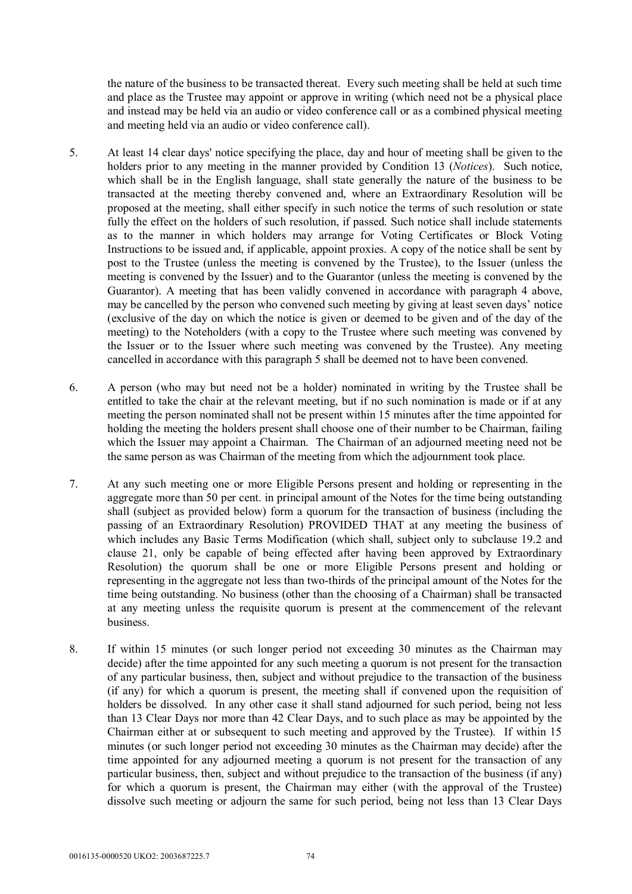the nature of the business to be transacted thereat. Every such meeting shall be held at such time and place as the Trustee may appoint or approve in writing (which need not be a physical place and instead may be held via an audio or video conference call or as a combined physical meeting and meeting held via an audio or video conference call).

- 5. At least 14 clear days' notice specifying the place, day and hour of meeting shall be given to the holders prior to any meeting in the manner provided by Condition 13 (*Notices*). Such notice, which shall be in the English language, shall state generally the nature of the business to be transacted at the meeting thereby convened and, where an Extraordinary Resolution will be proposed at the meeting, shall either specify in such notice the terms of such resolution or state fully the effect on the holders of such resolution, if passed. Such notice shall include statements as to the manner in which holders may arrange for Voting Certificates or Block Voting Instructions to be issued and, if applicable, appoint proxies. A copy of the notice shall be sent by post to the Trustee (unless the meeting is convened by the Trustee), to the Issuer (unless the meeting is convened by the Issuer) and to the Guarantor (unless the meeting is convened by the Guarantor). A meeting that has been validly convened in accordance with paragraph 4 above, may be cancelled by the person who convened such meeting by giving at least seven days' notice (exclusive of the day on which the notice is given or deemed to be given and of the day of the meeting) to the Noteholders (with a copy to the Trustee where such meeting was convened by the Issuer or to the Issuer where such meeting was convened by the Trustee). Any meeting cancelled in accordance with this paragraph 5 shall be deemed not to have been convened.
- 6. A person (who may but need not be a holder) nominated in writing by the Trustee shall be entitled to take the chair at the relevant meeting, but if no such nomination is made or if at any meeting the person nominated shall not be present within 15 minutes after the time appointed for holding the meeting the holders present shall choose one of their number to be Chairman, failing which the Issuer may appoint a Chairman. The Chairman of an adjourned meeting need not be the same person as was Chairman of the meeting from which the adjournment took place.
- 7. At any such meeting one or more Eligible Persons present and holding or representing in the aggregate more than 50 per cent. in principal amount of the Notes for the time being outstanding shall (subject as provided below) form a quorum for the transaction of business (including the passing of an Extraordinary Resolution) PROVIDED THAT at any meeting the business of which includes any Basic Terms Modification (which shall, subject only to subclause 19.2 and clause 21, only be capable of being effected after having been approved by Extraordinary Resolution) the quorum shall be one or more Eligible Persons present and holding or representing in the aggregate not less than two-thirds of the principal amount of the Notes for the time being outstanding. No business (other than the choosing of a Chairman) shall be transacted at any meeting unless the requisite quorum is present at the commencement of the relevant business.
- 8. If within 15 minutes (or such longer period not exceeding 30 minutes as the Chairman may decide) after the time appointed for any such meeting a quorum is not present for the transaction of any particular business, then, subject and without prejudice to the transaction of the business (if any) for which a quorum is present, the meeting shall if convened upon the requisition of holders be dissolved. In any other case it shall stand adjourned for such period, being not less than 13 Clear Days nor more than 42 Clear Days, and to such place as may be appointed by the Chairman either at or subsequent to such meeting and approved by the Trustee). If within 15 minutes (or such longer period not exceeding 30 minutes as the Chairman may decide) after the time appointed for any adjourned meeting a quorum is not present for the transaction of any particular business, then, subject and without prejudice to the transaction of the business (if any) for which a quorum is present, the Chairman may either (with the approval of the Trustee) dissolve such meeting or adjourn the same for such period, being not less than 13 Clear Days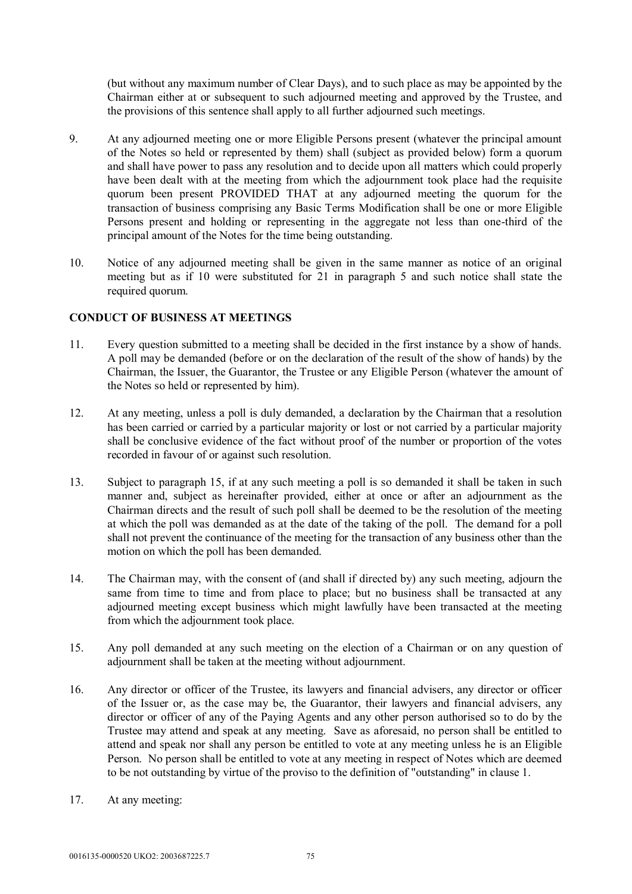(but without any maximum number of Clear Days), and to such place as may be appointed by the Chairman either at or subsequent to such adjourned meeting and approved by the Trustee, and the provisions of this sentence shall apply to all further adjourned such meetings.

- 9. At any adjourned meeting one or more Eligible Persons present (whatever the principal amount of the Notes so held or represented by them) shall (subject as provided below) form a quorum and shall have power to pass any resolution and to decide upon all matters which could properly have been dealt with at the meeting from which the adjournment took place had the requisite quorum been present PROVIDED THAT at any adjourned meeting the quorum for the transaction of business comprising any Basic Terms Modification shall be one or more Eligible Persons present and holding or representing in the aggregate not less than one-third of the principal amount of the Notes for the time being outstanding.
- 10. Notice of any adjourned meeting shall be given in the same manner as notice of an original meeting but as if 10 were substituted for 21 in paragraph 5 and such notice shall state the required quorum.

### **CONDUCT OF BUSINESS AT MEETINGS**

- 11. Every question submitted to a meeting shall be decided in the first instance by a show of hands. A poll may be demanded (before or on the declaration of the result of the show of hands) by the Chairman, the Issuer, the Guarantor, the Trustee or any Eligible Person (whatever the amount of the Notes so held or represented by him).
- 12. At any meeting, unless a poll is duly demanded, a declaration by the Chairman that a resolution has been carried or carried by a particular majority or lost or not carried by a particular majority shall be conclusive evidence of the fact without proof of the number or proportion of the votes recorded in favour of or against such resolution.
- 13. Subject to paragraph 15, if at any such meeting a poll is so demanded it shall be taken in such manner and, subject as hereinafter provided, either at once or after an adjournment as the Chairman directs and the result of such poll shall be deemed to be the resolution of the meeting at which the poll was demanded as at the date of the taking of the poll. The demand for a poll shall not prevent the continuance of the meeting for the transaction of any business other than the motion on which the poll has been demanded.
- 14. The Chairman may, with the consent of (and shall if directed by) any such meeting, adjourn the same from time to time and from place to place; but no business shall be transacted at any adjourned meeting except business which might lawfully have been transacted at the meeting from which the adjournment took place.
- 15. Any poll demanded at any such meeting on the election of a Chairman or on any question of adjournment shall be taken at the meeting without adjournment.
- 16. Any director or officer of the Trustee, its lawyers and financial advisers, any director or officer of the Issuer or, as the case may be, the Guarantor, their lawyers and financial advisers, any director or officer of any of the Paying Agents and any other person authorised so to do by the Trustee may attend and speak at any meeting. Save as aforesaid, no person shall be entitled to attend and speak nor shall any person be entitled to vote at any meeting unless he is an Eligible Person. No person shall be entitled to vote at any meeting in respect of Notes which are deemed to be not outstanding by virtue of the proviso to the definition of "outstanding" in clause 1.
- 17. At any meeting: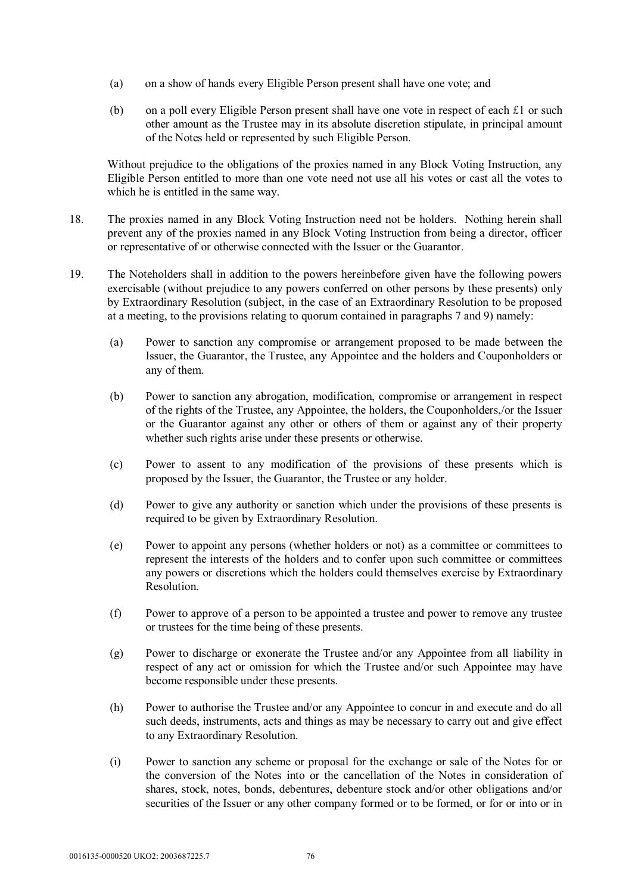- (a) on a show of hands every Eligible Person present shall have one vote; and
- (b) on a poll every Eligible Person present shall have one vote in respect of each £1 or such other amount as the Trustee may in its absolute discretion stipulate, in principal amount of the Notes held or represented by such Eligible Person.

Without prejudice to the obligations of the proxies named in any Block Voting Instruction, any Eligible Person entitled to more than one vote need not use all his votes or cast all the votes to which he is entitled in the same way.

- 18. The proxies named in any Block Voting Instruction need not be holders. Nothing herein shall prevent any of the proxies named in any Block Voting Instruction from being a director, officer or representative of or otherwise connected with the Issuer or the Guarantor.
- 19. The Noteholders shall in addition to the powers hereinbefore given have the following powers exercisable (without prejudice to any powers conferred on other persons by these presents) only by Extraordinary Resolution (subject, in the case of an Extraordinary Resolution to be proposed at a meeting, to the provisions relating to quorum contained in paragraphs 7 and 9) namely:
	- (a) Power to sanction any compromise or arrangement proposed to be made between the Issuer, the Guarantor, the Trustee, any Appointee and the holders and Couponholders or any of them.
	- (b) Power to sanction any abrogation, modification, compromise or arrangement in respect of the rights of the Trustee, any Appointee, the holders, the Couponholders,/or the Issuer or the Guarantor against any other or others of them or against any of their property whether such rights arise under these presents or otherwise.
	- (c) Power to assent to any modification of the provisions of these presents which is proposed by the Issuer, the Guarantor, the Trustee or any holder.
	- (d) Power to give any authority or sanction which under the provisions of these presents is required to be given by Extraordinary Resolution.
	- (e) Power to appoint any persons (whether holders or not) as a committee or committees to represent the interests of the holders and to confer upon such committee or committees any powers or discretions which the holders could themselves exercise by Extraordinary Resolution.
	- (f) Power to approve of a person to be appointed a trustee and power to remove any trustee or trustees for the time being of these presents.
	- (g) Power to discharge or exonerate the Trustee and/or any Appointee from all liability in respect of any act or omission for which the Trustee and/or such Appointee may have become responsible under these presents.
	- (h) Power to authorise the Trustee and/or any Appointee to concur in and execute and do all such deeds, instruments, acts and things as may be necessary to carry out and give effect to any Extraordinary Resolution.
	- (i) Power to sanction any scheme or proposal for the exchange or sale of the Notes for or the conversion of the Notes into or the cancellation of the Notes in consideration of shares, stock, notes, bonds, debentures, debenture stock and/or other obligations and/or securities of the Issuer or any other company formed or to be formed, or for or into or in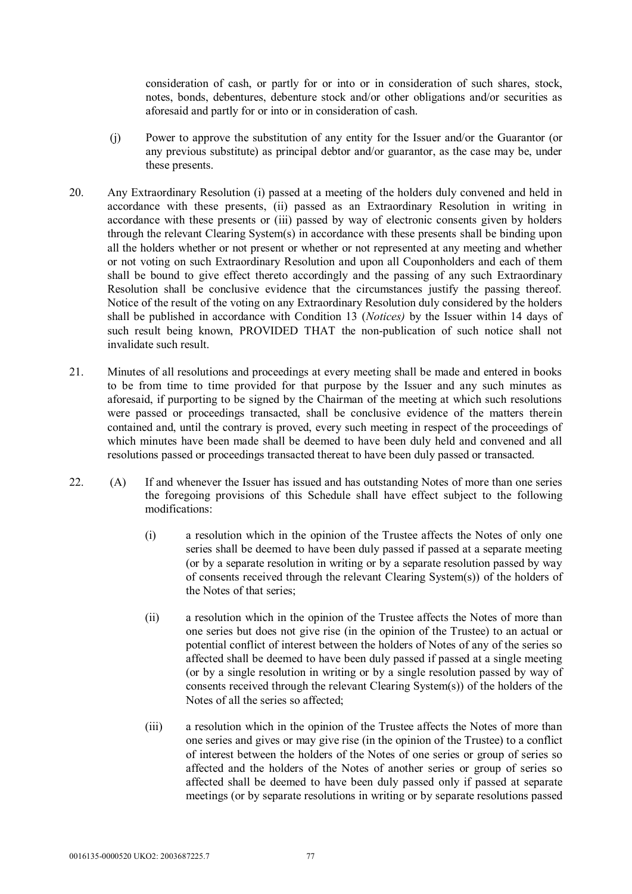consideration of cash, or partly for or into or in consideration of such shares, stock, notes, bonds, debentures, debenture stock and/or other obligations and/or securities as aforesaid and partly for or into or in consideration of cash.

- (j) Power to approve the substitution of any entity for the Issuer and/or the Guarantor (or any previous substitute) as principal debtor and/or guarantor, as the case may be, under these presents.
- 20. Any Extraordinary Resolution (i) passed at a meeting of the holders duly convened and held in accordance with these presents, (ii) passed as an Extraordinary Resolution in writing in accordance with these presents or (iii) passed by way of electronic consents given by holders through the relevant Clearing System(s) in accordance with these presents shall be binding upon all the holders whether or not present or whether or not represented at any meeting and whether or not voting on such Extraordinary Resolution and upon all Couponholders and each of them shall be bound to give effect thereto accordingly and the passing of any such Extraordinary Resolution shall be conclusive evidence that the circumstances justify the passing thereof. Notice of the result of the voting on any Extraordinary Resolution duly considered by the holders shall be published in accordance with Condition 13 (*Notices)* by the Issuer within 14 days of such result being known, PROVIDED THAT the non-publication of such notice shall not invalidate such result.
- 21. Minutes of all resolutions and proceedings at every meeting shall be made and entered in books to be from time to time provided for that purpose by the Issuer and any such minutes as aforesaid, if purporting to be signed by the Chairman of the meeting at which such resolutions were passed or proceedings transacted, shall be conclusive evidence of the matters therein contained and, until the contrary is proved, every such meeting in respect of the proceedings of which minutes have been made shall be deemed to have been duly held and convened and all resolutions passed or proceedings transacted thereat to have been duly passed or transacted.
- 22. (A) If and whenever the Issuer has issued and has outstanding Notes of more than one series the foregoing provisions of this Schedule shall have effect subject to the following modifications:
	- (i) a resolution which in the opinion of the Trustee affects the Notes of only one series shall be deemed to have been duly passed if passed at a separate meeting (or by a separate resolution in writing or by a separate resolution passed by way of consents received through the relevant Clearing System(s)) of the holders of the Notes of that series;
	- (ii) a resolution which in the opinion of the Trustee affects the Notes of more than one series but does not give rise (in the opinion of the Trustee) to an actual or potential conflict of interest between the holders of Notes of any of the series so affected shall be deemed to have been duly passed if passed at a single meeting (or by a single resolution in writing or by a single resolution passed by way of consents received through the relevant Clearing System(s)) of the holders of the Notes of all the series so affected;
	- (iii) a resolution which in the opinion of the Trustee affects the Notes of more than one series and gives or may give rise (in the opinion of the Trustee) to a conflict of interest between the holders of the Notes of one series or group of series so affected and the holders of the Notes of another series or group of series so affected shall be deemed to have been duly passed only if passed at separate meetings (or by separate resolutions in writing or by separate resolutions passed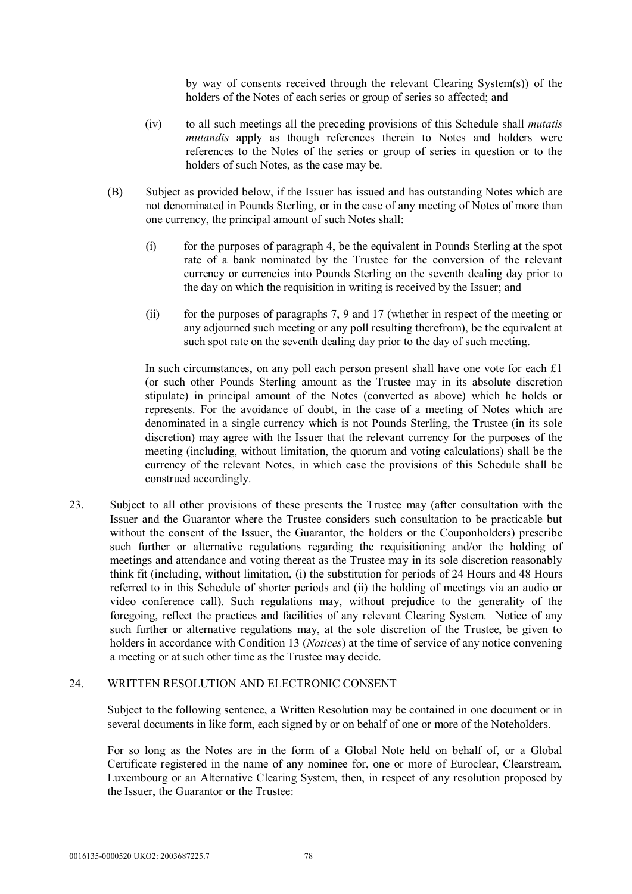by way of consents received through the relevant Clearing System(s)) of the holders of the Notes of each series or group of series so affected; and

- (iv) to all such meetings all the preceding provisions of this Schedule shall *mutatis mutandis* apply as though references therein to Notes and holders were references to the Notes of the series or group of series in question or to the holders of such Notes, as the case may be.
- (B) Subject as provided below, if the Issuer has issued and has outstanding Notes which are not denominated in Pounds Sterling, or in the case of any meeting of Notes of more than one currency, the principal amount of such Notes shall:
	- (i) for the purposes of paragraph 4, be the equivalent in Pounds Sterling at the spot rate of a bank nominated by the Trustee for the conversion of the relevant currency or currencies into Pounds Sterling on the seventh dealing day prior to the day on which the requisition in writing is received by the Issuer; and
	- (ii) for the purposes of paragraphs 7, 9 and 17 (whether in respect of the meeting or any adjourned such meeting or any poll resulting therefrom), be the equivalent at such spot rate on the seventh dealing day prior to the day of such meeting.

In such circumstances, on any poll each person present shall have one vote for each £1 (or such other Pounds Sterling amount as the Trustee may in its absolute discretion stipulate) in principal amount of the Notes (converted as above) which he holds or represents. For the avoidance of doubt, in the case of a meeting of Notes which are denominated in a single currency which is not Pounds Sterling, the Trustee (in its sole discretion) may agree with the Issuer that the relevant currency for the purposes of the meeting (including, without limitation, the quorum and voting calculations) shall be the currency of the relevant Notes, in which case the provisions of this Schedule shall be construed accordingly.

23. Subject to all other provisions of these presents the Trustee may (after consultation with the Issuer and the Guarantor where the Trustee considers such consultation to be practicable but without the consent of the Issuer, the Guarantor, the holders or the Couponholders) prescribe such further or alternative regulations regarding the requisitioning and/or the holding of meetings and attendance and voting thereat as the Trustee may in its sole discretion reasonably think fit (including, without limitation, (i) the substitution for periods of 24 Hours and 48 Hours referred to in this Schedule of shorter periods and (ii) the holding of meetings via an audio or video conference call). Such regulations may, without prejudice to the generality of the foregoing, reflect the practices and facilities of any relevant Clearing System. Notice of any such further or alternative regulations may, at the sole discretion of the Trustee, be given to holders in accordance with Condition 13 (*Notices*) at the time of service of any notice convening a meeting or at such other time as the Trustee may decide.

#### 24. WRITTEN RESOLUTION AND ELECTRONIC CONSENT

Subject to the following sentence, a Written Resolution may be contained in one document or in several documents in like form, each signed by or on behalf of one or more of the Noteholders.

For so long as the Notes are in the form of a Global Note held on behalf of, or a Global Certificate registered in the name of any nominee for, one or more of Euroclear, Clearstream, Luxembourg or an Alternative Clearing System, then, in respect of any resolution proposed by the Issuer, the Guarantor or the Trustee: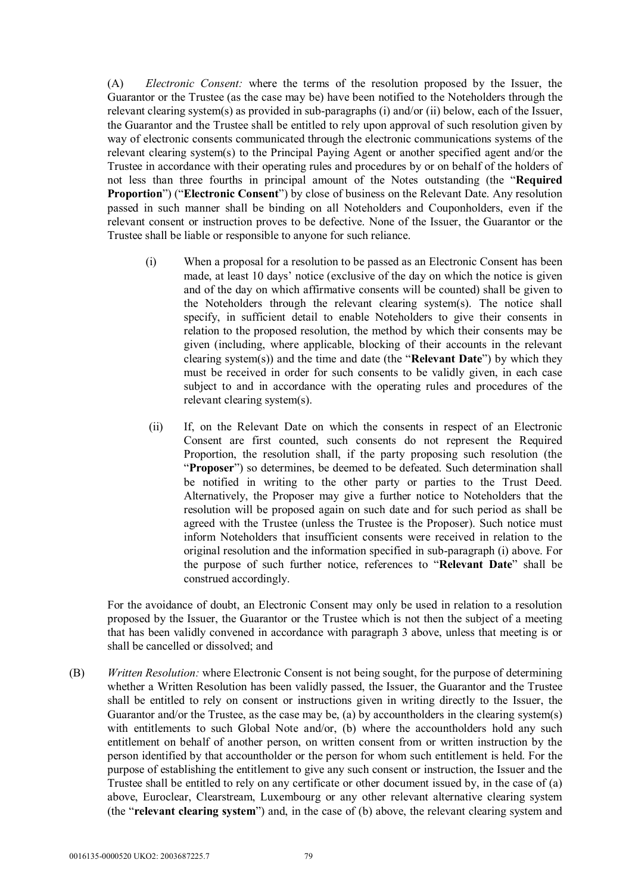(A) *Electronic Consent:* where the terms of the resolution proposed by the Issuer, the Guarantor or the Trustee (as the case may be) have been notified to the Noteholders through the relevant clearing system(s) as provided in sub-paragraphs (i) and/or (ii) below, each of the Issuer, the Guarantor and the Trustee shall be entitled to rely upon approval of such resolution given by way of electronic consents communicated through the electronic communications systems of the relevant clearing system(s) to the Principal Paying Agent or another specified agent and/or the Trustee in accordance with their operating rules and procedures by or on behalf of the holders of not less than three fourths in principal amount of the Notes outstanding (the "**Required Proportion**") ("**Electronic Consent**") by close of business on the Relevant Date. Any resolution passed in such manner shall be binding on all Noteholders and Couponholders, even if the relevant consent or instruction proves to be defective. None of the Issuer, the Guarantor or the Trustee shall be liable or responsible to anyone for such reliance.

- (i) When a proposal for a resolution to be passed as an Electronic Consent has been made, at least 10 days' notice (exclusive of the day on which the notice is given and of the day on which affirmative consents will be counted) shall be given to the Noteholders through the relevant clearing system(s). The notice shall specify, in sufficient detail to enable Noteholders to give their consents in relation to the proposed resolution, the method by which their consents may be given (including, where applicable, blocking of their accounts in the relevant clearing system(s)) and the time and date (the "**Relevant Date**") by which they must be received in order for such consents to be validly given, in each case subject to and in accordance with the operating rules and procedures of the relevant clearing system(s).
- (ii) If, on the Relevant Date on which the consents in respect of an Electronic Consent are first counted, such consents do not represent the Required Proportion, the resolution shall, if the party proposing such resolution (the "**Proposer**") so determines, be deemed to be defeated. Such determination shall be notified in writing to the other party or parties to the Trust Deed. Alternatively, the Proposer may give a further notice to Noteholders that the resolution will be proposed again on such date and for such period as shall be agreed with the Trustee (unless the Trustee is the Proposer). Such notice must inform Noteholders that insufficient consents were received in relation to the original resolution and the information specified in sub-paragraph (i) above. For the purpose of such further notice, references to "**Relevant Date**" shall be construed accordingly.

For the avoidance of doubt, an Electronic Consent may only be used in relation to a resolution proposed by the Issuer, the Guarantor or the Trustee which is not then the subject of a meeting that has been validly convened in accordance with paragraph 3 above, unless that meeting is or shall be cancelled or dissolved; and

(B) *Written Resolution:* where Electronic Consent is not being sought, for the purpose of determining whether a Written Resolution has been validly passed, the Issuer, the Guarantor and the Trustee shall be entitled to rely on consent or instructions given in writing directly to the Issuer, the Guarantor and/or the Trustee, as the case may be, (a) by accountholders in the clearing system(s) with entitlements to such Global Note and/or, (b) where the accountholders hold any such entitlement on behalf of another person, on written consent from or written instruction by the person identified by that accountholder or the person for whom such entitlement is held. For the purpose of establishing the entitlement to give any such consent or instruction, the Issuer and the Trustee shall be entitled to rely on any certificate or other document issued by, in the case of (a) above, Euroclear, Clearstream, Luxembourg or any other relevant alternative clearing system (the "**relevant clearing system**") and, in the case of (b) above, the relevant clearing system and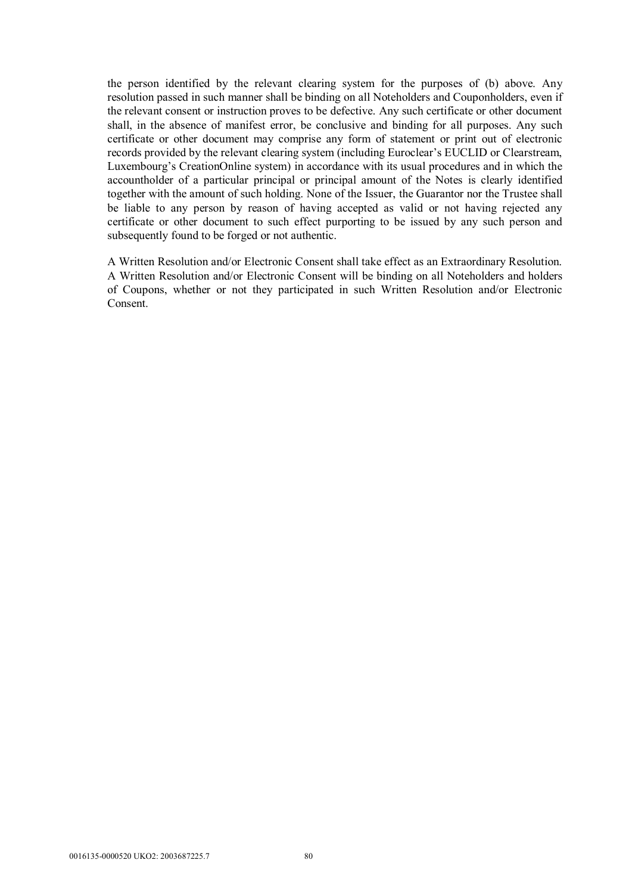the person identified by the relevant clearing system for the purposes of (b) above. Any resolution passed in such manner shall be binding on all Noteholders and Couponholders, even if the relevant consent or instruction proves to be defective. Any such certificate or other document shall, in the absence of manifest error, be conclusive and binding for all purposes. Any such certificate or other document may comprise any form of statement or print out of electronic records provided by the relevant clearing system (including Euroclear's EUCLID or Clearstream, Luxembourg's CreationOnline system) in accordance with its usual procedures and in which the accountholder of a particular principal or principal amount of the Notes is clearly identified together with the amount of such holding. None of the Issuer, the Guarantor nor the Trustee shall be liable to any person by reason of having accepted as valid or not having rejected any certificate or other document to such effect purporting to be issued by any such person and subsequently found to be forged or not authentic.

A Written Resolution and/or Electronic Consent shall take effect as an Extraordinary Resolution. A Written Resolution and/or Electronic Consent will be binding on all Noteholders and holders of Coupons, whether or not they participated in such Written Resolution and/or Electronic Consent.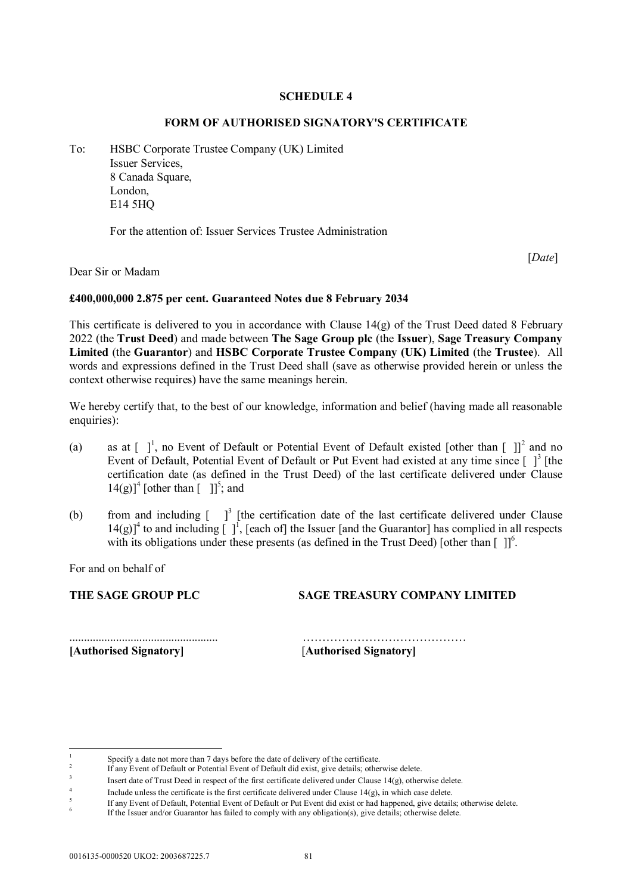#### **SCHEDULE 4**

#### **FORM OF AUTHORISED SIGNATORY'S CERTIFICATE**

To: HSBC Corporate Trustee Company (UK) Limited Issuer Services, 8 Canada Square, London, E14 5HQ

For the attention of: Issuer Services Trustee Administration

[*Date*]

Dear Sir or Madam

#### **£400,000,000 2.875 per cent. Guaranteed Notes due 8 February 2034**

This certificate is delivered to you in accordance with Clause  $14(g)$  of the Trust Deed dated 8 February 2022 (the **Trust Deed**) and made between **The Sage Group plc** (the **Issuer**), **Sage Treasury Company Limited** (the **Guarantor**) and **HSBC Corporate Trustee Company (UK) Limited** (the **Trustee**). All words and expressions defined in the Trust Deed shall (save as otherwise provided herein or unless the context otherwise requires) have the same meanings herein.

We hereby certify that, to the best of our knowledge, information and belief (having made all reasonable enquiries):

- (a) as at  $\begin{bmatrix} 1 \\ 1 \end{bmatrix}$ , no Event of Default or Potential Event of Default existed [other than  $\begin{bmatrix} 1 \\ 1 \end{bmatrix}^2$  and no Event of Default, Potential Event of Default or Put Event had existed at any time since  $\lceil \,\rceil^3$  [the certification date (as defined in the Trust Deed) of the last certificate delivered under Clause  $14(g)$ <sup>1</sup> [other than  $\begin{bmatrix} 1 \end{bmatrix}^5$ ; and
- (b) from and including  $\int_0^3$  [the certification date of the last certificate delivered under Clause  $14(g)$ <sup>4</sup> to and including  $\lceil \cdot \rceil$ , [each of] the Issuer [and the Guarantor] has complied in all respects with its obligations under these presents (as defined in the Trust Deed) [other than  $[ ] ]^6$ .

For and on behalf of

THE SAGE GROUP PLC **SAGE TREASURY COMPANY LIMITED** 

**[Authorised Signatory]** [**Authorised Signatory]**

................................................... ……………………………………

<sup>1</sup> Specify a date not more than 7 days before the date of delivery of the certificate.

<sup>2</sup> If any Event of Default or Potential Event of Default did exist, give details; otherwise delete.

<sup>3</sup> Insert date of Trust Deed in respect of the first certificate delivered under Clause 14(g), otherwise delete.

<sup>4</sup> Include unless the certificate is the first certificate delivered under Clause 14(g)**,** in which case delete.

 $\overline{\mathbf{5}}$ If any Event of Default, Potential Event of Default or Put Event did exist or had happened, give details; otherwise delete.

<sup>6</sup> If the Issuer and/or Guarantor has failed to comply with any obligation(s), give details; otherwise delete.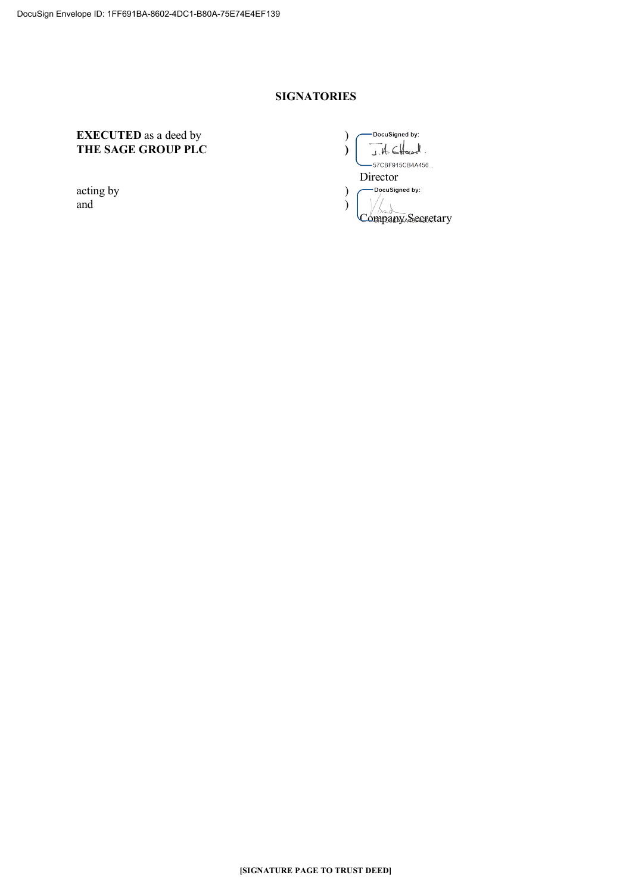## **SIGNATORIES**

## **EXECUTED** as a deed by (a) **THE SAGE GROUP PLC )**

 $\begin{pmatrix} \text{acting by} \\ \text{and} \end{pmatrix}$ and )

DocuSigned by:  $-4.64$  $\mathbf{v}$ -57CBF915CB4A456... Director<br>
DocuSigned by: Company Secretary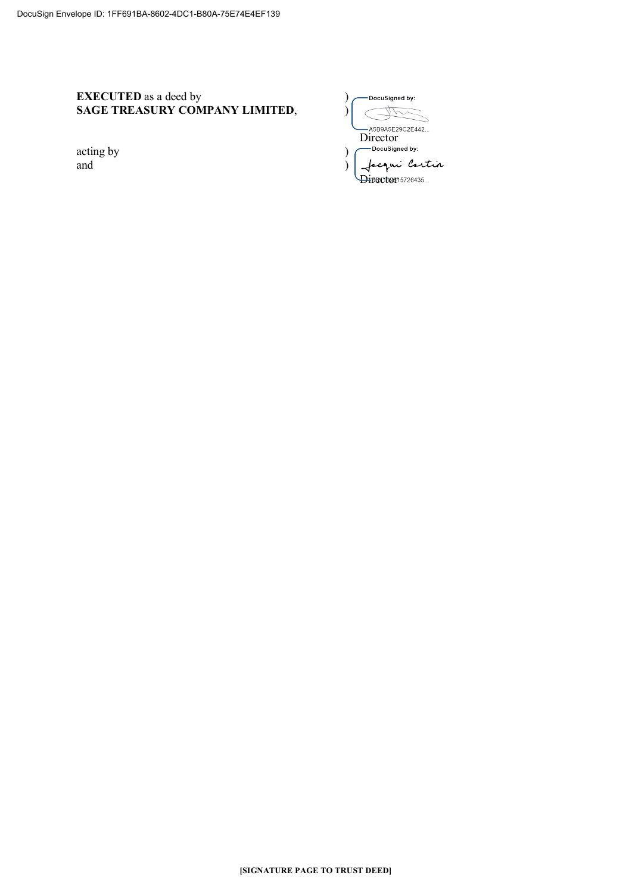## **EXECUTED** as a deed by ) **SAGE TREASURY COMPANY LIMITED,**

acting by and )

| DocuSigned by:                |
|-------------------------------|
|                               |
| A5B9A5F29C2F442               |
| Director                      |
| DocuSigned by:                |
| <sub>e</sub> ni <i>Cartin</i> |
| 5BC119815726435               |